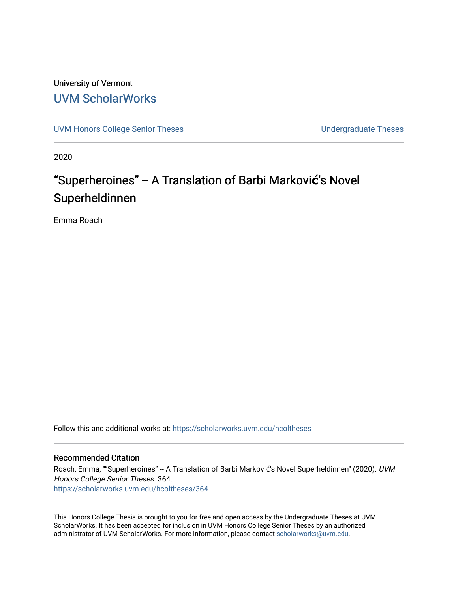# University of Vermont [UVM ScholarWorks](https://scholarworks.uvm.edu/)

[UVM Honors College Senior Theses](https://scholarworks.uvm.edu/hcoltheses) **Exercise Sension** Undergraduate Theses

2020

# "Superheroines" -- A Translation of Barbi Marković's Novel Superheldinnen

Emma Roach

Follow this and additional works at: [https://scholarworks.uvm.edu/hcoltheses](https://scholarworks.uvm.edu/hcoltheses?utm_source=scholarworks.uvm.edu%2Fhcoltheses%2F364&utm_medium=PDF&utm_campaign=PDFCoverPages) 

#### Recommended Citation

Roach, Emma, ""Superheroines" -- A Translation of Barbi Marković's Novel Superheldinnen" (2020). UVM Honors College Senior Theses. 364. [https://scholarworks.uvm.edu/hcoltheses/364](https://scholarworks.uvm.edu/hcoltheses/364?utm_source=scholarworks.uvm.edu%2Fhcoltheses%2F364&utm_medium=PDF&utm_campaign=PDFCoverPages) 

This Honors College Thesis is brought to you for free and open access by the Undergraduate Theses at UVM ScholarWorks. It has been accepted for inclusion in UVM Honors College Senior Theses by an authorized administrator of UVM ScholarWorks. For more information, please contact [scholarworks@uvm.edu](mailto:scholarworks@uvm.edu).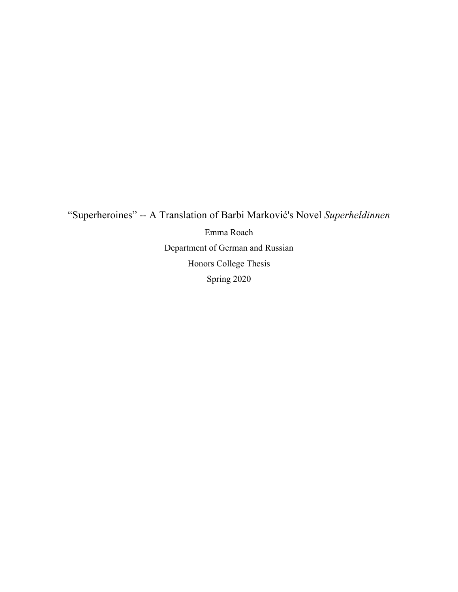"Superheroines" -- A Translation of Barbi Marković's Novel *Superheldinnen*

Emma Roach Department of German and Russian Honors College Thesis Spring 2020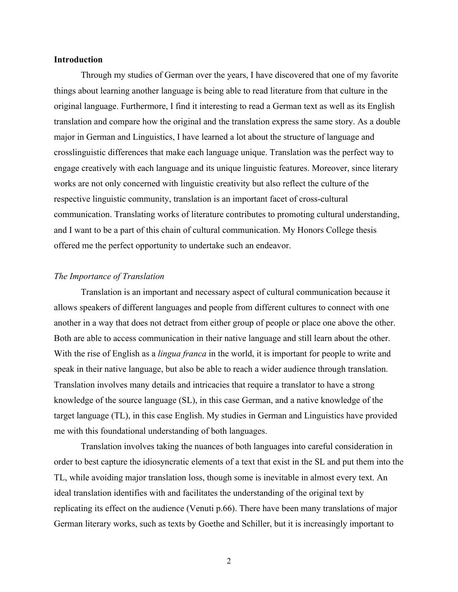#### **Introduction**

Through my studies of German over the years, I have discovered that one of my favorite things about learning another language is being able to read literature from that culture in the original language. Furthermore, I find it interesting to read a German text as well as its English translation and compare how the original and the translation express the same story. As a double major in German and Linguistics, I have learned a lot about the structure of language and crosslinguistic differences that make each language unique. Translation was the perfect way to engage creatively with each language and its unique linguistic features. Moreover, since literary works are not only concerned with linguistic creativity but also reflect the culture of the respective linguistic community, translation is an important facet of cross-cultural communication. Translating works of literature contributes to promoting cultural understanding, and I want to be a part of this chain of cultural communication. My Honors College thesis offered me the perfect opportunity to undertake such an endeavor.

#### *The Importance of Translation*

Translation is an important and necessary aspect of cultural communication because it allows speakers of different languages and people from different cultures to connect with one another in a way that does not detract from either group of people or place one above the other. Both are able to access communication in their native language and still learn about the other. With the rise of English as a *lingua franca* in the world, it is important for people to write and speak in their native language, but also be able to reach a wider audience through translation. Translation involves many details and intricacies that require a translator to have a strong knowledge of the source language (SL), in this case German, and a native knowledge of the target language (TL), in this case English. My studies in German and Linguistics have provided me with this foundational understanding of both languages.

Translation involves taking the nuances of both languages into careful consideration in order to best capture the idiosyncratic elements of a text that exist in the SL and put them into the TL, while avoiding major translation loss, though some is inevitable in almost every text. An ideal translation identifies with and facilitates the understanding of the original text by replicating its effect on the audience (Venuti p.66). There have been many translations of major German literary works, such as texts by Goethe and Schiller, but it is increasingly important to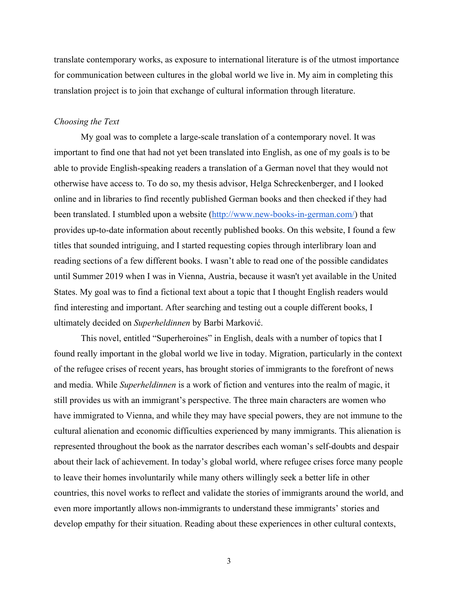translate contemporary works, as exposure to international literature is of the utmost importance for communication between cultures in the global world we live in. My aim in completing this translation project is to join that exchange of cultural information through literature.

#### *Choosing the Text*

My goal was to complete a large-scale translation of a contemporary novel. It was important to find one that had not yet been translated into English, as one of my goals is to be able to provide English-speaking readers a translation of a German novel that they would not otherwise have access to. To do so, my thesis advisor, Helga Schreckenberger, and I looked online and in libraries to find recently published German books and then checked if they had been translated. I stumbled upon a website (http://www.new-books-in-german.com/) that provides up-to-date information about recently published books. On this website, I found a few titles that sounded intriguing, and I started requesting copies through interlibrary loan and reading sections of a few different books. I wasn't able to read one of the possible candidates until Summer 2019 when I was in Vienna, Austria, because it wasn't yet available in the United States. My goal was to find a fictional text about a topic that I thought English readers would find interesting and important. After searching and testing out a couple different books, I ultimately decided on *Superheldinnen* by Barbi Marković.

This novel, entitled "Superheroines" in English, deals with a number of topics that I found really important in the global world we live in today. Migration, particularly in the context of the refugee crises of recent years, has brought stories of immigrants to the forefront of news and media. While *Superheldinnen* is a work of fiction and ventures into the realm of magic, it still provides us with an immigrant's perspective. The three main characters are women who have immigrated to Vienna, and while they may have special powers, they are not immune to the cultural alienation and economic difficulties experienced by many immigrants. This alienation is represented throughout the book as the narrator describes each woman's self-doubts and despair about their lack of achievement. In today's global world, where refugee crises force many people to leave their homes involuntarily while many others willingly seek a better life in other countries, this novel works to reflect and validate the stories of immigrants around the world, and even more importantly allows non-immigrants to understand these immigrants' stories and develop empathy for their situation. Reading about these experiences in other cultural contexts,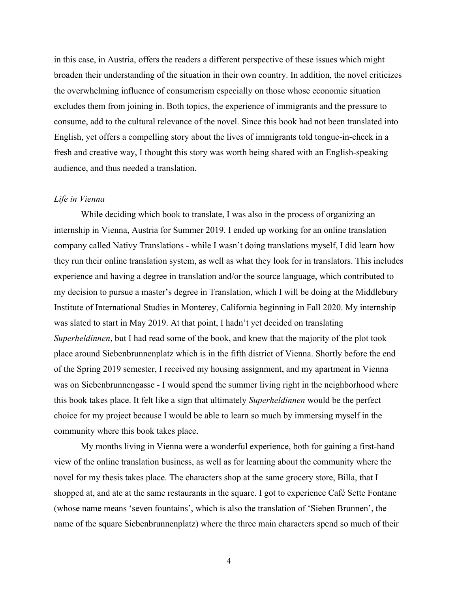in this case, in Austria, offers the readers a different perspective of these issues which might broaden their understanding of the situation in their own country. In addition, the novel criticizes the overwhelming influence of consumerism especially on those whose economic situation excludes them from joining in. Both topics, the experience of immigrants and the pressure to consume, add to the cultural relevance of the novel. Since this book had not been translated into English, yet offers a compelling story about the lives of immigrants told tongue-in-cheek in a fresh and creative way, I thought this story was worth being shared with an English-speaking audience, and thus needed a translation.

### *Life in Vienna*

While deciding which book to translate, I was also in the process of organizing an internship in Vienna, Austria for Summer 2019. I ended up working for an online translation company called Nativy Translations - while I wasn't doing translations myself, I did learn how they run their online translation system, as well as what they look for in translators. This includes experience and having a degree in translation and/or the source language, which contributed to my decision to pursue a master's degree in Translation, which I will be doing at the Middlebury Institute of International Studies in Monterey, California beginning in Fall 2020. My internship was slated to start in May 2019. At that point, I hadn't yet decided on translating *Superheldinnen*, but I had read some of the book, and knew that the majority of the plot took place around Siebenbrunnenplatz which is in the fifth district of Vienna. Shortly before the end of the Spring 2019 semester, I received my housing assignment, and my apartment in Vienna was on Siebenbrunnengasse - I would spend the summer living right in the neighborhood where this book takes place. It felt like a sign that ultimately *Superheldinnen* would be the perfect choice for my project because I would be able to learn so much by immersing myself in the community where this book takes place.

My months living in Vienna were a wonderful experience, both for gaining a first-hand view of the online translation business, as well as for learning about the community where the novel for my thesis takes place. The characters shop at the same grocery store, Billa, that I shopped at, and ate at the same restaurants in the square. I got to experience Café Sette Fontane (whose name means 'seven fountains', which is also the translation of 'Sieben Brunnen', the name of the square Siebenbrunnenplatz) where the three main characters spend so much of their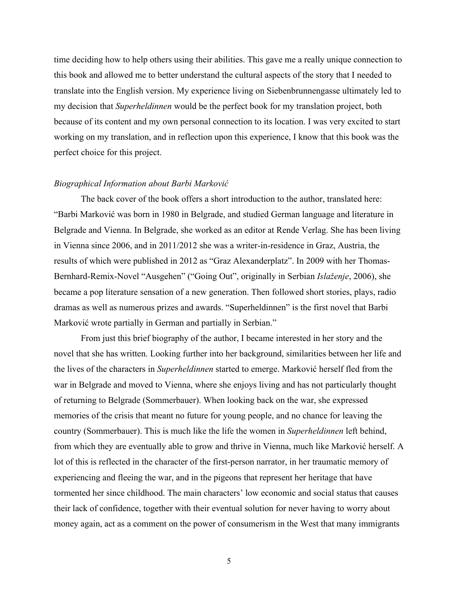time deciding how to help others using their abilities. This gave me a really unique connection to this book and allowed me to better understand the cultural aspects of the story that I needed to translate into the English version. My experience living on Siebenbrunnengasse ultimately led to my decision that *Superheldinnen* would be the perfect book for my translation project, both because of its content and my own personal connection to its location. I was very excited to start working on my translation, and in reflection upon this experience, I know that this book was the perfect choice for this project.

#### *Biographical Information about Barbi Marković*

The back cover of the book offers a short introduction to the author, translated here: "Barbi Marković was born in 1980 in Belgrade, and studied German language and literature in Belgrade and Vienna. In Belgrade, she worked as an editor at Rende Verlag. She has been living in Vienna since 2006, and in 2011/2012 she was a writer-in-residence in Graz, Austria, the results of which were published in 2012 as "Graz Alexanderplatz". In 2009 with her Thomas-Bernhard-Remix-Novel "Ausgehen" ("Going Out", originally in Serbian *Islaženje*, 2006), she became a pop literature sensation of a new generation. Then followed short stories, plays, radio dramas as well as numerous prizes and awards. "Superheldinnen" is the first novel that Barbi Marković wrote partially in German and partially in Serbian."

From just this brief biography of the author, I became interested in her story and the novel that she has written. Looking further into her background, similarities between her life and the lives of the characters in *Superheldinnen* started to emerge. Marković herself fled from the war in Belgrade and moved to Vienna, where she enjoys living and has not particularly thought of returning to Belgrade (Sommerbauer). When looking back on the war, she expressed memories of the crisis that meant no future for young people, and no chance for leaving the country (Sommerbauer). This is much like the life the women in *Superheldinnen* left behind, from which they are eventually able to grow and thrive in Vienna, much like Marković herself. A lot of this is reflected in the character of the first-person narrator, in her traumatic memory of experiencing and fleeing the war, and in the pigeons that represent her heritage that have tormented her since childhood. The main characters' low economic and social status that causes their lack of confidence, together with their eventual solution for never having to worry about money again, act as a comment on the power of consumerism in the West that many immigrants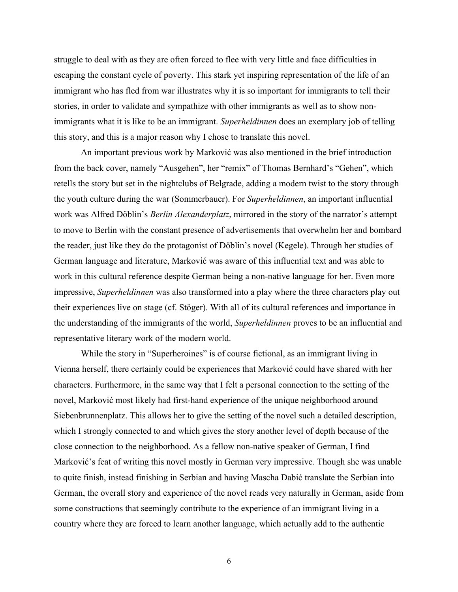struggle to deal with as they are often forced to flee with very little and face difficulties in escaping the constant cycle of poverty. This stark yet inspiring representation of the life of an immigrant who has fled from war illustrates why it is so important for immigrants to tell their stories, in order to validate and sympathize with other immigrants as well as to show nonimmigrants what it is like to be an immigrant. *Superheldinnen* does an exemplary job of telling this story, and this is a major reason why I chose to translate this novel.

An important previous work by Marković was also mentioned in the brief introduction from the back cover, namely "Ausgehen", her "remix" of Thomas Bernhard's "Gehen", which retells the story but set in the nightclubs of Belgrade, adding a modern twist to the story through the youth culture during the war (Sommerbauer). For *Superheldinnen*, an important influential work was Alfred Döblin's *Berlin Alexanderplatz*, mirrored in the story of the narrator's attempt to move to Berlin with the constant presence of advertisements that overwhelm her and bombard the reader, just like they do the protagonist of Döblin's novel (Kegele). Through her studies of German language and literature, Marković was aware of this influential text and was able to work in this cultural reference despite German being a non-native language for her. Even more impressive, *Superheldinnen* was also transformed into a play where the three characters play out their experiences live on stage (cf. Stöger). With all of its cultural references and importance in the understanding of the immigrants of the world, *Superheldinnen* proves to be an influential and representative literary work of the modern world.

While the story in "Superheroines" is of course fictional, as an immigrant living in Vienna herself, there certainly could be experiences that Marković could have shared with her characters. Furthermore, in the same way that I felt a personal connection to the setting of the novel, Marković most likely had first-hand experience of the unique neighborhood around Siebenbrunnenplatz. This allows her to give the setting of the novel such a detailed description, which I strongly connected to and which gives the story another level of depth because of the close connection to the neighborhood. As a fellow non-native speaker of German, I find Marković's feat of writing this novel mostly in German very impressive. Though she was unable to quite finish, instead finishing in Serbian and having Mascha Dabić translate the Serbian into German, the overall story and experience of the novel reads very naturally in German, aside from some constructions that seemingly contribute to the experience of an immigrant living in a country where they are forced to learn another language, which actually add to the authentic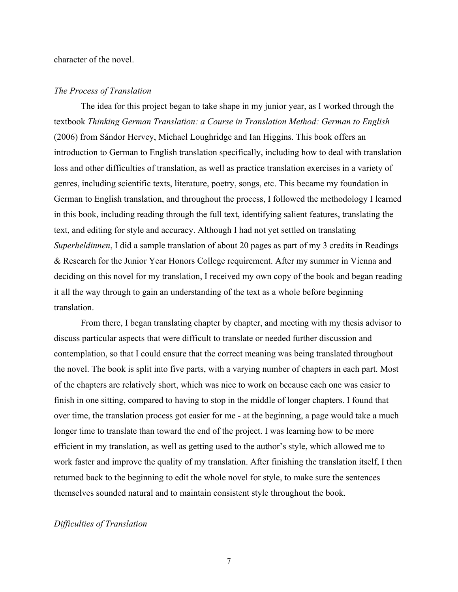character of the novel.

#### *The Process of Translation*

The idea for this project began to take shape in my junior year, as I worked through the textbook *Thinking German Translation: a Course in Translation Method: German to English* (2006) from Sándor Hervey, Michael Loughridge and Ian Higgins. This book offers an introduction to German to English translation specifically, including how to deal with translation loss and other difficulties of translation, as well as practice translation exercises in a variety of genres, including scientific texts, literature, poetry, songs, etc. This became my foundation in German to English translation, and throughout the process, I followed the methodology I learned in this book, including reading through the full text, identifying salient features, translating the text, and editing for style and accuracy. Although I had not yet settled on translating *Superheldinnen*, I did a sample translation of about 20 pages as part of my 3 credits in Readings & Research for the Junior Year Honors College requirement. After my summer in Vienna and deciding on this novel for my translation, I received my own copy of the book and began reading it all the way through to gain an understanding of the text as a whole before beginning translation.

From there, I began translating chapter by chapter, and meeting with my thesis advisor to discuss particular aspects that were difficult to translate or needed further discussion and contemplation, so that I could ensure that the correct meaning was being translated throughout the novel. The book is split into five parts, with a varying number of chapters in each part. Most of the chapters are relatively short, which was nice to work on because each one was easier to finish in one sitting, compared to having to stop in the middle of longer chapters. I found that over time, the translation process got easier for me - at the beginning, a page would take a much longer time to translate than toward the end of the project. I was learning how to be more efficient in my translation, as well as getting used to the author's style, which allowed me to work faster and improve the quality of my translation. After finishing the translation itself, I then returned back to the beginning to edit the whole novel for style, to make sure the sentences themselves sounded natural and to maintain consistent style throughout the book.

# *Difficulties of Translation*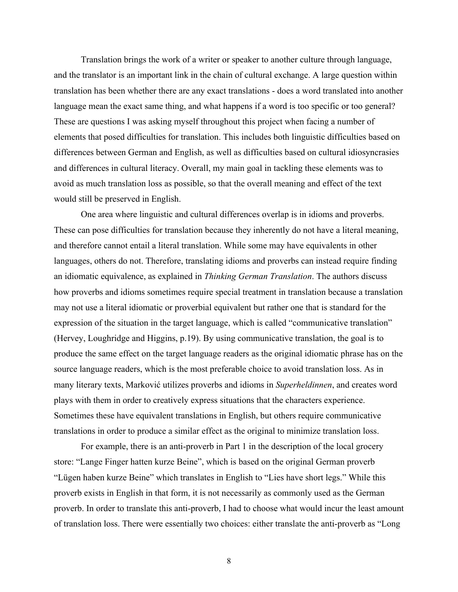Translation brings the work of a writer or speaker to another culture through language, and the translator is an important link in the chain of cultural exchange. A large question within translation has been whether there are any exact translations - does a word translated into another language mean the exact same thing, and what happens if a word is too specific or too general? These are questions I was asking myself throughout this project when facing a number of elements that posed difficulties for translation. This includes both linguistic difficulties based on differences between German and English, as well as difficulties based on cultural idiosyncrasies and differences in cultural literacy. Overall, my main goal in tackling these elements was to avoid as much translation loss as possible, so that the overall meaning and effect of the text would still be preserved in English.

One area where linguistic and cultural differences overlap is in idioms and proverbs. These can pose difficulties for translation because they inherently do not have a literal meaning, and therefore cannot entail a literal translation. While some may have equivalents in other languages, others do not. Therefore, translating idioms and proverbs can instead require finding an idiomatic equivalence, as explained in *Thinking German Translation*. The authors discuss how proverbs and idioms sometimes require special treatment in translation because a translation may not use a literal idiomatic or proverbial equivalent but rather one that is standard for the expression of the situation in the target language, which is called "communicative translation" (Hervey, Loughridge and Higgins, p.19). By using communicative translation, the goal is to produce the same effect on the target language readers as the original idiomatic phrase has on the source language readers, which is the most preferable choice to avoid translation loss. As in many literary texts, Marković utilizes proverbs and idioms in *Superheldinnen*, and creates word plays with them in order to creatively express situations that the characters experience. Sometimes these have equivalent translations in English, but others require communicative translations in order to produce a similar effect as the original to minimize translation loss.

For example, there is an anti-proverb in Part 1 in the description of the local grocery store: "Lange Finger hatten kurze Beine", which is based on the original German proverb "Lügen haben kurze Beine" which translates in English to "Lies have short legs." While this proverb exists in English in that form, it is not necessarily as commonly used as the German proverb. In order to translate this anti-proverb, I had to choose what would incur the least amount of translation loss. There were essentially two choices: either translate the anti-proverb as "Long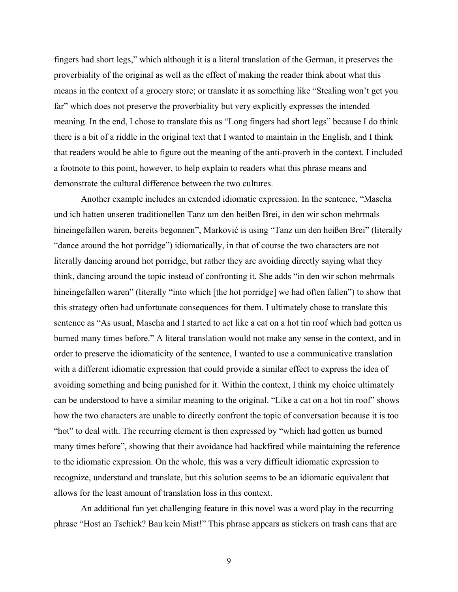fingers had short legs," which although it is a literal translation of the German, it preserves the proverbiality of the original as well as the effect of making the reader think about what this means in the context of a grocery store; or translate it as something like "Stealing won't get you far" which does not preserve the proverbiality but very explicitly expresses the intended meaning. In the end, I chose to translate this as "Long fingers had short legs" because I do think there is a bit of a riddle in the original text that I wanted to maintain in the English, and I think that readers would be able to figure out the meaning of the anti-proverb in the context. I included a footnote to this point, however, to help explain to readers what this phrase means and demonstrate the cultural difference between the two cultures.

Another example includes an extended idiomatic expression. In the sentence, "Mascha und ich hatten unseren traditionellen Tanz um den heißen Brei, in den wir schon mehrmals hineingefallen waren, bereits begonnen", Marković is using "Tanz um den heißen Brei" (literally "dance around the hot porridge") idiomatically, in that of course the two characters are not literally dancing around hot porridge, but rather they are avoiding directly saying what they think, dancing around the topic instead of confronting it. She adds "in den wir schon mehrmals hineingefallen waren" (literally "into which [the hot porridge] we had often fallen") to show that this strategy often had unfortunate consequences for them. I ultimately chose to translate this sentence as "As usual, Mascha and I started to act like a cat on a hot tin roof which had gotten us burned many times before." A literal translation would not make any sense in the context, and in order to preserve the idiomaticity of the sentence, I wanted to use a communicative translation with a different idiomatic expression that could provide a similar effect to express the idea of avoiding something and being punished for it. Within the context, I think my choice ultimately can be understood to have a similar meaning to the original. "Like a cat on a hot tin roof" shows how the two characters are unable to directly confront the topic of conversation because it is too "hot" to deal with. The recurring element is then expressed by "which had gotten us burned many times before", showing that their avoidance had backfired while maintaining the reference to the idiomatic expression. On the whole, this was a very difficult idiomatic expression to recognize, understand and translate, but this solution seems to be an idiomatic equivalent that allows for the least amount of translation loss in this context.

An additional fun yet challenging feature in this novel was a word play in the recurring phrase "Host an Tschick? Bau kein Mist!" This phrase appears as stickers on trash cans that are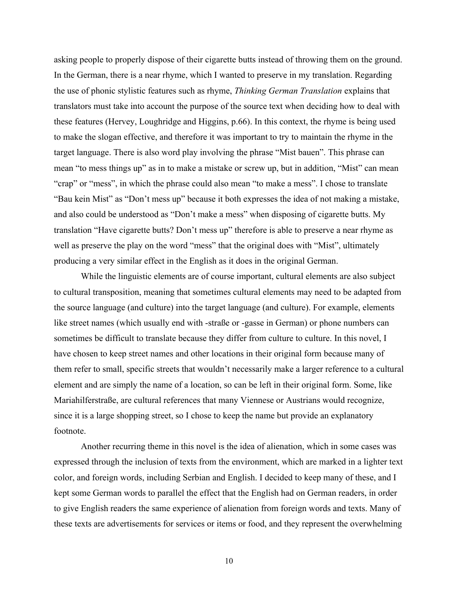asking people to properly dispose of their cigarette butts instead of throwing them on the ground. In the German, there is a near rhyme, which I wanted to preserve in my translation. Regarding the use of phonic stylistic features such as rhyme, *Thinking German Translation* explains that translators must take into account the purpose of the source text when deciding how to deal with these features (Hervey, Loughridge and Higgins, p.66). In this context, the rhyme is being used to make the slogan effective, and therefore it was important to try to maintain the rhyme in the target language. There is also word play involving the phrase "Mist bauen". This phrase can mean "to mess things up" as in to make a mistake or screw up, but in addition, "Mist" can mean "crap" or "mess", in which the phrase could also mean "to make a mess". I chose to translate "Bau kein Mist" as "Don't mess up" because it both expresses the idea of not making a mistake, and also could be understood as "Don't make a mess" when disposing of cigarette butts. My translation "Have cigarette butts? Don't mess up" therefore is able to preserve a near rhyme as well as preserve the play on the word "mess" that the original does with "Mist", ultimately producing a very similar effect in the English as it does in the original German.

While the linguistic elements are of course important, cultural elements are also subject to cultural transposition, meaning that sometimes cultural elements may need to be adapted from the source language (and culture) into the target language (and culture). For example, elements like street names (which usually end with -straße or -gasse in German) or phone numbers can sometimes be difficult to translate because they differ from culture to culture. In this novel, I have chosen to keep street names and other locations in their original form because many of them refer to small, specific streets that wouldn't necessarily make a larger reference to a cultural element and are simply the name of a location, so can be left in their original form. Some, like Mariahilferstraße, are cultural references that many Viennese or Austrians would recognize, since it is a large shopping street, so I chose to keep the name but provide an explanatory footnote.

Another recurring theme in this novel is the idea of alienation, which in some cases was expressed through the inclusion of texts from the environment, which are marked in a lighter text color, and foreign words, including Serbian and English. I decided to keep many of these, and I kept some German words to parallel the effect that the English had on German readers, in order to give English readers the same experience of alienation from foreign words and texts. Many of these texts are advertisements for services or items or food, and they represent the overwhelming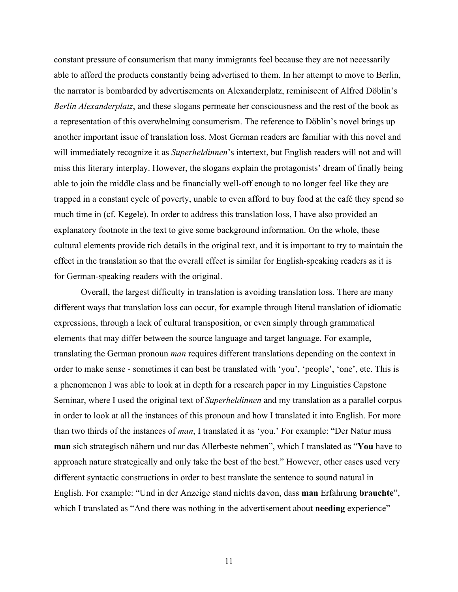constant pressure of consumerism that many immigrants feel because they are not necessarily able to afford the products constantly being advertised to them. In her attempt to move to Berlin, the narrator is bombarded by advertisements on Alexanderplatz, reminiscent of Alfred Döblin's *Berlin Alexanderplatz*, and these slogans permeate her consciousness and the rest of the book as a representation of this overwhelming consumerism. The reference to Döblin's novel brings up another important issue of translation loss. Most German readers are familiar with this novel and will immediately recognize it as *Superheldinnen*'s intertext, but English readers will not and will miss this literary interplay. However, the slogans explain the protagonists' dream of finally being able to join the middle class and be financially well-off enough to no longer feel like they are trapped in a constant cycle of poverty, unable to even afford to buy food at the café they spend so much time in (cf. Kegele). In order to address this translation loss, I have also provided an explanatory footnote in the text to give some background information. On the whole, these cultural elements provide rich details in the original text, and it is important to try to maintain the effect in the translation so that the overall effect is similar for English-speaking readers as it is for German-speaking readers with the original.

Overall, the largest difficulty in translation is avoiding translation loss. There are many different ways that translation loss can occur, for example through literal translation of idiomatic expressions, through a lack of cultural transposition, or even simply through grammatical elements that may differ between the source language and target language. For example, translating the German pronoun *man* requires different translations depending on the context in order to make sense - sometimes it can best be translated with 'you', 'people', 'one', etc. This is a phenomenon I was able to look at in depth for a research paper in my Linguistics Capstone Seminar, where I used the original text of *Superheldinnen* and my translation as a parallel corpus in order to look at all the instances of this pronoun and how I translated it into English. For more than two thirds of the instances of *man*, I translated it as 'you.' For example: "Der Natur muss **man** sich strategisch nähern und nur das Allerbeste nehmen", which I translated as "**You** have to approach nature strategically and only take the best of the best." However, other cases used very different syntactic constructions in order to best translate the sentence to sound natural in English. For example: "Und in der Anzeige stand nichts davon, dass **man** Erfahrung **brauchte**", which I translated as "And there was nothing in the advertisement about **needing** experience"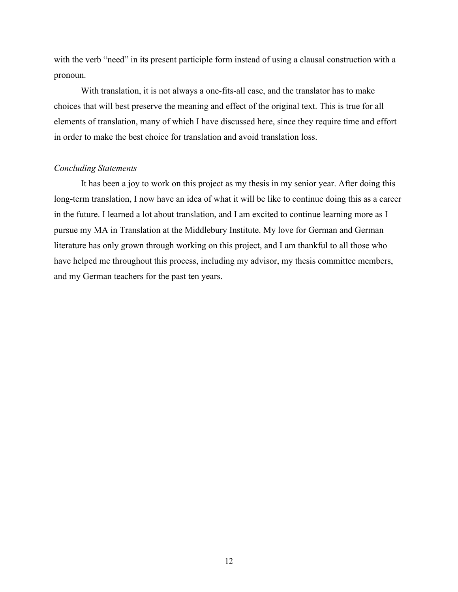with the verb "need" in its present participle form instead of using a clausal construction with a pronoun.

With translation, it is not always a one-fits-all case, and the translator has to make choices that will best preserve the meaning and effect of the original text. This is true for all elements of translation, many of which I have discussed here, since they require time and effort in order to make the best choice for translation and avoid translation loss.

#### *Concluding Statements*

It has been a joy to work on this project as my thesis in my senior year. After doing this long-term translation, I now have an idea of what it will be like to continue doing this as a career in the future. I learned a lot about translation, and I am excited to continue learning more as I pursue my MA in Translation at the Middlebury Institute. My love for German and German literature has only grown through working on this project, and I am thankful to all those who have helped me throughout this process, including my advisor, my thesis committee members, and my German teachers for the past ten years.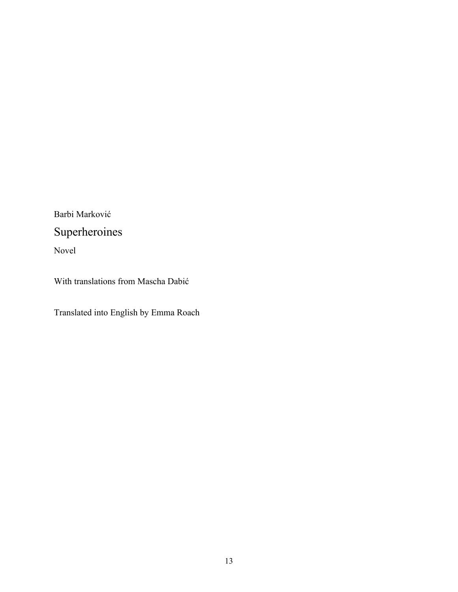Barbi Marković

# Superheroines

Novel

With translations from Mascha Dabić

Translated into English by Emma Roach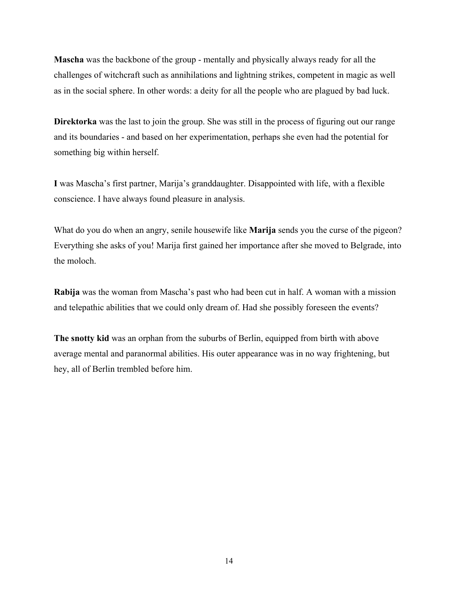**Mascha** was the backbone of the group - mentally and physically always ready for all the challenges of witchcraft such as annihilations and lightning strikes, competent in magic as well as in the social sphere. In other words: a deity for all the people who are plagued by bad luck.

**Direktorka** was the last to join the group. She was still in the process of figuring out our range and its boundaries - and based on her experimentation, perhaps she even had the potential for something big within herself.

**I** was Mascha's first partner, Marija's granddaughter. Disappointed with life, with a flexible conscience. I have always found pleasure in analysis.

What do you do when an angry, senile housewife like **Marija** sends you the curse of the pigeon? Everything she asks of you! Marija first gained her importance after she moved to Belgrade, into the moloch.

**Rabija** was the woman from Mascha's past who had been cut in half. A woman with a mission and telepathic abilities that we could only dream of. Had she possibly foreseen the events?

**The snotty kid** was an orphan from the suburbs of Berlin, equipped from birth with above average mental and paranormal abilities. His outer appearance was in no way frightening, but hey, all of Berlin trembled before him.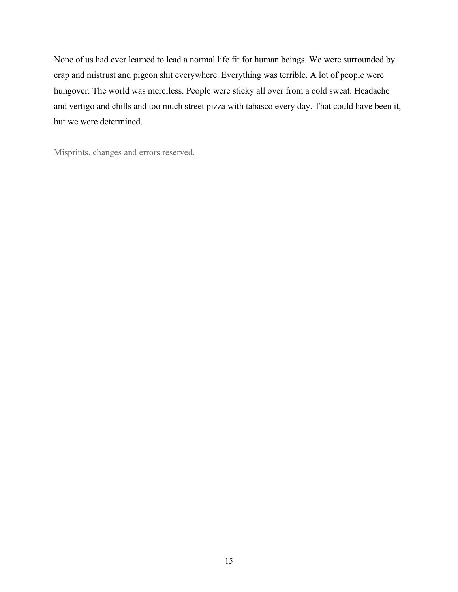None of us had ever learned to lead a normal life fit for human beings. We were surrounded by crap and mistrust and pigeon shit everywhere. Everything was terrible. A lot of people were hungover. The world was merciless. People were sticky all over from a cold sweat. Headache and vertigo and chills and too much street pizza with tabasco every day. That could have been it, but we were determined.

Misprints, changes and errors reserved.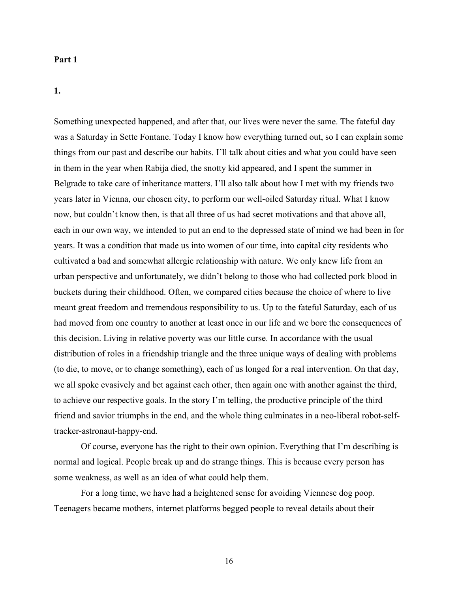### **Part 1**

**1.** 

Something unexpected happened, and after that, our lives were never the same. The fateful day was a Saturday in Sette Fontane. Today I know how everything turned out, so I can explain some things from our past and describe our habits. I'll talk about cities and what you could have seen in them in the year when Rabija died, the snotty kid appeared, and I spent the summer in Belgrade to take care of inheritance matters. I'll also talk about how I met with my friends two years later in Vienna, our chosen city, to perform our well-oiled Saturday ritual. What I know now, but couldn't know then, is that all three of us had secret motivations and that above all, each in our own way, we intended to put an end to the depressed state of mind we had been in for years. It was a condition that made us into women of our time, into capital city residents who cultivated a bad and somewhat allergic relationship with nature. We only knew life from an urban perspective and unfortunately, we didn't belong to those who had collected pork blood in buckets during their childhood. Often, we compared cities because the choice of where to live meant great freedom and tremendous responsibility to us. Up to the fateful Saturday, each of us had moved from one country to another at least once in our life and we bore the consequences of this decision. Living in relative poverty was our little curse. In accordance with the usual distribution of roles in a friendship triangle and the three unique ways of dealing with problems (to die, to move, or to change something), each of us longed for a real intervention. On that day, we all spoke evasively and bet against each other, then again one with another against the third, to achieve our respective goals. In the story I'm telling, the productive principle of the third friend and savior triumphs in the end, and the whole thing culminates in a neo-liberal robot-selftracker-astronaut-happy-end.

Of course, everyone has the right to their own opinion. Everything that I'm describing is normal and logical. People break up and do strange things. This is because every person has some weakness, as well as an idea of what could help them.

For a long time, we have had a heightened sense for avoiding Viennese dog poop. Teenagers became mothers, internet platforms begged people to reveal details about their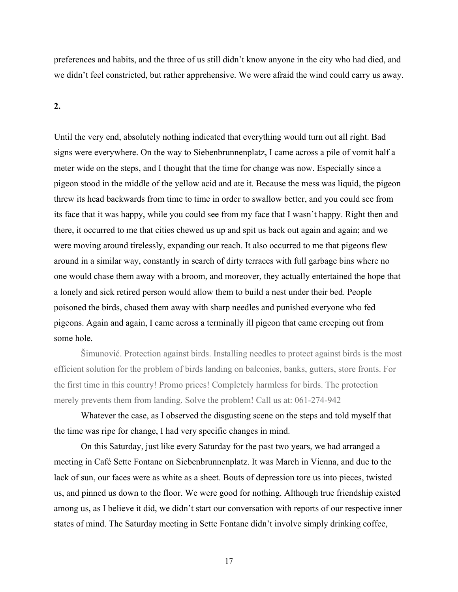preferences and habits, and the three of us still didn't know anyone in the city who had died, and we didn't feel constricted, but rather apprehensive. We were afraid the wind could carry us away.

#### **2.**

Until the very end, absolutely nothing indicated that everything would turn out all right. Bad signs were everywhere. On the way to Siebenbrunnenplatz, I came across a pile of vomit half a meter wide on the steps, and I thought that the time for change was now. Especially since a pigeon stood in the middle of the yellow acid and ate it. Because the mess was liquid, the pigeon threw its head backwards from time to time in order to swallow better, and you could see from its face that it was happy, while you could see from my face that I wasn't happy. Right then and there, it occurred to me that cities chewed us up and spit us back out again and again; and we were moving around tirelessly, expanding our reach. It also occurred to me that pigeons flew around in a similar way, constantly in search of dirty terraces with full garbage bins where no one would chase them away with a broom, and moreover, they actually entertained the hope that a lonely and sick retired person would allow them to build a nest under their bed. People poisoned the birds, chased them away with sharp needles and punished everyone who fed pigeons. Again and again, I came across a terminally ill pigeon that came creeping out from some hole.

Šimunović. Protection against birds. Installing needles to protect against birds is the most efficient solution for the problem of birds landing on balconies, banks, gutters, store fronts. For the first time in this country! Promo prices! Completely harmless for birds. The protection merely prevents them from landing. Solve the problem! Call us at: 061-274-942

Whatever the case, as I observed the disgusting scene on the steps and told myself that the time was ripe for change, I had very specific changes in mind.

On this Saturday, just like every Saturday for the past two years, we had arranged a meeting in Café Sette Fontane on Siebenbrunnenplatz. It was March in Vienna, and due to the lack of sun, our faces were as white as a sheet. Bouts of depression tore us into pieces, twisted us, and pinned us down to the floor. We were good for nothing. Although true friendship existed among us, as I believe it did, we didn't start our conversation with reports of our respective inner states of mind. The Saturday meeting in Sette Fontane didn't involve simply drinking coffee,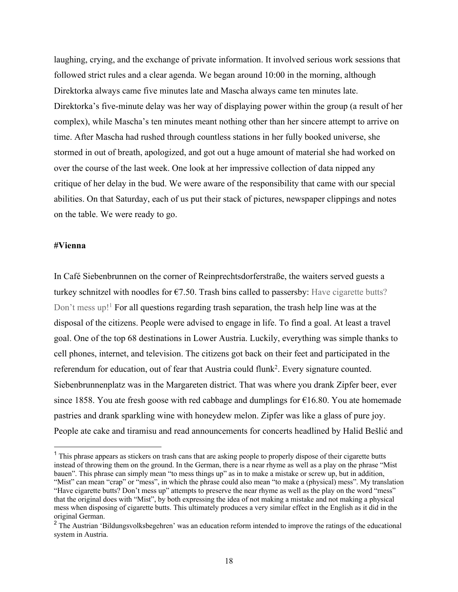laughing, crying, and the exchange of private information. It involved serious work sessions that followed strict rules and a clear agenda. We began around 10:00 in the morning, although Direktorka always came five minutes late and Mascha always came ten minutes late. Direktorka's five-minute delay was her way of displaying power within the group (a result of her complex), while Mascha's ten minutes meant nothing other than her sincere attempt to arrive on time. After Mascha had rushed through countless stations in her fully booked universe, she stormed in out of breath, apologized, and got out a huge amount of material she had worked on over the course of the last week. One look at her impressive collection of data nipped any critique of her delay in the bud. We were aware of the responsibility that came with our special abilities. On that Saturday, each of us put their stack of pictures, newspaper clippings and notes on the table. We were ready to go.

#### **#Vienna**

In Café Siebenbrunnen on the corner of Reinprechtsdorferstraße, the waiters served guests a turkey schnitzel with noodles for  $\epsilon$ 7.50. Trash bins called to passersby: Have cigarette butts? Don't mess up!<sup>1</sup> For all questions regarding trash separation, the trash help line was at the disposal of the citizens. People were advised to engage in life. To find a goal. At least a travel goal. One of the top 68 destinations in Lower Austria. Luckily, everything was simple thanks to cell phones, internet, and television. The citizens got back on their feet and participated in the referendum for education, out of fear that Austria could flunk<sup>2</sup>. Every signature counted. Siebenbrunnenplatz was in the Margareten district. That was where you drank Zipfer beer, ever since 1858. You ate fresh goose with red cabbage and dumplings for  $\epsilon$ 16.80. You ate homemade pastries and drank sparkling wine with honeydew melon. Zipfer was like a glass of pure joy. People ate cake and tiramisu and read announcements for concerts headlined by Halid Bešlić and

 $<sup>1</sup>$  This phrase appears as stickers on trash cans that are asking people to properly dispose of their cigarette butts</sup> instead of throwing them on the ground. In the German, there is a near rhyme as well as a play on the phrase "Mist bauen". This phrase can simply mean "to mess things up" as in to make a mistake or screw up, but in addition, "Mist" can mean "crap" or "mess", in which the phrase could also mean "to make a (physical) mess". My translation "Have cigarette butts? Don't mess up" attempts to preserve the near rhyme as well as the play on the word "mess" that the original does with "Mist", by both expressing the idea of not making a mistake and not making a physical mess when disposing of cigarette butts. This ultimately produces a very similar effect in the English as it did in the original German.

<sup>&</sup>lt;sup>2</sup> The Austrian 'Bildungsvolksbegehren' was an education reform intended to improve the ratings of the educational system in Austria.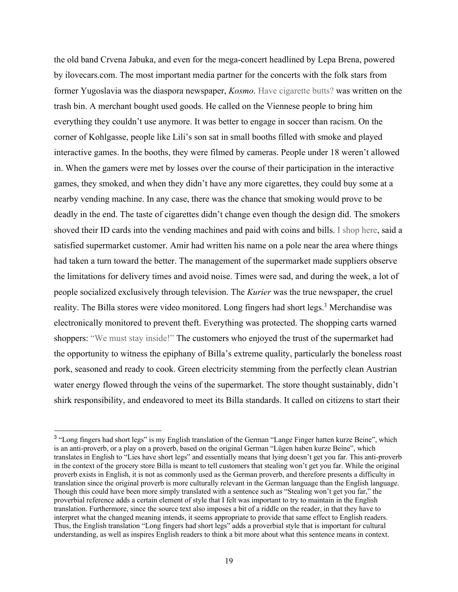the old band Crvena Jabuka, and even for the mega-concert headlined by Lepa Brena, powered by ilovecars.com. The most important media partner for the concerts with the folk stars from former Yugoslavia was the diaspora newspaper, *Kosmo*. Have cigarette butts? was written on the trash bin. A merchant bought used goods. He called on the Viennese people to bring him everything they couldn't use anymore. It was better to engage in soccer than racism. On the corner of Kohlgasse, people like Lili's son sat in small booths filled with smoke and played interactive games. In the booths, they were filmed by cameras. People under 18 weren't allowed in. When the gamers were met by losses over the course of their participation in the interactive games, they smoked, and when they didn't have any more cigarettes, they could buy some at a nearby vending machine. In any case, there was the chance that smoking would prove to be deadly in the end. The taste of cigarettes didn't change even though the design did. The smokers shoved their ID cards into the vending machines and paid with coins and bills. I shop here, said a satisfied supermarket customer. Amir had written his name on a pole near the area where things had taken a turn toward the better. The management of the supermarket made suppliers observe the limitations for delivery times and avoid noise. Times were sad, and during the week, a lot of people socialized exclusively through television. The *Kurier* was the true newspaper, the cruel reality. The Billa stores were video monitored. Long fingers had short legs.<sup>3</sup> Merchandise was electronically monitored to prevent theft. Everything was protected. The shopping carts warned shoppers: "We must stay inside!" The customers who enjoyed the trust of the supermarket had the opportunity to witness the epiphany of Billa's extreme quality, particularly the boneless roast pork, seasoned and ready to cook. Green electricity stemming from the perfectly clean Austrian water energy flowed through the veins of the supermarket. The store thought sustainably, didn't shirk responsibility, and endeavored to meet its Billa standards. It called on citizens to start their

<sup>&</sup>lt;sup>3</sup> "Long fingers had short legs" is my English translation of the German "Lange Finger hatten kurze Beine", which is an anti-proverb, or a play on a proverb, based on the original German "Lügen haben kurze Beine", which translates in English to "Lies have short legs" and essentially means that lying doesn't get you far. This anti-proverb in the context of the grocery store Billa is meant to tell customers that stealing won't get you far. While the original proverb exists in English, it is not as commonly used as the German proverb, and therefore presents a difficulty in translation since the original proverb is more culturally relevant in the German language than the English language. Though this could have been more simply translated with a sentence such as "Stealing won't get you far," the proverbial reference adds a certain element of style that I felt was important to try to maintain in the English translation. Furthermore, since the source text also imposes a bit of a riddle on the reader, in that they have to interpret what the changed meaning intends, it seems appropriate to provide that same effect to English readers. Thus, the English translation "Long fingers had short legs" adds a proverbial style that is important for cultural understanding, as well as inspires English readers to think a bit more about what this sentence means in context.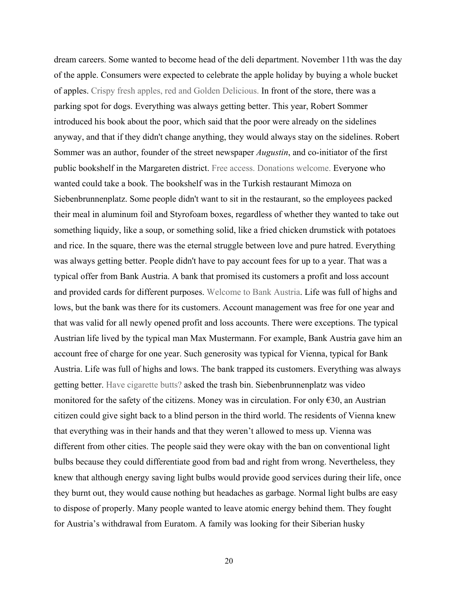dream careers. Some wanted to become head of the deli department. November 11th was the day of the apple. Consumers were expected to celebrate the apple holiday by buying a whole bucket of apples. Crispy fresh apples, red and Golden Delicious. In front of the store, there was a parking spot for dogs. Everything was always getting better. This year, Robert Sommer introduced his book about the poor, which said that the poor were already on the sidelines anyway, and that if they didn't change anything, they would always stay on the sidelines. Robert Sommer was an author, founder of the street newspaper *Augustin*, and co-initiator of the first public bookshelf in the Margareten district. Free access. Donations welcome. Everyone who wanted could take a book. The bookshelf was in the Turkish restaurant Mimoza on Siebenbrunnenplatz. Some people didn't want to sit in the restaurant, so the employees packed their meal in aluminum foil and Styrofoam boxes, regardless of whether they wanted to take out something liquidy, like a soup, or something solid, like a fried chicken drumstick with potatoes and rice. In the square, there was the eternal struggle between love and pure hatred. Everything was always getting better. People didn't have to pay account fees for up to a year. That was a typical offer from Bank Austria. A bank that promised its customers a profit and loss account and provided cards for different purposes. Welcome to Bank Austria. Life was full of highs and lows, but the bank was there for its customers. Account management was free for one year and that was valid for all newly opened profit and loss accounts. There were exceptions. The typical Austrian life lived by the typical man Max Mustermann. For example, Bank Austria gave him an account free of charge for one year. Such generosity was typical for Vienna, typical for Bank Austria. Life was full of highs and lows. The bank trapped its customers. Everything was always getting better. Have cigarette butts? asked the trash bin. Siebenbrunnenplatz was video monitored for the safety of the citizens. Money was in circulation. For only  $\epsilon$ 30, an Austrian citizen could give sight back to a blind person in the third world. The residents of Vienna knew that everything was in their hands and that they weren't allowed to mess up. Vienna was different from other cities. The people said they were okay with the ban on conventional light bulbs because they could differentiate good from bad and right from wrong. Nevertheless, they knew that although energy saving light bulbs would provide good services during their life, once they burnt out, they would cause nothing but headaches as garbage. Normal light bulbs are easy to dispose of properly. Many people wanted to leave atomic energy behind them. They fought for Austria's withdrawal from Euratom. A family was looking for their Siberian husky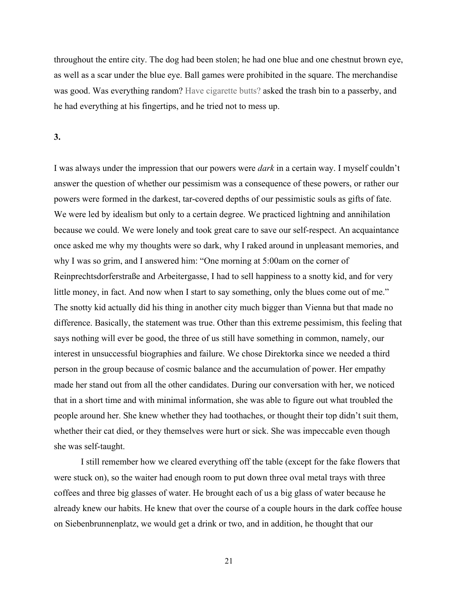throughout the entire city. The dog had been stolen; he had one blue and one chestnut brown eye, as well as a scar under the blue eye. Ball games were prohibited in the square. The merchandise was good. Was everything random? Have cigarette butts? asked the trash bin to a passerby, and he had everything at his fingertips, and he tried not to mess up.

### **3.**

I was always under the impression that our powers were *dark* in a certain way. I myself couldn't answer the question of whether our pessimism was a consequence of these powers, or rather our powers were formed in the darkest, tar-covered depths of our pessimistic souls as gifts of fate. We were led by idealism but only to a certain degree. We practiced lightning and annihilation because we could. We were lonely and took great care to save our self-respect. An acquaintance once asked me why my thoughts were so dark, why I raked around in unpleasant memories, and why I was so grim, and I answered him: "One morning at 5:00am on the corner of Reinprechtsdorferstraße and Arbeitergasse, I had to sell happiness to a snotty kid, and for very little money, in fact. And now when I start to say something, only the blues come out of me." The snotty kid actually did his thing in another city much bigger than Vienna but that made no difference. Basically, the statement was true. Other than this extreme pessimism, this feeling that says nothing will ever be good, the three of us still have something in common, namely, our interest in unsuccessful biographies and failure. We chose Direktorka since we needed a third person in the group because of cosmic balance and the accumulation of power. Her empathy made her stand out from all the other candidates. During our conversation with her, we noticed that in a short time and with minimal information, she was able to figure out what troubled the people around her. She knew whether they had toothaches, or thought their top didn't suit them, whether their cat died, or they themselves were hurt or sick. She was impeccable even though she was self-taught.

I still remember how we cleared everything off the table (except for the fake flowers that were stuck on), so the waiter had enough room to put down three oval metal trays with three coffees and three big glasses of water. He brought each of us a big glass of water because he already knew our habits. He knew that over the course of a couple hours in the dark coffee house on Siebenbrunnenplatz, we would get a drink or two, and in addition, he thought that our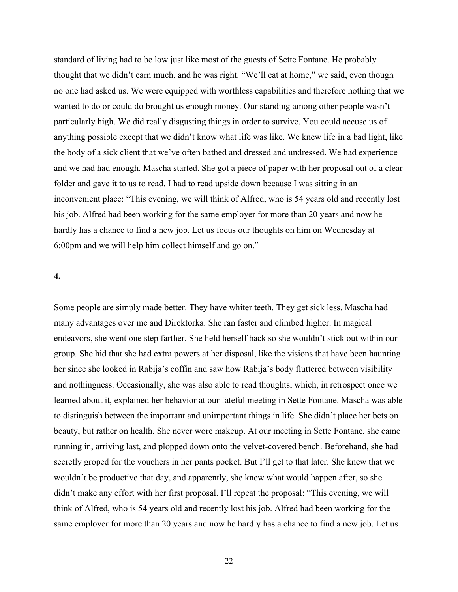standard of living had to be low just like most of the guests of Sette Fontane. He probably thought that we didn't earn much, and he was right. "We'll eat at home," we said, even though no one had asked us. We were equipped with worthless capabilities and therefore nothing that we wanted to do or could do brought us enough money. Our standing among other people wasn't particularly high. We did really disgusting things in order to survive. You could accuse us of anything possible except that we didn't know what life was like. We knew life in a bad light, like the body of a sick client that we've often bathed and dressed and undressed. We had experience and we had had enough. Mascha started. She got a piece of paper with her proposal out of a clear folder and gave it to us to read. I had to read upside down because I was sitting in an inconvenient place: "This evening, we will think of Alfred, who is 54 years old and recently lost his job. Alfred had been working for the same employer for more than 20 years and now he hardly has a chance to find a new job. Let us focus our thoughts on him on Wednesday at 6:00pm and we will help him collect himself and go on."

# **4.**

Some people are simply made better. They have whiter teeth. They get sick less. Mascha had many advantages over me and Direktorka. She ran faster and climbed higher. In magical endeavors, she went one step farther. She held herself back so she wouldn't stick out within our group. She hid that she had extra powers at her disposal, like the visions that have been haunting her since she looked in Rabija's coffin and saw how Rabija's body fluttered between visibility and nothingness. Occasionally, she was also able to read thoughts, which, in retrospect once we learned about it, explained her behavior at our fateful meeting in Sette Fontane. Mascha was able to distinguish between the important and unimportant things in life. She didn't place her bets on beauty, but rather on health. She never wore makeup. At our meeting in Sette Fontane, she came running in, arriving last, and plopped down onto the velvet-covered bench. Beforehand, she had secretly groped for the vouchers in her pants pocket. But I'll get to that later. She knew that we wouldn't be productive that day, and apparently, she knew what would happen after, so she didn't make any effort with her first proposal. I'll repeat the proposal: "This evening, we will think of Alfred, who is 54 years old and recently lost his job. Alfred had been working for the same employer for more than 20 years and now he hardly has a chance to find a new job. Let us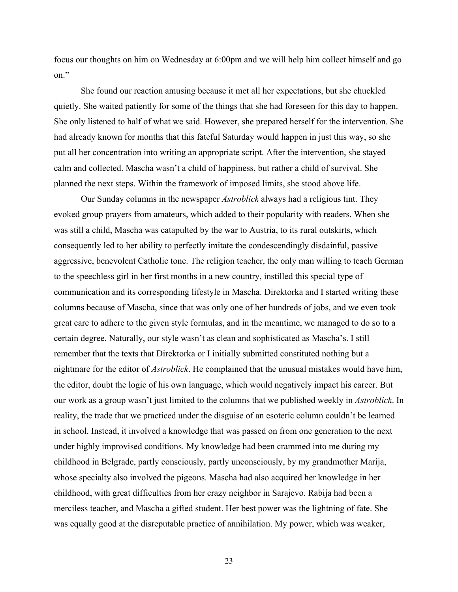focus our thoughts on him on Wednesday at 6:00pm and we will help him collect himself and go on."

She found our reaction amusing because it met all her expectations, but she chuckled quietly. She waited patiently for some of the things that she had foreseen for this day to happen. She only listened to half of what we said. However, she prepared herself for the intervention. She had already known for months that this fateful Saturday would happen in just this way, so she put all her concentration into writing an appropriate script. After the intervention, she stayed calm and collected. Mascha wasn't a child of happiness, but rather a child of survival. She planned the next steps. Within the framework of imposed limits, she stood above life.

Our Sunday columns in the newspaper *Astroblick* always had a religious tint. They evoked group prayers from amateurs, which added to their popularity with readers. When she was still a child, Mascha was catapulted by the war to Austria, to its rural outskirts, which consequently led to her ability to perfectly imitate the condescendingly disdainful, passive aggressive, benevolent Catholic tone. The religion teacher, the only man willing to teach German to the speechless girl in her first months in a new country, instilled this special type of communication and its corresponding lifestyle in Mascha. Direktorka and I started writing these columns because of Mascha, since that was only one of her hundreds of jobs, and we even took great care to adhere to the given style formulas, and in the meantime, we managed to do so to a certain degree. Naturally, our style wasn't as clean and sophisticated as Mascha's. I still remember that the texts that Direktorka or I initially submitted constituted nothing but a nightmare for the editor of *Astroblick*. He complained that the unusual mistakes would have him, the editor, doubt the logic of his own language, which would negatively impact his career. But our work as a group wasn't just limited to the columns that we published weekly in *Astroblick*. In reality, the trade that we practiced under the disguise of an esoteric column couldn't be learned in school. Instead, it involved a knowledge that was passed on from one generation to the next under highly improvised conditions. My knowledge had been crammed into me during my childhood in Belgrade, partly consciously, partly unconsciously, by my grandmother Marija, whose specialty also involved the pigeons. Mascha had also acquired her knowledge in her childhood, with great difficulties from her crazy neighbor in Sarajevo. Rabija had been a merciless teacher, and Mascha a gifted student. Her best power was the lightning of fate. She was equally good at the disreputable practice of annihilation. My power, which was weaker,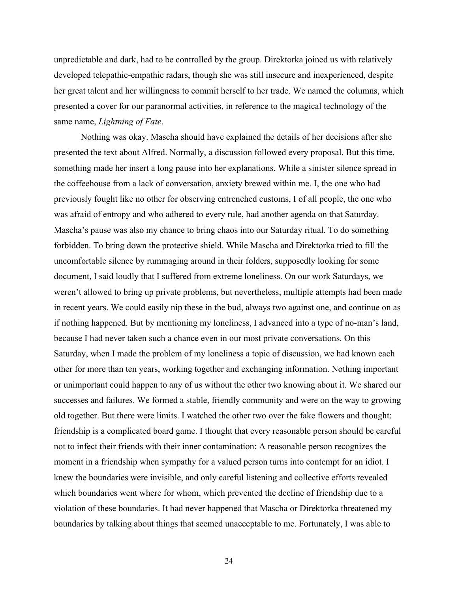unpredictable and dark, had to be controlled by the group. Direktorka joined us with relatively developed telepathic-empathic radars, though she was still insecure and inexperienced, despite her great talent and her willingness to commit herself to her trade. We named the columns, which presented a cover for our paranormal activities, in reference to the magical technology of the same name, *Lightning of Fate*.

Nothing was okay. Mascha should have explained the details of her decisions after she presented the text about Alfred. Normally, a discussion followed every proposal. But this time, something made her insert a long pause into her explanations. While a sinister silence spread in the coffeehouse from a lack of conversation, anxiety brewed within me. I, the one who had previously fought like no other for observing entrenched customs, I of all people, the one who was afraid of entropy and who adhered to every rule, had another agenda on that Saturday. Mascha's pause was also my chance to bring chaos into our Saturday ritual. To do something forbidden. To bring down the protective shield. While Mascha and Direktorka tried to fill the uncomfortable silence by rummaging around in their folders, supposedly looking for some document, I said loudly that I suffered from extreme loneliness. On our work Saturdays, we weren't allowed to bring up private problems, but nevertheless, multiple attempts had been made in recent years. We could easily nip these in the bud, always two against one, and continue on as if nothing happened. But by mentioning my loneliness, I advanced into a type of no-man's land, because I had never taken such a chance even in our most private conversations. On this Saturday, when I made the problem of my loneliness a topic of discussion, we had known each other for more than ten years, working together and exchanging information. Nothing important or unimportant could happen to any of us without the other two knowing about it. We shared our successes and failures. We formed a stable, friendly community and were on the way to growing old together. But there were limits. I watched the other two over the fake flowers and thought: friendship is a complicated board game. I thought that every reasonable person should be careful not to infect their friends with their inner contamination: A reasonable person recognizes the moment in a friendship when sympathy for a valued person turns into contempt for an idiot. I knew the boundaries were invisible, and only careful listening and collective efforts revealed which boundaries went where for whom, which prevented the decline of friendship due to a violation of these boundaries. It had never happened that Mascha or Direktorka threatened my boundaries by talking about things that seemed unacceptable to me. Fortunately, I was able to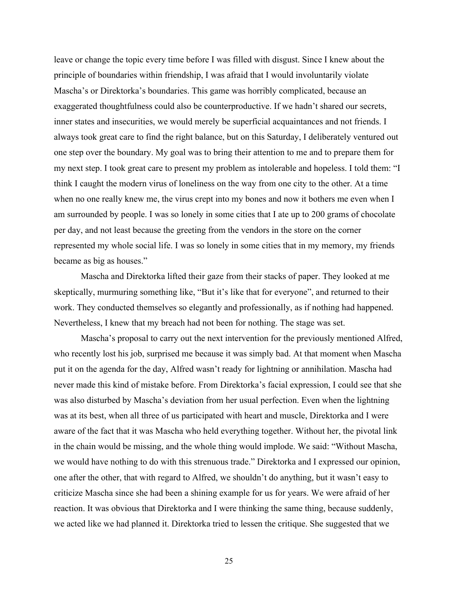leave or change the topic every time before I was filled with disgust. Since I knew about the principle of boundaries within friendship, I was afraid that I would involuntarily violate Mascha's or Direktorka's boundaries. This game was horribly complicated, because an exaggerated thoughtfulness could also be counterproductive. If we hadn't shared our secrets, inner states and insecurities, we would merely be superficial acquaintances and not friends. I always took great care to find the right balance, but on this Saturday, I deliberately ventured out one step over the boundary. My goal was to bring their attention to me and to prepare them for my next step. I took great care to present my problem as intolerable and hopeless. I told them: "I think I caught the modern virus of loneliness on the way from one city to the other. At a time when no one really knew me, the virus crept into my bones and now it bothers me even when I am surrounded by people. I was so lonely in some cities that I ate up to 200 grams of chocolate per day, and not least because the greeting from the vendors in the store on the corner represented my whole social life. I was so lonely in some cities that in my memory, my friends became as big as houses."

Mascha and Direktorka lifted their gaze from their stacks of paper. They looked at me skeptically, murmuring something like, "But it's like that for everyone", and returned to their work. They conducted themselves so elegantly and professionally, as if nothing had happened. Nevertheless, I knew that my breach had not been for nothing. The stage was set.

Mascha's proposal to carry out the next intervention for the previously mentioned Alfred, who recently lost his job, surprised me because it was simply bad. At that moment when Mascha put it on the agenda for the day, Alfred wasn't ready for lightning or annihilation. Mascha had never made this kind of mistake before. From Direktorka's facial expression, I could see that she was also disturbed by Mascha's deviation from her usual perfection. Even when the lightning was at its best, when all three of us participated with heart and muscle, Direktorka and I were aware of the fact that it was Mascha who held everything together. Without her, the pivotal link in the chain would be missing, and the whole thing would implode. We said: "Without Mascha, we would have nothing to do with this strenuous trade." Direktorka and I expressed our opinion, one after the other, that with regard to Alfred, we shouldn't do anything, but it wasn't easy to criticize Mascha since she had been a shining example for us for years. We were afraid of her reaction. It was obvious that Direktorka and I were thinking the same thing, because suddenly, we acted like we had planned it. Direktorka tried to lessen the critique. She suggested that we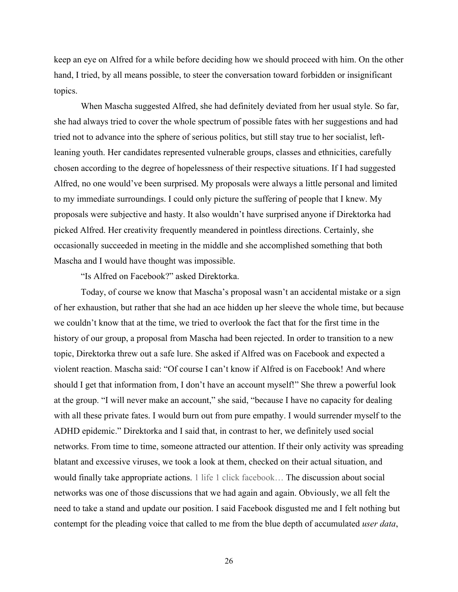keep an eye on Alfred for a while before deciding how we should proceed with him. On the other hand, I tried, by all means possible, to steer the conversation toward forbidden or insignificant topics.

When Mascha suggested Alfred, she had definitely deviated from her usual style. So far, she had always tried to cover the whole spectrum of possible fates with her suggestions and had tried not to advance into the sphere of serious politics, but still stay true to her socialist, leftleaning youth. Her candidates represented vulnerable groups, classes and ethnicities, carefully chosen according to the degree of hopelessness of their respective situations. If I had suggested Alfred, no one would've been surprised. My proposals were always a little personal and limited to my immediate surroundings. I could only picture the suffering of people that I knew. My proposals were subjective and hasty. It also wouldn't have surprised anyone if Direktorka had picked Alfred. Her creativity frequently meandered in pointless directions. Certainly, she occasionally succeeded in meeting in the middle and she accomplished something that both Mascha and I would have thought was impossible.

"Is Alfred on Facebook?" asked Direktorka.

Today, of course we know that Mascha's proposal wasn't an accidental mistake or a sign of her exhaustion, but rather that she had an ace hidden up her sleeve the whole time, but because we couldn't know that at the time, we tried to overlook the fact that for the first time in the history of our group, a proposal from Mascha had been rejected. In order to transition to a new topic, Direktorka threw out a safe lure. She asked if Alfred was on Facebook and expected a violent reaction. Mascha said: "Of course I can't know if Alfred is on Facebook! And where should I get that information from, I don't have an account myself!" She threw a powerful look at the group. "I will never make an account," she said, "because I have no capacity for dealing with all these private fates. I would burn out from pure empathy. I would surrender myself to the ADHD epidemic." Direktorka and I said that, in contrast to her, we definitely used social networks. From time to time, someone attracted our attention. If their only activity was spreading blatant and excessive viruses, we took a look at them, checked on their actual situation, and would finally take appropriate actions. 1 life 1 click facebook... The discussion about social networks was one of those discussions that we had again and again. Obviously, we all felt the need to take a stand and update our position. I said Facebook disgusted me and I felt nothing but contempt for the pleading voice that called to me from the blue depth of accumulated *user data*,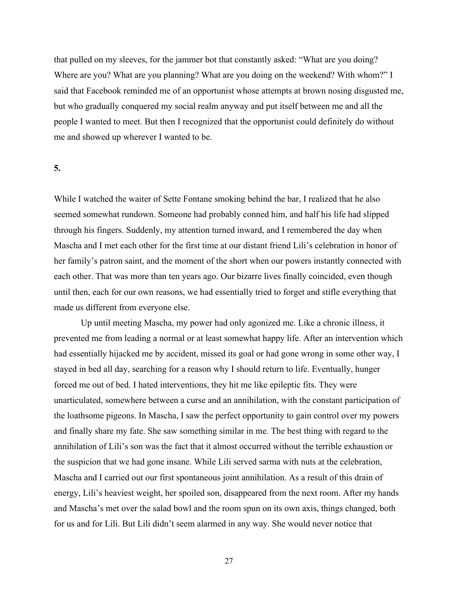that pulled on my sleeves, for the jammer bot that constantly asked: "What are you doing? Where are you? What are you planning? What are you doing on the weekend? With whom?" I said that Facebook reminded me of an opportunist whose attempts at brown nosing disgusted me, but who gradually conquered my social realm anyway and put itself between me and all the people I wanted to meet. But then I recognized that the opportunist could definitely do without me and showed up wherever I wanted to be.

### **5.**

While I watched the waiter of Sette Fontane smoking behind the bar, I realized that he also seemed somewhat rundown. Someone had probably conned him, and half his life had slipped through his fingers. Suddenly, my attention turned inward, and I remembered the day when Mascha and I met each other for the first time at our distant friend Lili's celebration in honor of her family's patron saint, and the moment of the short when our powers instantly connected with each other. That was more than ten years ago. Our bizarre lives finally coincided, even though until then, each for our own reasons, we had essentially tried to forget and stifle everything that made us different from everyone else.

Up until meeting Mascha, my power had only agonized me. Like a chronic illness, it prevented me from leading a normal or at least somewhat happy life. After an intervention which had essentially hijacked me by accident, missed its goal or had gone wrong in some other way, I stayed in bed all day, searching for a reason why I should return to life. Eventually, hunger forced me out of bed. I hated interventions, they hit me like epileptic fits. They were unarticulated, somewhere between a curse and an annihilation, with the constant participation of the loathsome pigeons. In Mascha, I saw the perfect opportunity to gain control over my powers and finally share my fate. She saw something similar in me. The best thing with regard to the annihilation of Lili's son was the fact that it almost occurred without the terrible exhaustion or the suspicion that we had gone insane. While Lili served sarma with nuts at the celebration, Mascha and I carried out our first spontaneous joint annihilation. As a result of this drain of energy, Lili's heaviest weight, her spoiled son, disappeared from the next room. After my hands and Mascha's met over the salad bowl and the room spun on its own axis, things changed, both for us and for Lili. But Lili didn't seem alarmed in any way. She would never notice that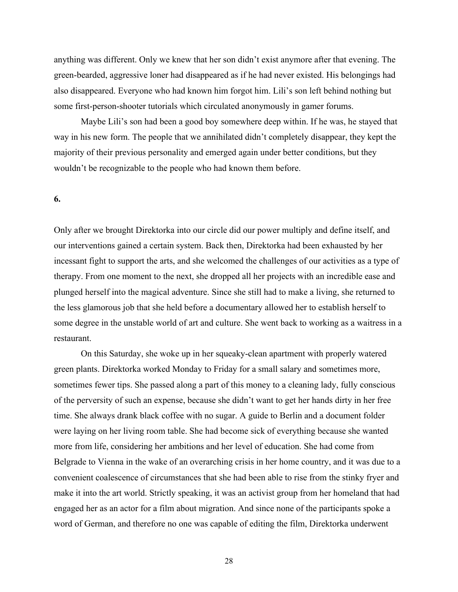anything was different. Only we knew that her son didn't exist anymore after that evening. The green-bearded, aggressive loner had disappeared as if he had never existed. His belongings had also disappeared. Everyone who had known him forgot him. Lili's son left behind nothing but some first-person-shooter tutorials which circulated anonymously in gamer forums.

Maybe Lili's son had been a good boy somewhere deep within. If he was, he stayed that way in his new form. The people that we annihilated didn't completely disappear, they kept the majority of their previous personality and emerged again under better conditions, but they wouldn't be recognizable to the people who had known them before.

#### **6.**

Only after we brought Direktorka into our circle did our power multiply and define itself, and our interventions gained a certain system. Back then, Direktorka had been exhausted by her incessant fight to support the arts, and she welcomed the challenges of our activities as a type of therapy. From one moment to the next, she dropped all her projects with an incredible ease and plunged herself into the magical adventure. Since she still had to make a living, she returned to the less glamorous job that she held before a documentary allowed her to establish herself to some degree in the unstable world of art and culture. She went back to working as a waitress in a restaurant.

On this Saturday, she woke up in her squeaky-clean apartment with properly watered green plants. Direktorka worked Monday to Friday for a small salary and sometimes more, sometimes fewer tips. She passed along a part of this money to a cleaning lady, fully conscious of the perversity of such an expense, because she didn't want to get her hands dirty in her free time. She always drank black coffee with no sugar. A guide to Berlin and a document folder were laying on her living room table. She had become sick of everything because she wanted more from life, considering her ambitions and her level of education. She had come from Belgrade to Vienna in the wake of an overarching crisis in her home country, and it was due to a convenient coalescence of circumstances that she had been able to rise from the stinky fryer and make it into the art world. Strictly speaking, it was an activist group from her homeland that had engaged her as an actor for a film about migration. And since none of the participants spoke a word of German, and therefore no one was capable of editing the film, Direktorka underwent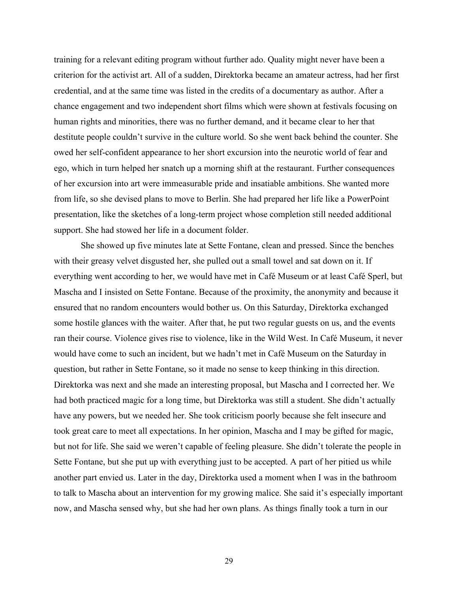training for a relevant editing program without further ado. Quality might never have been a criterion for the activist art. All of a sudden, Direktorka became an amateur actress, had her first credential, and at the same time was listed in the credits of a documentary as author. After a chance engagement and two independent short films which were shown at festivals focusing on human rights and minorities, there was no further demand, and it became clear to her that destitute people couldn't survive in the culture world. So she went back behind the counter. She owed her self-confident appearance to her short excursion into the neurotic world of fear and ego, which in turn helped her snatch up a morning shift at the restaurant. Further consequences of her excursion into art were immeasurable pride and insatiable ambitions. She wanted more from life, so she devised plans to move to Berlin. She had prepared her life like a PowerPoint presentation, like the sketches of a long-term project whose completion still needed additional support. She had stowed her life in a document folder.

She showed up five minutes late at Sette Fontane, clean and pressed. Since the benches with their greasy velvet disgusted her, she pulled out a small towel and sat down on it. If everything went according to her, we would have met in Café Museum or at least Café Sperl, but Mascha and I insisted on Sette Fontane. Because of the proximity, the anonymity and because it ensured that no random encounters would bother us. On this Saturday, Direktorka exchanged some hostile glances with the waiter. After that, he put two regular guests on us, and the events ran their course. Violence gives rise to violence, like in the Wild West. In Café Museum, it never would have come to such an incident, but we hadn't met in Café Museum on the Saturday in question, but rather in Sette Fontane, so it made no sense to keep thinking in this direction. Direktorka was next and she made an interesting proposal, but Mascha and I corrected her. We had both practiced magic for a long time, but Direktorka was still a student. She didn't actually have any powers, but we needed her. She took criticism poorly because she felt insecure and took great care to meet all expectations. In her opinion, Mascha and I may be gifted for magic, but not for life. She said we weren't capable of feeling pleasure. She didn't tolerate the people in Sette Fontane, but she put up with everything just to be accepted. A part of her pitied us while another part envied us. Later in the day, Direktorka used a moment when I was in the bathroom to talk to Mascha about an intervention for my growing malice. She said it's especially important now, and Mascha sensed why, but she had her own plans. As things finally took a turn in our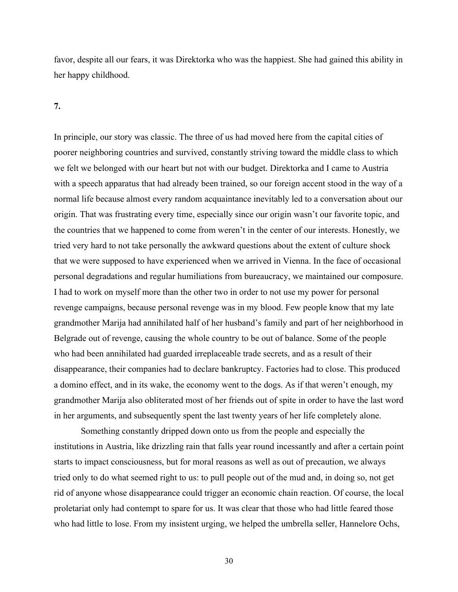favor, despite all our fears, it was Direktorka who was the happiest. She had gained this ability in her happy childhood.

#### **7.**

In principle, our story was classic. The three of us had moved here from the capital cities of poorer neighboring countries and survived, constantly striving toward the middle class to which we felt we belonged with our heart but not with our budget. Direktorka and I came to Austria with a speech apparatus that had already been trained, so our foreign accent stood in the way of a normal life because almost every random acquaintance inevitably led to a conversation about our origin. That was frustrating every time, especially since our origin wasn't our favorite topic, and the countries that we happened to come from weren't in the center of our interests. Honestly, we tried very hard to not take personally the awkward questions about the extent of culture shock that we were supposed to have experienced when we arrived in Vienna. In the face of occasional personal degradations and regular humiliations from bureaucracy, we maintained our composure. I had to work on myself more than the other two in order to not use my power for personal revenge campaigns, because personal revenge was in my blood. Few people know that my late grandmother Marija had annihilated half of her husband's family and part of her neighborhood in Belgrade out of revenge, causing the whole country to be out of balance. Some of the people who had been annihilated had guarded irreplaceable trade secrets, and as a result of their disappearance, their companies had to declare bankruptcy. Factories had to close. This produced a domino effect, and in its wake, the economy went to the dogs. As if that weren't enough, my grandmother Marija also obliterated most of her friends out of spite in order to have the last word in her arguments, and subsequently spent the last twenty years of her life completely alone.

Something constantly dripped down onto us from the people and especially the institutions in Austria, like drizzling rain that falls year round incessantly and after a certain point starts to impact consciousness, but for moral reasons as well as out of precaution, we always tried only to do what seemed right to us: to pull people out of the mud and, in doing so, not get rid of anyone whose disappearance could trigger an economic chain reaction. Of course, the local proletariat only had contempt to spare for us. It was clear that those who had little feared those who had little to lose. From my insistent urging, we helped the umbrella seller, Hannelore Ochs,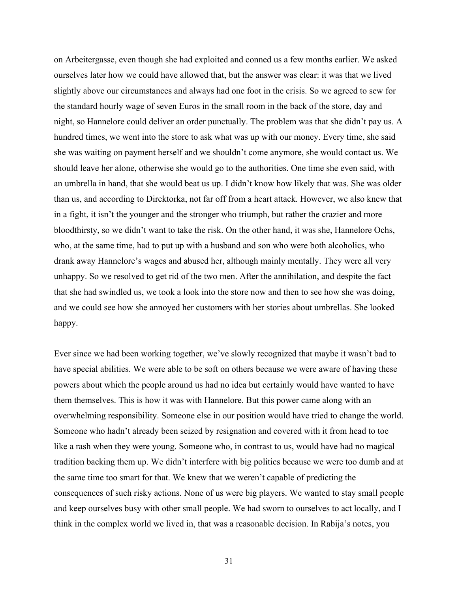on Arbeitergasse, even though she had exploited and conned us a few months earlier. We asked ourselves later how we could have allowed that, but the answer was clear: it was that we lived slightly above our circumstances and always had one foot in the crisis. So we agreed to sew for the standard hourly wage of seven Euros in the small room in the back of the store, day and night, so Hannelore could deliver an order punctually. The problem was that she didn't pay us. A hundred times, we went into the store to ask what was up with our money. Every time, she said she was waiting on payment herself and we shouldn't come anymore, she would contact us. We should leave her alone, otherwise she would go to the authorities. One time she even said, with an umbrella in hand, that she would beat us up. I didn't know how likely that was. She was older than us, and according to Direktorka, not far off from a heart attack. However, we also knew that in a fight, it isn't the younger and the stronger who triumph, but rather the crazier and more bloodthirsty, so we didn't want to take the risk. On the other hand, it was she, Hannelore Ochs, who, at the same time, had to put up with a husband and son who were both alcoholics, who drank away Hannelore's wages and abused her, although mainly mentally. They were all very unhappy. So we resolved to get rid of the two men. After the annihilation, and despite the fact that she had swindled us, we took a look into the store now and then to see how she was doing, and we could see how she annoyed her customers with her stories about umbrellas. She looked happy.

Ever since we had been working together, we've slowly recognized that maybe it wasn't bad to have special abilities. We were able to be soft on others because we were aware of having these powers about which the people around us had no idea but certainly would have wanted to have them themselves. This is how it was with Hannelore. But this power came along with an overwhelming responsibility. Someone else in our position would have tried to change the world. Someone who hadn't already been seized by resignation and covered with it from head to toe like a rash when they were young. Someone who, in contrast to us, would have had no magical tradition backing them up. We didn't interfere with big politics because we were too dumb and at the same time too smart for that. We knew that we weren't capable of predicting the consequences of such risky actions. None of us were big players. We wanted to stay small people and keep ourselves busy with other small people. We had sworn to ourselves to act locally, and I think in the complex world we lived in, that was a reasonable decision. In Rabija's notes, you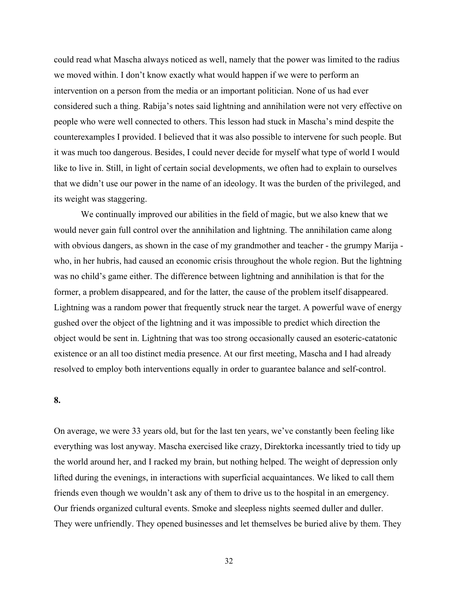could read what Mascha always noticed as well, namely that the power was limited to the radius we moved within. I don't know exactly what would happen if we were to perform an intervention on a person from the media or an important politician. None of us had ever considered such a thing. Rabija's notes said lightning and annihilation were not very effective on people who were well connected to others. This lesson had stuck in Mascha's mind despite the counterexamples I provided. I believed that it was also possible to intervene for such people. But it was much too dangerous. Besides, I could never decide for myself what type of world I would like to live in. Still, in light of certain social developments, we often had to explain to ourselves that we didn't use our power in the name of an ideology. It was the burden of the privileged, and its weight was staggering.

We continually improved our abilities in the field of magic, but we also knew that we would never gain full control over the annihilation and lightning. The annihilation came along with obvious dangers, as shown in the case of my grandmother and teacher - the grumpy Marija who, in her hubris, had caused an economic crisis throughout the whole region. But the lightning was no child's game either. The difference between lightning and annihilation is that for the former, a problem disappeared, and for the latter, the cause of the problem itself disappeared. Lightning was a random power that frequently struck near the target. A powerful wave of energy gushed over the object of the lightning and it was impossible to predict which direction the object would be sent in. Lightning that was too strong occasionally caused an esoteric-catatonic existence or an all too distinct media presence. At our first meeting, Mascha and I had already resolved to employ both interventions equally in order to guarantee balance and self-control.

## **8.**

On average, we were 33 years old, but for the last ten years, we've constantly been feeling like everything was lost anyway. Mascha exercised like crazy, Direktorka incessantly tried to tidy up the world around her, and I racked my brain, but nothing helped. The weight of depression only lifted during the evenings, in interactions with superficial acquaintances. We liked to call them friends even though we wouldn't ask any of them to drive us to the hospital in an emergency. Our friends organized cultural events. Smoke and sleepless nights seemed duller and duller. They were unfriendly. They opened businesses and let themselves be buried alive by them. They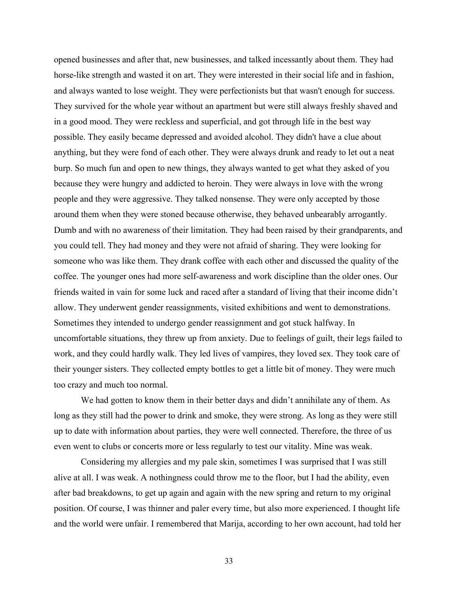opened businesses and after that, new businesses, and talked incessantly about them. They had horse-like strength and wasted it on art. They were interested in their social life and in fashion, and always wanted to lose weight. They were perfectionists but that wasn't enough for success. They survived for the whole year without an apartment but were still always freshly shaved and in a good mood. They were reckless and superficial, and got through life in the best way possible. They easily became depressed and avoided alcohol. They didn't have a clue about anything, but they were fond of each other. They were always drunk and ready to let out a neat burp. So much fun and open to new things, they always wanted to get what they asked of you because they were hungry and addicted to heroin. They were always in love with the wrong people and they were aggressive. They talked nonsense. They were only accepted by those around them when they were stoned because otherwise, they behaved unbearably arrogantly. Dumb and with no awareness of their limitation. They had been raised by their grandparents, and you could tell. They had money and they were not afraid of sharing. They were looking for someone who was like them. They drank coffee with each other and discussed the quality of the coffee. The younger ones had more self-awareness and work discipline than the older ones. Our friends waited in vain for some luck and raced after a standard of living that their income didn't allow. They underwent gender reassignments, visited exhibitions and went to demonstrations. Sometimes they intended to undergo gender reassignment and got stuck halfway. In uncomfortable situations, they threw up from anxiety. Due to feelings of guilt, their legs failed to work, and they could hardly walk. They led lives of vampires, they loved sex. They took care of their younger sisters. They collected empty bottles to get a little bit of money. They were much too crazy and much too normal.

We had gotten to know them in their better days and didn't annihilate any of them. As long as they still had the power to drink and smoke, they were strong. As long as they were still up to date with information about parties, they were well connected. Therefore, the three of us even went to clubs or concerts more or less regularly to test our vitality. Mine was weak.

Considering my allergies and my pale skin, sometimes I was surprised that I was still alive at all. I was weak. A nothingness could throw me to the floor, but I had the ability, even after bad breakdowns, to get up again and again with the new spring and return to my original position. Of course, I was thinner and paler every time, but also more experienced. I thought life and the world were unfair. I remembered that Marija, according to her own account, had told her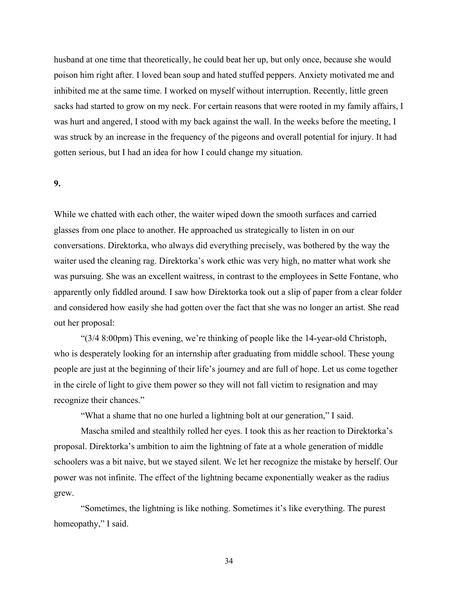husband at one time that theoretically, he could beat her up, but only once, because she would poison him right after. I loved bean soup and hated stuffed peppers. Anxiety motivated me and inhibited me at the same time. I worked on myself without interruption. Recently, little green sacks had started to grow on my neck. For certain reasons that were rooted in my family affairs, I was hurt and angered, I stood with my back against the wall. In the weeks before the meeting, I was struck by an increase in the frequency of the pigeons and overall potential for injury. It had gotten serious, but I had an idea for how I could change my situation.

#### **9.**

While we chatted with each other, the waiter wiped down the smooth surfaces and carried glasses from one place to another. He approached us strategically to listen in on our conversations. Direktorka, who always did everything precisely, was bothered by the way the waiter used the cleaning rag. Direktorka's work ethic was very high, no matter what work she was pursuing. She was an excellent waitress, in contrast to the employees in Sette Fontane, who apparently only fiddled around. I saw how Direktorka took out a slip of paper from a clear folder and considered how easily she had gotten over the fact that she was no longer an artist. She read out her proposal:

"(3/4 8:00pm) This evening, we're thinking of people like the 14-year-old Christoph, who is desperately looking for an internship after graduating from middle school. These young people are just at the beginning of their life's journey and are full of hope. Let us come together in the circle of light to give them power so they will not fall victim to resignation and may recognize their chances."

"What a shame that no one hurled a lightning bolt at our generation," I said.

Mascha smiled and stealthily rolled her eyes. I took this as her reaction to Direktorka's proposal. Direktorka's ambition to aim the lightning of fate at a whole generation of middle schoolers was a bit naive, but we stayed silent. We let her recognize the mistake by herself. Our power was not infinite. The effect of the lightning became exponentially weaker as the radius grew.

"Sometimes, the lightning is like nothing. Sometimes it's like everything. The purest homeopathy," I said.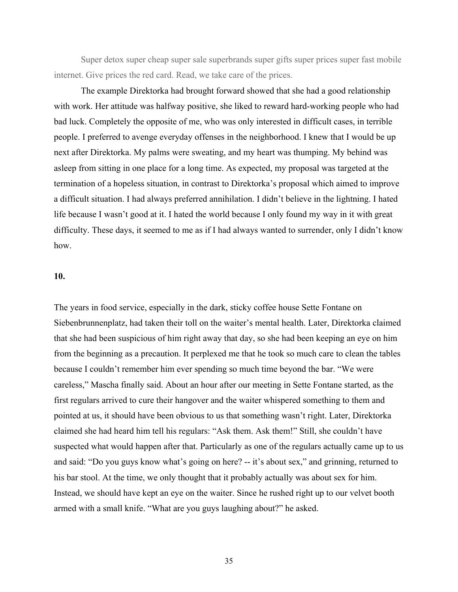Super detox super cheap super sale superbrands super gifts super prices super fast mobile internet. Give prices the red card. Read, we take care of the prices.

The example Direktorka had brought forward showed that she had a good relationship with work. Her attitude was halfway positive, she liked to reward hard-working people who had bad luck. Completely the opposite of me, who was only interested in difficult cases, in terrible people. I preferred to avenge everyday offenses in the neighborhood. I knew that I would be up next after Direktorka. My palms were sweating, and my heart was thumping. My behind was asleep from sitting in one place for a long time. As expected, my proposal was targeted at the termination of a hopeless situation, in contrast to Direktorka's proposal which aimed to improve a difficult situation. I had always preferred annihilation. I didn't believe in the lightning. I hated life because I wasn't good at it. I hated the world because I only found my way in it with great difficulty. These days, it seemed to me as if I had always wanted to surrender, only I didn't know how.

### **10.**

The years in food service, especially in the dark, sticky coffee house Sette Fontane on Siebenbrunnenplatz, had taken their toll on the waiter's mental health. Later, Direktorka claimed that she had been suspicious of him right away that day, so she had been keeping an eye on him from the beginning as a precaution. It perplexed me that he took so much care to clean the tables because I couldn't remember him ever spending so much time beyond the bar. "We were careless," Mascha finally said. About an hour after our meeting in Sette Fontane started, as the first regulars arrived to cure their hangover and the waiter whispered something to them and pointed at us, it should have been obvious to us that something wasn't right. Later, Direktorka claimed she had heard him tell his regulars: "Ask them. Ask them!" Still, she couldn't have suspected what would happen after that. Particularly as one of the regulars actually came up to us and said: "Do you guys know what's going on here? -- it's about sex," and grinning, returned to his bar stool. At the time, we only thought that it probably actually was about sex for him. Instead, we should have kept an eye on the waiter. Since he rushed right up to our velvet booth armed with a small knife. "What are you guys laughing about?" he asked.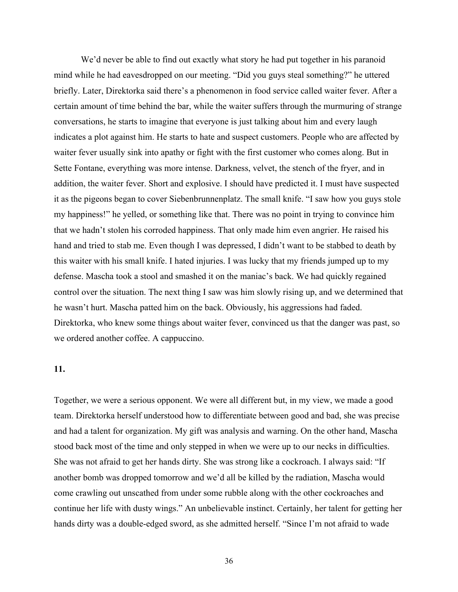We'd never be able to find out exactly what story he had put together in his paranoid mind while he had eavesdropped on our meeting. "Did you guys steal something?" he uttered briefly. Later, Direktorka said there's a phenomenon in food service called waiter fever. After a certain amount of time behind the bar, while the waiter suffers through the murmuring of strange conversations, he starts to imagine that everyone is just talking about him and every laugh indicates a plot against him. He starts to hate and suspect customers. People who are affected by waiter fever usually sink into apathy or fight with the first customer who comes along. But in Sette Fontane, everything was more intense. Darkness, velvet, the stench of the fryer, and in addition, the waiter fever. Short and explosive. I should have predicted it. I must have suspected it as the pigeons began to cover Siebenbrunnenplatz. The small knife. "I saw how you guys stole my happiness!" he yelled, or something like that. There was no point in trying to convince him that we hadn't stolen his corroded happiness. That only made him even angrier. He raised his hand and tried to stab me. Even though I was depressed, I didn't want to be stabbed to death by this waiter with his small knife. I hated injuries. I was lucky that my friends jumped up to my defense. Mascha took a stool and smashed it on the maniac's back. We had quickly regained control over the situation. The next thing I saw was him slowly rising up, and we determined that he wasn't hurt. Mascha patted him on the back. Obviously, his aggressions had faded. Direktorka, who knew some things about waiter fever, convinced us that the danger was past, so we ordered another coffee. A cappuccino.

#### **11.**

Together, we were a serious opponent. We were all different but, in my view, we made a good team. Direktorka herself understood how to differentiate between good and bad, she was precise and had a talent for organization. My gift was analysis and warning. On the other hand, Mascha stood back most of the time and only stepped in when we were up to our necks in difficulties. She was not afraid to get her hands dirty. She was strong like a cockroach. I always said: "If another bomb was dropped tomorrow and we'd all be killed by the radiation, Mascha would come crawling out unscathed from under some rubble along with the other cockroaches and continue her life with dusty wings." An unbelievable instinct. Certainly, her talent for getting her hands dirty was a double-edged sword, as she admitted herself. "Since I'm not afraid to wade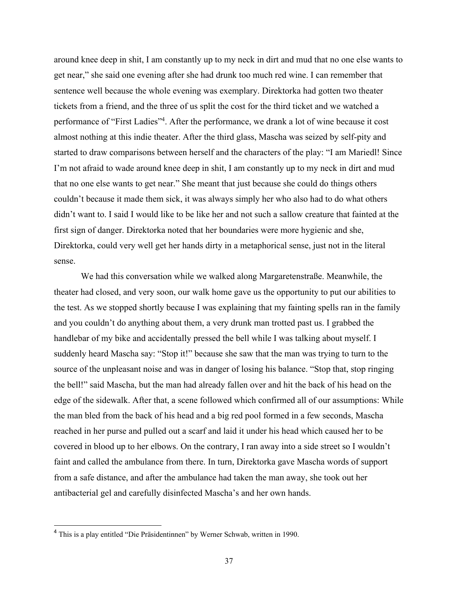around knee deep in shit, I am constantly up to my neck in dirt and mud that no one else wants to get near," she said one evening after she had drunk too much red wine. I can remember that sentence well because the whole evening was exemplary. Direktorka had gotten two theater tickets from a friend, and the three of us split the cost for the third ticket and we watched a performance of "First Ladies"4. After the performance, we drank a lot of wine because it cost almost nothing at this indie theater. After the third glass, Mascha was seized by self-pity and started to draw comparisons between herself and the characters of the play: "I am Mariedl! Since I'm not afraid to wade around knee deep in shit, I am constantly up to my neck in dirt and mud that no one else wants to get near." She meant that just because she could do things others couldn't because it made them sick, it was always simply her who also had to do what others didn't want to. I said I would like to be like her and not such a sallow creature that fainted at the first sign of danger. Direktorka noted that her boundaries were more hygienic and she, Direktorka, could very well get her hands dirty in a metaphorical sense, just not in the literal sense.

We had this conversation while we walked along Margaretenstraße. Meanwhile, the theater had closed, and very soon, our walk home gave us the opportunity to put our abilities to the test. As we stopped shortly because I was explaining that my fainting spells ran in the family and you couldn't do anything about them, a very drunk man trotted past us. I grabbed the handlebar of my bike and accidentally pressed the bell while I was talking about myself. I suddenly heard Mascha say: "Stop it!" because she saw that the man was trying to turn to the source of the unpleasant noise and was in danger of losing his balance. "Stop that, stop ringing the bell!" said Mascha, but the man had already fallen over and hit the back of his head on the edge of the sidewalk. After that, a scene followed which confirmed all of our assumptions: While the man bled from the back of his head and a big red pool formed in a few seconds, Mascha reached in her purse and pulled out a scarf and laid it under his head which caused her to be covered in blood up to her elbows. On the contrary, I ran away into a side street so I wouldn't faint and called the ambulance from there. In turn, Direktorka gave Mascha words of support from a safe distance, and after the ambulance had taken the man away, she took out her antibacterial gel and carefully disinfected Mascha's and her own hands.

<sup>4</sup> This is a play entitled "Die Präsidentinnen" by Werner Schwab, written in 1990.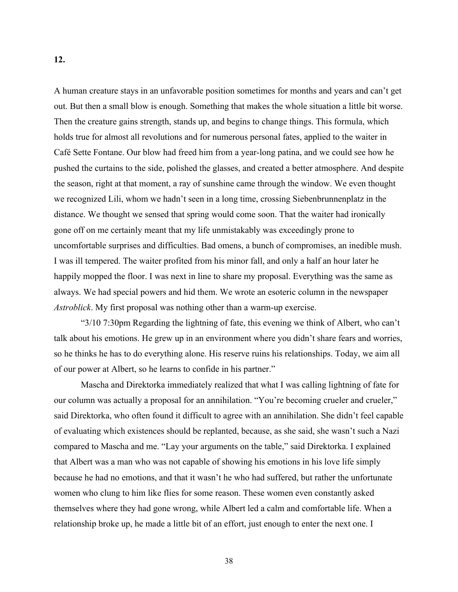A human creature stays in an unfavorable position sometimes for months and years and can't get out. But then a small blow is enough. Something that makes the whole situation a little bit worse. Then the creature gains strength, stands up, and begins to change things. This formula, which holds true for almost all revolutions and for numerous personal fates, applied to the waiter in Café Sette Fontane. Our blow had freed him from a year-long patina, and we could see how he pushed the curtains to the side, polished the glasses, and created a better atmosphere. And despite the season, right at that moment, a ray of sunshine came through the window. We even thought we recognized Lili, whom we hadn't seen in a long time, crossing Siebenbrunnenplatz in the distance. We thought we sensed that spring would come soon. That the waiter had ironically gone off on me certainly meant that my life unmistakably was exceedingly prone to uncomfortable surprises and difficulties. Bad omens, a bunch of compromises, an inedible mush. I was ill tempered. The waiter profited from his minor fall, and only a half an hour later he

happily mopped the floor. I was next in line to share my proposal. Everything was the same as always. We had special powers and hid them. We wrote an esoteric column in the newspaper *Astroblick*. My first proposal was nothing other than a warm-up exercise.

"3/10 7:30pm Regarding the lightning of fate, this evening we think of Albert, who can't talk about his emotions. He grew up in an environment where you didn't share fears and worries, so he thinks he has to do everything alone. His reserve ruins his relationships. Today, we aim all of our power at Albert, so he learns to confide in his partner."

Mascha and Direktorka immediately realized that what I was calling lightning of fate for our column was actually a proposal for an annihilation. "You're becoming crueler and crueler," said Direktorka, who often found it difficult to agree with an annihilation. She didn't feel capable of evaluating which existences should be replanted, because, as she said, she wasn't such a Nazi compared to Mascha and me. "Lay your arguments on the table," said Direktorka. I explained that Albert was a man who was not capable of showing his emotions in his love life simply because he had no emotions, and that it wasn't he who had suffered, but rather the unfortunate women who clung to him like flies for some reason. These women even constantly asked themselves where they had gone wrong, while Albert led a calm and comfortable life. When a relationship broke up, he made a little bit of an effort, just enough to enter the next one. I

**12.**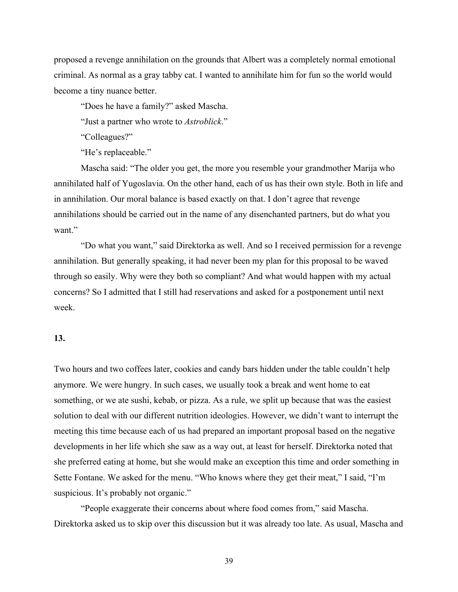proposed a revenge annihilation on the grounds that Albert was a completely normal emotional criminal. As normal as a gray tabby cat. I wanted to annihilate him for fun so the world would become a tiny nuance better.

"Does he have a family?" asked Mascha.

"Just a partner who wrote to *Astroblick*."

"Colleagues?"

"He's replaceable."

Mascha said: "The older you get, the more you resemble your grandmother Marija who annihilated half of Yugoslavia. On the other hand, each of us has their own style. Both in life and in annihilation. Our moral balance is based exactly on that. I don't agree that revenge annihilations should be carried out in the name of any disenchanted partners, but do what you want."

"Do what you want," said Direktorka as well. And so I received permission for a revenge annihilation. But generally speaking, it had never been my plan for this proposal to be waved through so easily. Why were they both so compliant? And what would happen with my actual concerns? So I admitted that I still had reservations and asked for a postponement until next week.

#### **13.**

Two hours and two coffees later, cookies and candy bars hidden under the table couldn't help anymore. We were hungry. In such cases, we usually took a break and went home to eat something, or we ate sushi, kebab, or pizza. As a rule, we split up because that was the easiest solution to deal with our different nutrition ideologies. However, we didn't want to interrupt the meeting this time because each of us had prepared an important proposal based on the negative developments in her life which she saw as a way out, at least for herself. Direktorka noted that she preferred eating at home, but she would make an exception this time and order something in Sette Fontane. We asked for the menu. "Who knows where they get their meat," I said, "I'm suspicious. It's probably not organic."

"People exaggerate their concerns about where food comes from," said Mascha. Direktorka asked us to skip over this discussion but it was already too late. As usual, Mascha and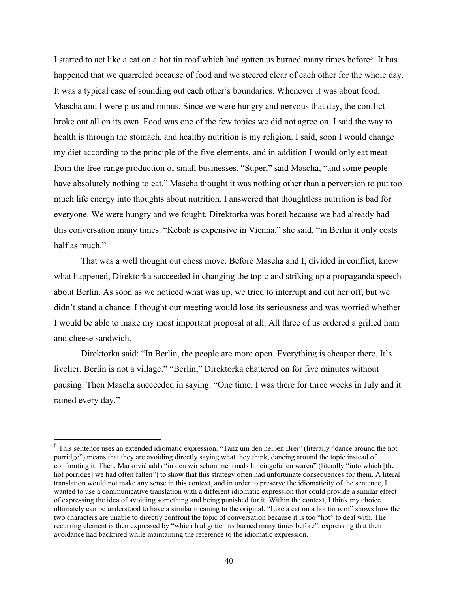I started to act like a cat on a hot tin roof which had gotten us burned many times before<sup>5</sup>. It has happened that we quarreled because of food and we steered clear of each other for the whole day. It was a typical case of sounding out each other's boundaries. Whenever it was about food, Mascha and I were plus and minus. Since we were hungry and nervous that day, the conflict broke out all on its own. Food was one of the few topics we did not agree on. I said the way to health is through the stomach, and healthy nutrition is my religion. I said, soon I would change my diet according to the principle of the five elements, and in addition I would only eat meat from the free-range production of small businesses. "Super," said Mascha, "and some people have absolutely nothing to eat." Mascha thought it was nothing other than a perversion to put too much life energy into thoughts about nutrition. I answered that thoughtless nutrition is bad for everyone. We were hungry and we fought. Direktorka was bored because we had already had this conversation many times. "Kebab is expensive in Vienna," she said, "in Berlin it only costs half as much."

That was a well thought out chess move. Before Mascha and I, divided in conflict, knew what happened, Direktorka succeeded in changing the topic and striking up a propaganda speech about Berlin. As soon as we noticed what was up, we tried to interrupt and cut her off, but we didn't stand a chance. I thought our meeting would lose its seriousness and was worried whether I would be able to make my most important proposal at all. All three of us ordered a grilled ham and cheese sandwich.

Direktorka said: "In Berlin, the people are more open. Everything is cheaper there. It's livelier. Berlin is not a village." "Berlin," Direktorka chattered on for five minutes without pausing. Then Mascha succeeded in saying: "One time, I was there for three weeks in July and it rained every day."

<sup>5</sup> This sentence uses an extended idiomatic expression. "Tanz um den heißen Brei" (literally "dance around the hot porridge") means that they are avoiding directly saying what they think, dancing around the topic instead of confronting it. Then, Marković adds "in den wir schon mehrmals hineingefallen waren" (literally "into which [the hot porridge] we had often fallen") to show that this strategy often had unfortunate consequences for them. A literal translation would not make any sense in this context, and in order to preserve the idiomaticity of the sentence, I wanted to use a communicative translation with a different idiomatic expression that could provide a similar effect of expressing the idea of avoiding something and being punished for it. Within the context, I think my choice ultimately can be understood to have a similar meaning to the original. "Like a cat on a hot tin roof" shows how the two characters are unable to directly confront the topic of conversation because it is too "hot" to deal with. The recurring element is then expressed by "which had gotten us burned many times before", expressing that their avoidance had backfired while maintaining the reference to the idiomatic expression.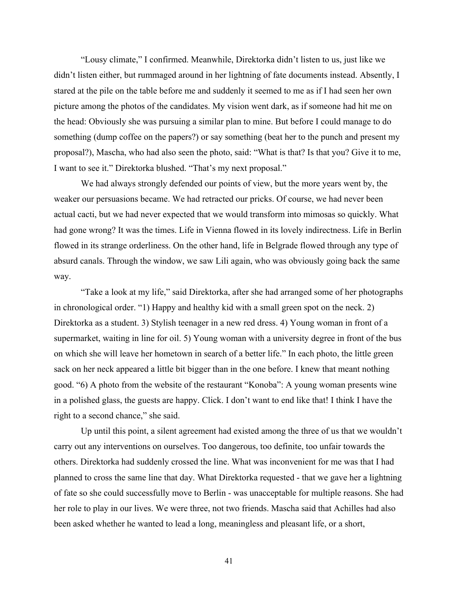"Lousy climate," I confirmed. Meanwhile, Direktorka didn't listen to us, just like we didn't listen either, but rummaged around in her lightning of fate documents instead. Absently, I stared at the pile on the table before me and suddenly it seemed to me as if I had seen her own picture among the photos of the candidates. My vision went dark, as if someone had hit me on the head: Obviously she was pursuing a similar plan to mine. But before I could manage to do something (dump coffee on the papers?) or say something (beat her to the punch and present my proposal?), Mascha, who had also seen the photo, said: "What is that? Is that you? Give it to me, I want to see it." Direktorka blushed. "That's my next proposal."

We had always strongly defended our points of view, but the more years went by, the weaker our persuasions became. We had retracted our pricks. Of course, we had never been actual cacti, but we had never expected that we would transform into mimosas so quickly. What had gone wrong? It was the times. Life in Vienna flowed in its lovely indirectness. Life in Berlin flowed in its strange orderliness. On the other hand, life in Belgrade flowed through any type of absurd canals. Through the window, we saw Lili again, who was obviously going back the same way.

"Take a look at my life," said Direktorka, after she had arranged some of her photographs in chronological order. "1) Happy and healthy kid with a small green spot on the neck. 2) Direktorka as a student. 3) Stylish teenager in a new red dress. 4) Young woman in front of a supermarket, waiting in line for oil. 5) Young woman with a university degree in front of the bus on which she will leave her hometown in search of a better life." In each photo, the little green sack on her neck appeared a little bit bigger than in the one before. I knew that meant nothing good. "6) A photo from the website of the restaurant "Konoba": A young woman presents wine in a polished glass, the guests are happy. Click. I don't want to end like that! I think I have the right to a second chance," she said.

Up until this point, a silent agreement had existed among the three of us that we wouldn't carry out any interventions on ourselves. Too dangerous, too definite, too unfair towards the others. Direktorka had suddenly crossed the line. What was inconvenient for me was that I had planned to cross the same line that day. What Direktorka requested - that we gave her a lightning of fate so she could successfully move to Berlin - was unacceptable for multiple reasons. She had her role to play in our lives. We were three, not two friends. Mascha said that Achilles had also been asked whether he wanted to lead a long, meaningless and pleasant life, or a short,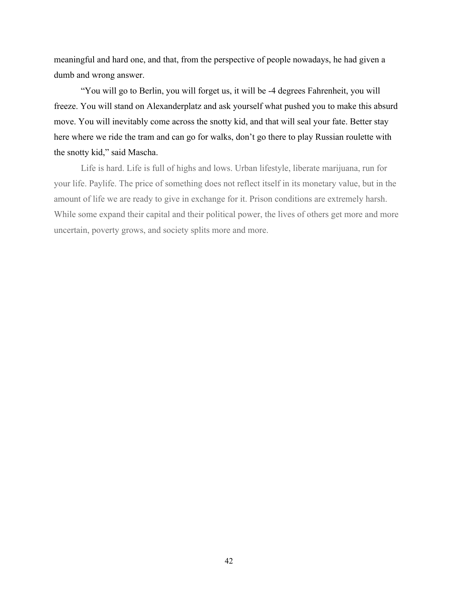meaningful and hard one, and that, from the perspective of people nowadays, he had given a dumb and wrong answer.

"You will go to Berlin, you will forget us, it will be -4 degrees Fahrenheit, you will freeze. You will stand on Alexanderplatz and ask yourself what pushed you to make this absurd move. You will inevitably come across the snotty kid, and that will seal your fate. Better stay here where we ride the tram and can go for walks, don't go there to play Russian roulette with the snotty kid," said Mascha.

Life is hard. Life is full of highs and lows. Urban lifestyle, liberate marijuana, run for your life. Paylife. The price of something does not reflect itself in its monetary value, but in the amount of life we are ready to give in exchange for it. Prison conditions are extremely harsh. While some expand their capital and their political power, the lives of others get more and more uncertain, poverty grows, and society splits more and more.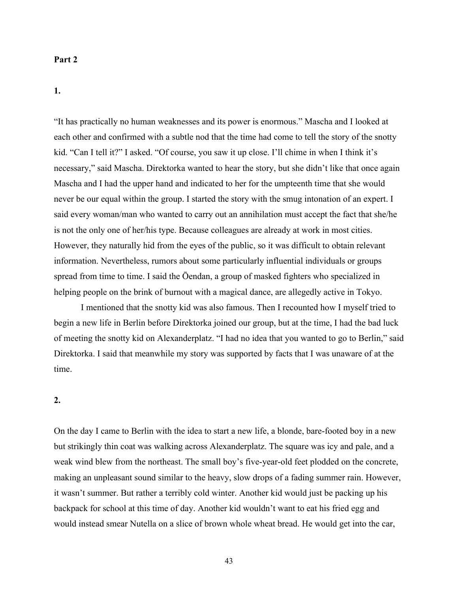#### **Part 2**

**1.** 

"It has practically no human weaknesses and its power is enormous." Mascha and I looked at each other and confirmed with a subtle nod that the time had come to tell the story of the snotty kid. "Can I tell it?" I asked. "Of course, you saw it up close. I'll chime in when I think it's necessary," said Mascha. Direktorka wanted to hear the story, but she didn't like that once again Mascha and I had the upper hand and indicated to her for the umpteenth time that she would never be our equal within the group. I started the story with the smug intonation of an expert. I said every woman/man who wanted to carry out an annihilation must accept the fact that she/he is not the only one of her/his type. Because colleagues are already at work in most cities. However, they naturally hid from the eyes of the public, so it was difficult to obtain relevant information. Nevertheless, rumors about some particularly influential individuals or groups spread from time to time. I said the Ōendan, a group of masked fighters who specialized in helping people on the brink of burnout with a magical dance, are allegedly active in Tokyo.

I mentioned that the snotty kid was also famous. Then I recounted how I myself tried to begin a new life in Berlin before Direktorka joined our group, but at the time, I had the bad luck of meeting the snotty kid on Alexanderplatz. "I had no idea that you wanted to go to Berlin," said Direktorka. I said that meanwhile my story was supported by facts that I was unaware of at the time.

#### **2.**

On the day I came to Berlin with the idea to start a new life, a blonde, bare-footed boy in a new but strikingly thin coat was walking across Alexanderplatz. The square was icy and pale, and a weak wind blew from the northeast. The small boy's five-year-old feet plodded on the concrete, making an unpleasant sound similar to the heavy, slow drops of a fading summer rain. However, it wasn't summer. But rather a terribly cold winter. Another kid would just be packing up his backpack for school at this time of day. Another kid wouldn't want to eat his fried egg and would instead smear Nutella on a slice of brown whole wheat bread. He would get into the car,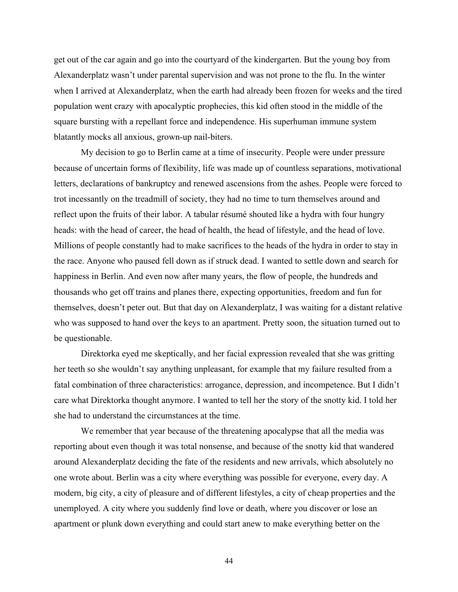get out of the car again and go into the courtyard of the kindergarten. But the young boy from Alexanderplatz wasn't under parental supervision and was not prone to the flu. In the winter when I arrived at Alexanderplatz, when the earth had already been frozen for weeks and the tired population went crazy with apocalyptic prophecies, this kid often stood in the middle of the square bursting with a repellant force and independence. His superhuman immune system blatantly mocks all anxious, grown-up nail-biters.

My decision to go to Berlin came at a time of insecurity. People were under pressure because of uncertain forms of flexibility, life was made up of countless separations, motivational letters, declarations of bankruptcy and renewed ascensions from the ashes. People were forced to trot incessantly on the treadmill of society, they had no time to turn themselves around and reflect upon the fruits of their labor. A tabular résumé shouted like a hydra with four hungry heads: with the head of career, the head of health, the head of lifestyle, and the head of love. Millions of people constantly had to make sacrifices to the heads of the hydra in order to stay in the race. Anyone who paused fell down as if struck dead. I wanted to settle down and search for happiness in Berlin. And even now after many years, the flow of people, the hundreds and thousands who get off trains and planes there, expecting opportunities, freedom and fun for themselves, doesn't peter out. But that day on Alexanderplatz, I was waiting for a distant relative who was supposed to hand over the keys to an apartment. Pretty soon, the situation turned out to be questionable.

Direktorka eyed me skeptically, and her facial expression revealed that she was gritting her teeth so she wouldn't say anything unpleasant, for example that my failure resulted from a fatal combination of three characteristics: arrogance, depression, and incompetence. But I didn't care what Direktorka thought anymore. I wanted to tell her the story of the snotty kid. I told her she had to understand the circumstances at the time.

We remember that year because of the threatening apocalypse that all the media was reporting about even though it was total nonsense, and because of the snotty kid that wandered around Alexanderplatz deciding the fate of the residents and new arrivals, which absolutely no one wrote about. Berlin was a city where everything was possible for everyone, every day. A modern, big city, a city of pleasure and of different lifestyles, a city of cheap properties and the unemployed. A city where you suddenly find love or death, where you discover or lose an apartment or plunk down everything and could start anew to make everything better on the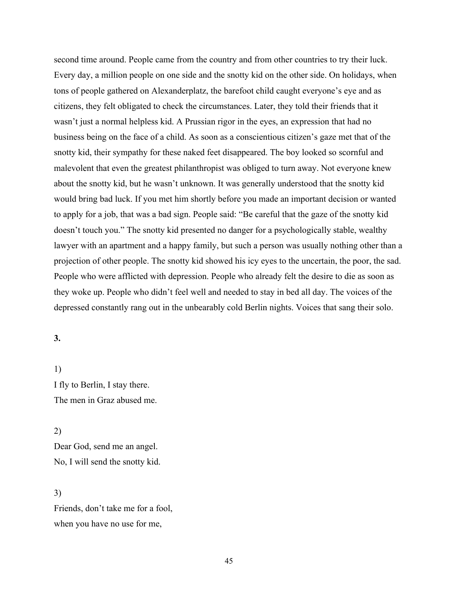second time around. People came from the country and from other countries to try their luck. Every day, a million people on one side and the snotty kid on the other side. On holidays, when tons of people gathered on Alexanderplatz, the barefoot child caught everyone's eye and as citizens, they felt obligated to check the circumstances. Later, they told their friends that it wasn't just a normal helpless kid. A Prussian rigor in the eyes, an expression that had no business being on the face of a child. As soon as a conscientious citizen's gaze met that of the snotty kid, their sympathy for these naked feet disappeared. The boy looked so scornful and malevolent that even the greatest philanthropist was obliged to turn away. Not everyone knew about the snotty kid, but he wasn't unknown. It was generally understood that the snotty kid would bring bad luck. If you met him shortly before you made an important decision or wanted to apply for a job, that was a bad sign. People said: "Be careful that the gaze of the snotty kid doesn't touch you." The snotty kid presented no danger for a psychologically stable, wealthy lawyer with an apartment and a happy family, but such a person was usually nothing other than a projection of other people. The snotty kid showed his icy eyes to the uncertain, the poor, the sad. People who were afflicted with depression. People who already felt the desire to die as soon as they woke up. People who didn't feel well and needed to stay in bed all day. The voices of the depressed constantly rang out in the unbearably cold Berlin nights. Voices that sang their solo.

## **3.**

1) I fly to Berlin, I stay there. The men in Graz abused me.

2) Dear God, send me an angel. No, I will send the snotty kid.

3) Friends, don't take me for a fool, when you have no use for me,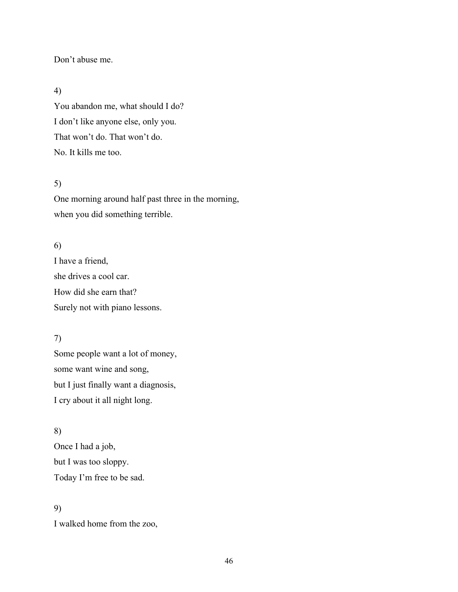### Don't abuse me.

## 4)

You abandon me, what should I do? I don't like anyone else, only you. That won't do. That won't do. No. It kills me too.

## 5)

One morning around half past three in the morning, when you did something terrible.

## 6)

I have a friend, she drives a cool car. How did she earn that? Surely not with piano lessons.

# 7)

Some people want a lot of money, some want wine and song, but I just finally want a diagnosis, I cry about it all night long.

### 8)

Once I had a job, but I was too sloppy. Today I'm free to be sad.

### 9)

I walked home from the zoo,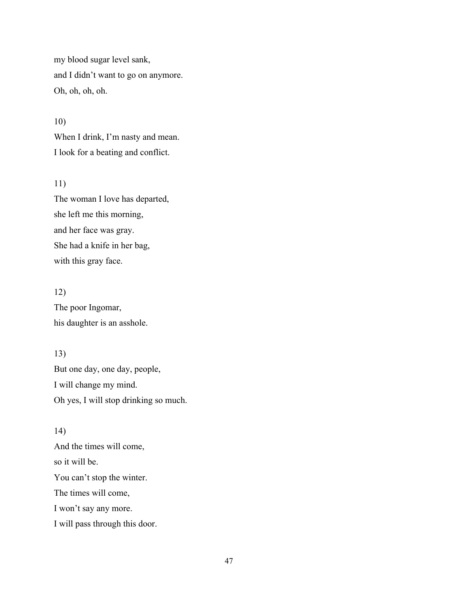my blood sugar level sank, and I didn't want to go on anymore. Oh, oh, oh, oh.

When I drink, I'm nasty and mean. I look for a beating and conflict.

#### 11)

10)

The woman I love has departed, she left me this morning, and her face was gray. She had a knife in her bag, with this gray face.

## 12)

The poor Ingomar, his daughter is an asshole.

## 13)

But one day, one day, people, I will change my mind. Oh yes, I will stop drinking so much.

#### 14)

And the times will come, so it will be. You can't stop the winter. The times will come, I won't say any more. I will pass through this door.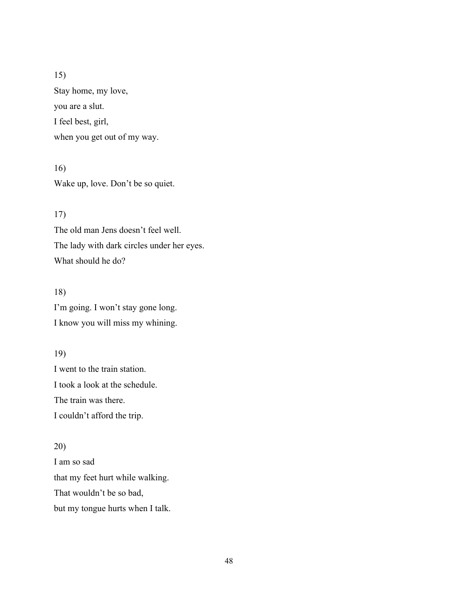Stay home, my love, you are a slut.

I feel best, girl,

when you get out of my way.

16) Wake up, love. Don't be so quiet.

# 17)

The old man Jens doesn't feel well. The lady with dark circles under her eyes. What should he do?

# 18)

I'm going. I won't stay gone long. I know you will miss my whining.

# 19)

I went to the train station. I took a look at the schedule. The train was there. I couldn't afford the trip.

# 20)

I am so sad that my feet hurt while walking. That wouldn't be so bad, but my tongue hurts when I talk.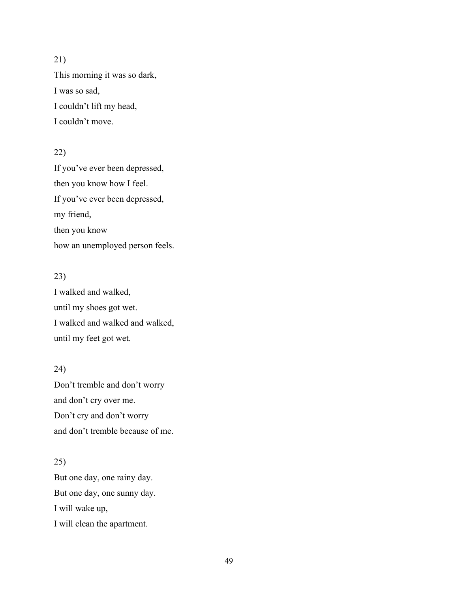This morning it was so dark, I was so sad, I couldn't lift my head, I couldn't move.

# 22)

If you've ever been depressed, then you know how I feel. If you've ever been depressed, my friend, then you know how an unemployed person feels.

# 23)

I walked and walked, until my shoes got wet. I walked and walked and walked, until my feet got wet.

### 24)

Don't tremble and don't worry and don't cry over me. Don't cry and don't worry and don't tremble because of me.

# 25)

But one day, one rainy day. But one day, one sunny day. I will wake up, I will clean the apartment.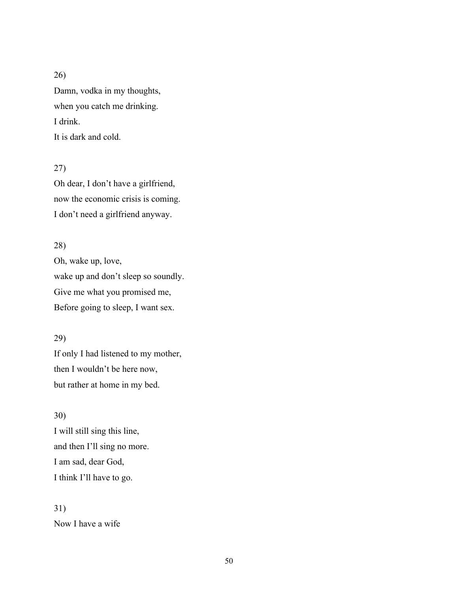Damn, vodka in my thoughts, when you catch me drinking. I drink. It is dark and cold.

### 27)

Oh dear, I don't have a girlfriend, now the economic crisis is coming. I don't need a girlfriend anyway.

### 28)

Oh, wake up, love, wake up and don't sleep so soundly. Give me what you promised me, Before going to sleep, I want sex.

## 29)

If only I had listened to my mother, then I wouldn't be here now, but rather at home in my bed.

## 30)

I will still sing this line, and then I'll sing no more. I am sad, dear God, I think I'll have to go.

31) Now I have a wife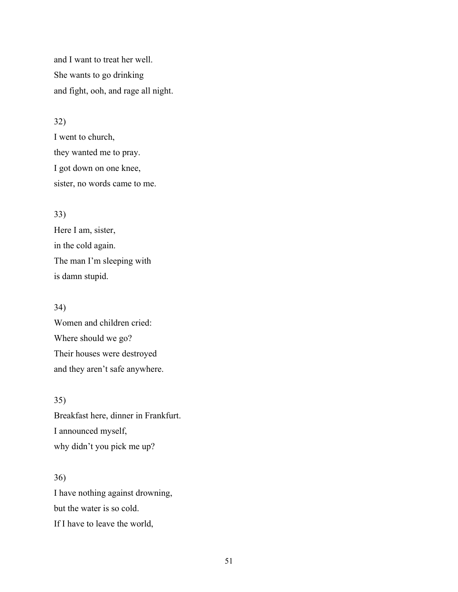and I want to treat her well. She wants to go drinking and fight, ooh, and rage all night.

### 32)

I went to church, they wanted me to pray. I got down on one knee, sister, no words came to me.

### 33)

Here I am, sister, in the cold again. The man I'm sleeping with is damn stupid.

#### 34)

Women and children cried: Where should we go? Their houses were destroyed and they aren't safe anywhere.

## 35)

Breakfast here, dinner in Frankfurt. I announced myself, why didn't you pick me up?

# 36)

I have nothing against drowning, but the water is so cold. If I have to leave the world,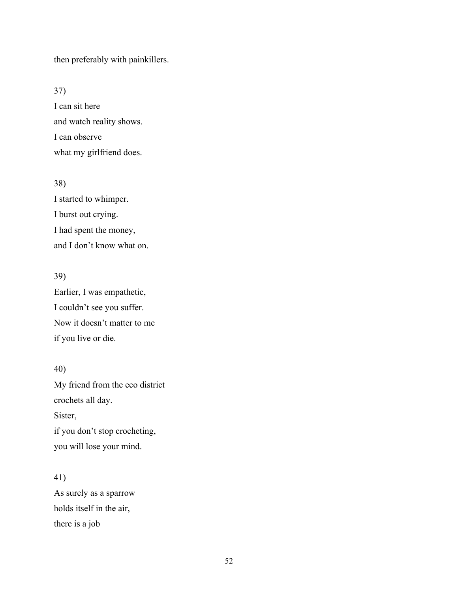then preferably with painkillers.

# 37)

I can sit here and watch reality shows. I can observe what my girlfriend does.

### 38)

I started to whimper. I burst out crying. I had spent the money, and I don't know what on.

# 39)

Earlier, I was empathetic, I couldn't see you suffer. Now it doesn't matter to me if you live or die.

## 40)

My friend from the eco district crochets all day. Sister, if you don't stop crocheting, you will lose your mind.

## 41)

As surely as a sparrow holds itself in the air, there is a job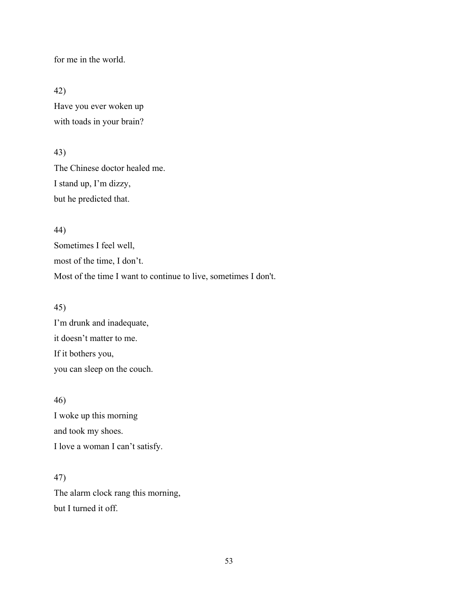for me in the world.

42)

Have you ever woken up with toads in your brain?

43)

The Chinese doctor healed me. I stand up, I'm dizzy, but he predicted that.

#### 44)

Sometimes I feel well, most of the time, I don't. Most of the time I want to continue to live, sometimes I don't.

#### 45)

I'm drunk and inadequate, it doesn't matter to me. If it bothers you, you can sleep on the couch.

46) I woke up this morning and took my shoes. I love a woman I can't satisfy.

# 47)

The alarm clock rang this morning, but I turned it off.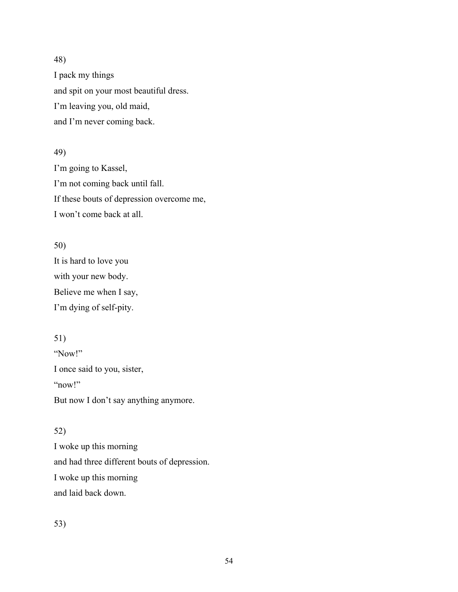I pack my things and spit on your most beautiful dress. I'm leaving you, old maid, and I'm never coming back.

# 49)

I'm going to Kassel, I'm not coming back until fall. If these bouts of depression overcome me, I won't come back at all.

## 50)

It is hard to love you with your new body. Believe me when I say, I'm dying of self-pity.

# 51)

"Now!" I once said to you, sister, "now!" But now I don't say anything anymore.

# 52)

I woke up this morning and had three different bouts of depression. I woke up this morning and laid back down.

53)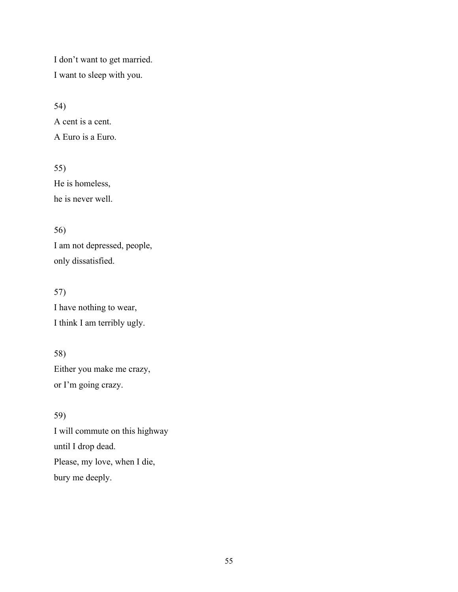I don't want to get married. I want to sleep with you.

54) A cent is a cent. A Euro is a Euro.

55) He is homeless, he is never well.

56) I am not depressed, people, only dissatisfied.

57) I have nothing to wear, I think I am terribly ugly.

58) Either you make me crazy, or I'm going crazy.

59) I will commute on this highway until I drop dead. Please, my love, when I die, bury me deeply.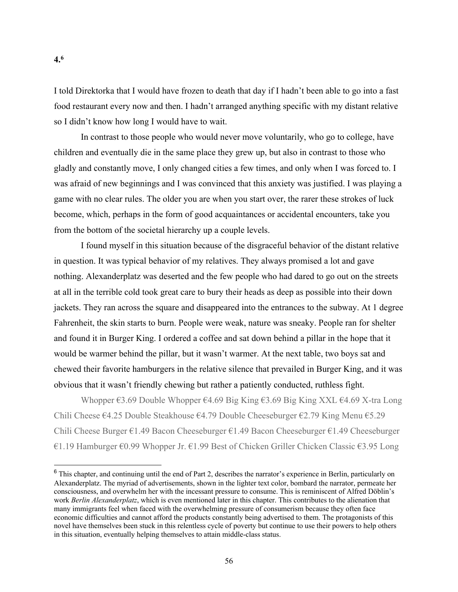I told Direktorka that I would have frozen to death that day if I hadn't been able to go into a fast food restaurant every now and then. I hadn't arranged anything specific with my distant relative so I didn't know how long I would have to wait.

In contrast to those people who would never move voluntarily, who go to college, have children and eventually die in the same place they grew up, but also in contrast to those who gladly and constantly move, I only changed cities a few times, and only when I was forced to. I was afraid of new beginnings and I was convinced that this anxiety was justified. I was playing a game with no clear rules. The older you are when you start over, the rarer these strokes of luck become, which, perhaps in the form of good acquaintances or accidental encounters, take you from the bottom of the societal hierarchy up a couple levels.

I found myself in this situation because of the disgraceful behavior of the distant relative in question. It was typical behavior of my relatives. They always promised a lot and gave nothing. Alexanderplatz was deserted and the few people who had dared to go out on the streets at all in the terrible cold took great care to bury their heads as deep as possible into their down jackets. They ran across the square and disappeared into the entrances to the subway. At 1 degree Fahrenheit, the skin starts to burn. People were weak, nature was sneaky. People ran for shelter and found it in Burger King. I ordered a coffee and sat down behind a pillar in the hope that it would be warmer behind the pillar, but it wasn't warmer. At the next table, two boys sat and chewed their favorite hamburgers in the relative silence that prevailed in Burger King, and it was obvious that it wasn't friendly chewing but rather a patiently conducted, ruthless fight.

Whopper €3.69 Double Whopper €4.69 Big King €3.69 Big King XXL €4.69 X-tra Long Chili Cheese €4.25 Double Steakhouse €4.79 Double Cheeseburger €2.79 King Menu €5.29 Chili Cheese Burger €1.49 Bacon Cheeseburger €1.49 Bacon Cheeseburger €1.49 Cheeseburger €1.19 Hamburger €0.99 Whopper Jr. €1.99 Best of Chicken Griller Chicken Classic €3.95 Long

<sup>&</sup>lt;sup>6</sup> This chapter, and continuing until the end of Part 2, describes the narrator's experience in Berlin, particularly on Alexanderplatz. The myriad of advertisements, shown in the lighter text color, bombard the narrator, permeate her consciousness, and overwhelm her with the incessant pressure to consume. This is reminiscent of Alfred Döblin's work *Berlin Alexanderplatz*, which is even mentioned later in this chapter. This contributes to the alienation that many immigrants feel when faced with the overwhelming pressure of consumerism because they often face economic difficulties and cannot afford the products constantly being advertised to them. The protagonists of this novel have themselves been stuck in this relentless cycle of poverty but continue to use their powers to help others in this situation, eventually helping themselves to attain middle-class status.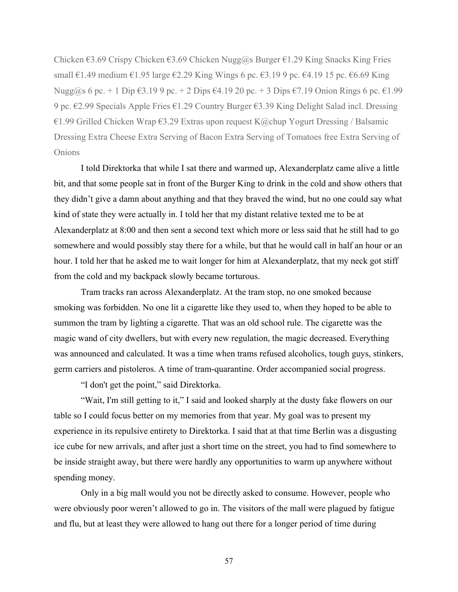Chicken  $\epsilon$ 3.69 Crispy Chicken  $\epsilon$ 3.69 Chicken Nugg@s Burger  $\epsilon$ 1.29 King Snacks King Fries small  $\epsilon$ 1.49 medium  $\epsilon$ 1.95 large  $\epsilon$ 2.29 King Wings 6 pc.  $\epsilon$ 3.19 9 pc.  $\epsilon$ 4.19 15 pc.  $\epsilon$ 6.69 King Nugg@s 6 pc. + 1 Dip  $\epsilon$ 3.19 9 pc. + 2 Dips  $\epsilon$ 4.19 20 pc. + 3 Dips  $\epsilon$ 7.19 Onion Rings 6 pc.  $\epsilon$ 1.99 9 pc. €2.99 Specials Apple Fries €1.29 Country Burger €3.39 King Delight Salad incl. Dressing €1.99 Grilled Chicken Wrap €3.29 Extras upon request K@chup Yogurt Dressing / Balsamic Dressing Extra Cheese Extra Serving of Bacon Extra Serving of Tomatoes free Extra Serving of Onions

I told Direktorka that while I sat there and warmed up, Alexanderplatz came alive a little bit, and that some people sat in front of the Burger King to drink in the cold and show others that they didn't give a damn about anything and that they braved the wind, but no one could say what kind of state they were actually in. I told her that my distant relative texted me to be at Alexanderplatz at 8:00 and then sent a second text which more or less said that he still had to go somewhere and would possibly stay there for a while, but that he would call in half an hour or an hour. I told her that he asked me to wait longer for him at Alexanderplatz, that my neck got stiff from the cold and my backpack slowly became torturous.

Tram tracks ran across Alexanderplatz. At the tram stop, no one smoked because smoking was forbidden. No one lit a cigarette like they used to, when they hoped to be able to summon the tram by lighting a cigarette. That was an old school rule. The cigarette was the magic wand of city dwellers, but with every new regulation, the magic decreased. Everything was announced and calculated. It was a time when trams refused alcoholics, tough guys, stinkers, germ carriers and pistoleros. A time of tram-quarantine. Order accompanied social progress.

"I don't get the point," said Direktorka.

"Wait, I'm still getting to it," I said and looked sharply at the dusty fake flowers on our table so I could focus better on my memories from that year. My goal was to present my experience in its repulsive entirety to Direktorka. I said that at that time Berlin was a disgusting ice cube for new arrivals, and after just a short time on the street, you had to find somewhere to be inside straight away, but there were hardly any opportunities to warm up anywhere without spending money.

Only in a big mall would you not be directly asked to consume. However, people who were obviously poor weren't allowed to go in. The visitors of the mall were plagued by fatigue and flu, but at least they were allowed to hang out there for a longer period of time during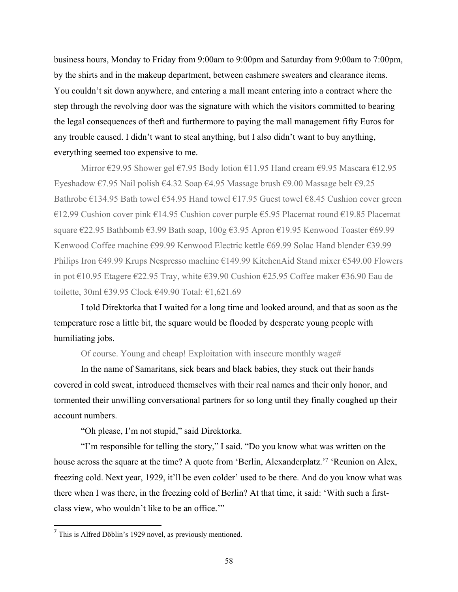business hours, Monday to Friday from 9:00am to 9:00pm and Saturday from 9:00am to 7:00pm, by the shirts and in the makeup department, between cashmere sweaters and clearance items. You couldn't sit down anywhere, and entering a mall meant entering into a contract where the step through the revolving door was the signature with which the visitors committed to bearing the legal consequences of theft and furthermore to paying the mall management fifty Euros for any trouble caused. I didn't want to steal anything, but I also didn't want to buy anything, everything seemed too expensive to me.

Mirror €29.95 Shower gel €7.95 Body lotion €11.95 Hand cream €9.95 Mascara €12.95 Eyeshadow €7.95 Nail polish €4.32 Soap €4.95 Massage brush €9.00 Massage belt €9.25 Bathrobe  $\epsilon$ 134.95 Bath towel  $\epsilon$ 54.95 Hand towel  $\epsilon$ 17.95 Guest towel  $\epsilon$ 8.45 Cushion cover green €12.99 Cushion cover pink €14.95 Cushion cover purple €5.95 Placemat round €19.85 Placemat square €22.95 Bathbomb €3.99 Bath soap, 100g €3.95 Apron €19.95 Kenwood Toaster €69.99 Kenwood Coffee machine €99.99 Kenwood Electric kettle €69.99 Solac Hand blender €39.99 Philips Iron €49.99 Krups Nespresso machine €149.99 KitchenAid Stand mixer €549.00 Flowers in pot €10.95 Etagere €22.95 Tray, white €39.90 Cushion €25.95 Coffee maker €36.90 Eau de toilette, 30ml €39.95 Clock €49.90 Total: €1,621.69

I told Direktorka that I waited for a long time and looked around, and that as soon as the temperature rose a little bit, the square would be flooded by desperate young people with humiliating jobs.

Of course. Young and cheap! Exploitation with insecure monthly wage#

In the name of Samaritans, sick bears and black babies, they stuck out their hands covered in cold sweat, introduced themselves with their real names and their only honor, and tormented their unwilling conversational partners for so long until they finally coughed up their account numbers.

"Oh please, I'm not stupid," said Direktorka.

"I'm responsible for telling the story," I said. "Do you know what was written on the house across the square at the time? A quote from 'Berlin, Alexanderplatz.'<sup>7</sup> 'Reunion on Alex, freezing cold. Next year, 1929, it'll be even colder' used to be there. And do you know what was there when I was there, in the freezing cold of Berlin? At that time, it said: 'With such a firstclass view, who wouldn't like to be an office.'"

<sup>7</sup> This is Alfred Döblin's 1929 novel, as previously mentioned.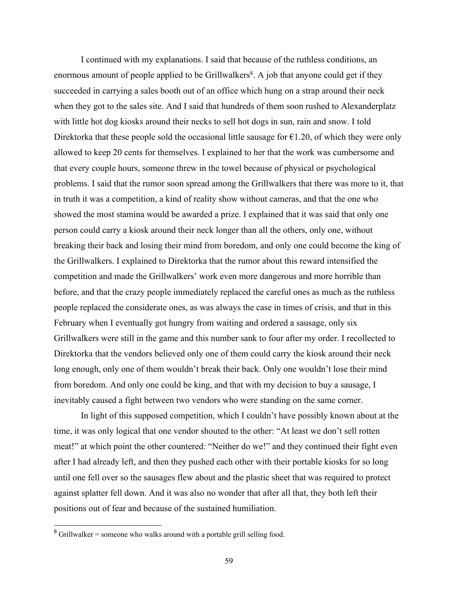I continued with my explanations. I said that because of the ruthless conditions, an enormous amount of people applied to be Grillwalkers<sup>8</sup>. A job that anyone could get if they succeeded in carrying a sales booth out of an office which hung on a strap around their neck when they got to the sales site. And I said that hundreds of them soon rushed to Alexanderplatz with little hot dog kiosks around their necks to sell hot dogs in sun, rain and snow. I told Direktorka that these people sold the occasional little sausage for  $\epsilon$ 1.20, of which they were only allowed to keep 20 cents for themselves. I explained to her that the work was cumbersome and that every couple hours, someone threw in the towel because of physical or psychological problems. I said that the rumor soon spread among the Grillwalkers that there was more to it, that in truth it was a competition, a kind of reality show without cameras, and that the one who showed the most stamina would be awarded a prize. I explained that it was said that only one person could carry a kiosk around their neck longer than all the others, only one, without breaking their back and losing their mind from boredom, and only one could become the king of the Grillwalkers. I explained to Direktorka that the rumor about this reward intensified the competition and made the Grillwalkers' work even more dangerous and more horrible than before, and that the crazy people immediately replaced the careful ones as much as the ruthless people replaced the considerate ones, as was always the case in times of crisis, and that in this February when I eventually got hungry from waiting and ordered a sausage, only six Grillwalkers were still in the game and this number sank to four after my order. I recollected to Direktorka that the vendors believed only one of them could carry the kiosk around their neck long enough, only one of them wouldn't break their back. Only one wouldn't lose their mind from boredom. And only one could be king, and that with my decision to buy a sausage, I inevitably caused a fight between two vendors who were standing on the same corner.

In light of this supposed competition, which I couldn't have possibly known about at the time, it was only logical that one vendor shouted to the other: "At least we don't sell rotten meat!" at which point the other countered: "Neither do we!" and they continued their fight even after I had already left, and then they pushed each other with their portable kiosks for so long until one fell over so the sausages flew about and the plastic sheet that was required to protect against splatter fell down. And it was also no wonder that after all that, they both left their positions out of fear and because of the sustained humiliation.

 $8$  Grillwalker = someone who walks around with a portable grill selling food.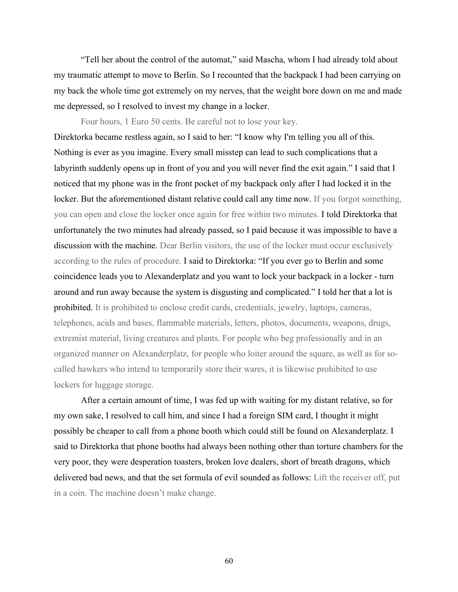"Tell her about the control of the automat," said Mascha, whom I had already told about my traumatic attempt to move to Berlin. So I recounted that the backpack I had been carrying on my back the whole time got extremely on my nerves, that the weight bore down on me and made me depressed, so I resolved to invest my change in a locker.

Four hours, 1 Euro 50 cents. Be careful not to lose your key. Direktorka became restless again, so I said to her: "I know why I'm telling you all of this. Nothing is ever as you imagine. Every small misstep can lead to such complications that a labyrinth suddenly opens up in front of you and you will never find the exit again." I said that I noticed that my phone was in the front pocket of my backpack only after I had locked it in the locker. But the aforementioned distant relative could call any time now. If you forgot something, you can open and close the locker once again for free within two minutes. I told Direktorka that unfortunately the two minutes had already passed, so I paid because it was impossible to have a discussion with the machine. Dear Berlin visitors, the use of the locker must occur exclusively according to the rules of procedure. I said to Direktorka: "If you ever go to Berlin and some coincidence leads you to Alexanderplatz and you want to lock your backpack in a locker - turn around and run away because the system is disgusting and complicated." I told her that a lot is prohibited. It is prohibited to enclose credit cards, credentials, jewelry, laptops, cameras, telephones, acids and bases, flammable materials, letters, photos, documents, weapons, drugs, extremist material, living creatures and plants. For people who beg professionally and in an organized manner on Alexanderplatz, for people who loiter around the square, as well as for socalled hawkers who intend to temporarily store their wares, it is likewise prohibited to use lockers for luggage storage.

After a certain amount of time, I was fed up with waiting for my distant relative, so for my own sake, I resolved to call him, and since I had a foreign SIM card, I thought it might possibly be cheaper to call from a phone booth which could still be found on Alexanderplatz. I said to Direktorka that phone booths had always been nothing other than torture chambers for the very poor, they were desperation toasters, broken love dealers, short of breath dragons, which delivered bad news, and that the set formula of evil sounded as follows: Lift the receiver off, put in a coin. The machine doesn't make change.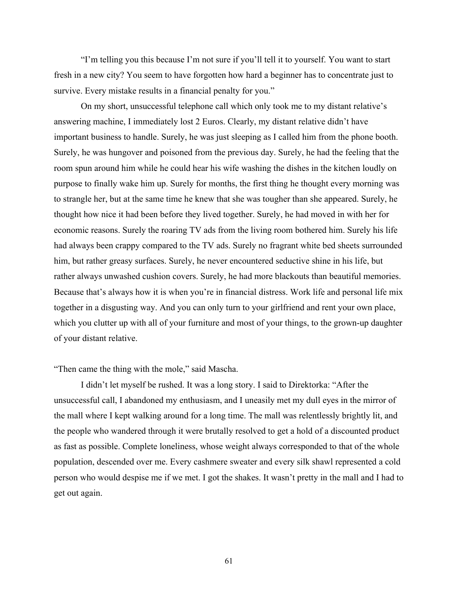"I'm telling you this because I'm not sure if you'll tell it to yourself. You want to start fresh in a new city? You seem to have forgotten how hard a beginner has to concentrate just to survive. Every mistake results in a financial penalty for you."

On my short, unsuccessful telephone call which only took me to my distant relative's answering machine, I immediately lost 2 Euros. Clearly, my distant relative didn't have important business to handle. Surely, he was just sleeping as I called him from the phone booth. Surely, he was hungover and poisoned from the previous day. Surely, he had the feeling that the room spun around him while he could hear his wife washing the dishes in the kitchen loudly on purpose to finally wake him up. Surely for months, the first thing he thought every morning was to strangle her, but at the same time he knew that she was tougher than she appeared. Surely, he thought how nice it had been before they lived together. Surely, he had moved in with her for economic reasons. Surely the roaring TV ads from the living room bothered him. Surely his life had always been crappy compared to the TV ads. Surely no fragrant white bed sheets surrounded him, but rather greasy surfaces. Surely, he never encountered seductive shine in his life, but rather always unwashed cushion covers. Surely, he had more blackouts than beautiful memories. Because that's always how it is when you're in financial distress. Work life and personal life mix together in a disgusting way. And you can only turn to your girlfriend and rent your own place, which you clutter up with all of your furniture and most of your things, to the grown-up daughter of your distant relative.

#### "Then came the thing with the mole," said Mascha.

I didn't let myself be rushed. It was a long story. I said to Direktorka: "After the unsuccessful call, I abandoned my enthusiasm, and I uneasily met my dull eyes in the mirror of the mall where I kept walking around for a long time. The mall was relentlessly brightly lit, and the people who wandered through it were brutally resolved to get a hold of a discounted product as fast as possible. Complete loneliness, whose weight always corresponded to that of the whole population, descended over me. Every cashmere sweater and every silk shawl represented a cold person who would despise me if we met. I got the shakes. It wasn't pretty in the mall and I had to get out again.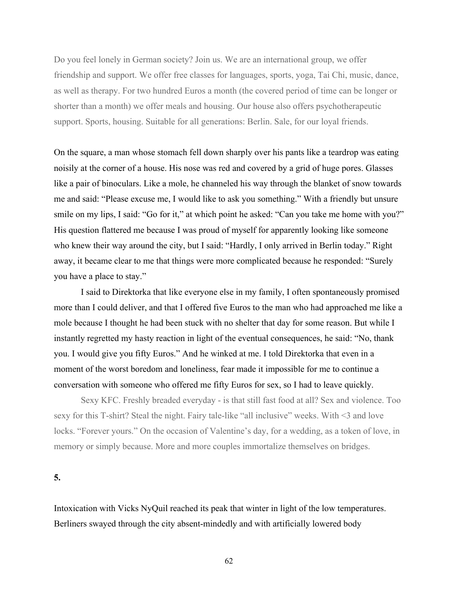Do you feel lonely in German society? Join us. We are an international group, we offer friendship and support. We offer free classes for languages, sports, yoga, Tai Chi, music, dance, as well as therapy. For two hundred Euros a month (the covered period of time can be longer or shorter than a month) we offer meals and housing. Our house also offers psychotherapeutic support. Sports, housing. Suitable for all generations: Berlin. Sale, for our loyal friends.

On the square, a man whose stomach fell down sharply over his pants like a teardrop was eating noisily at the corner of a house. His nose was red and covered by a grid of huge pores. Glasses like a pair of binoculars. Like a mole, he channeled his way through the blanket of snow towards me and said: "Please excuse me, I would like to ask you something." With a friendly but unsure smile on my lips, I said: "Go for it," at which point he asked: "Can you take me home with you?" His question flattered me because I was proud of myself for apparently looking like someone who knew their way around the city, but I said: "Hardly, I only arrived in Berlin today." Right away, it became clear to me that things were more complicated because he responded: "Surely you have a place to stay."

I said to Direktorka that like everyone else in my family, I often spontaneously promised more than I could deliver, and that I offered five Euros to the man who had approached me like a mole because I thought he had been stuck with no shelter that day for some reason. But while I instantly regretted my hasty reaction in light of the eventual consequences, he said: "No, thank you. I would give you fifty Euros." And he winked at me. I told Direktorka that even in a moment of the worst boredom and loneliness, fear made it impossible for me to continue a conversation with someone who offered me fifty Euros for sex, so I had to leave quickly.

Sexy KFC. Freshly breaded everyday - is that still fast food at all? Sex and violence. Too sexy for this T-shirt? Steal the night. Fairy tale-like "all inclusive" weeks. With <3 and love locks. "Forever yours." On the occasion of Valentine's day, for a wedding, as a token of love, in memory or simply because. More and more couples immortalize themselves on bridges.

**5.**

Intoxication with Vicks NyQuil reached its peak that winter in light of the low temperatures. Berliners swayed through the city absent-mindedly and with artificially lowered body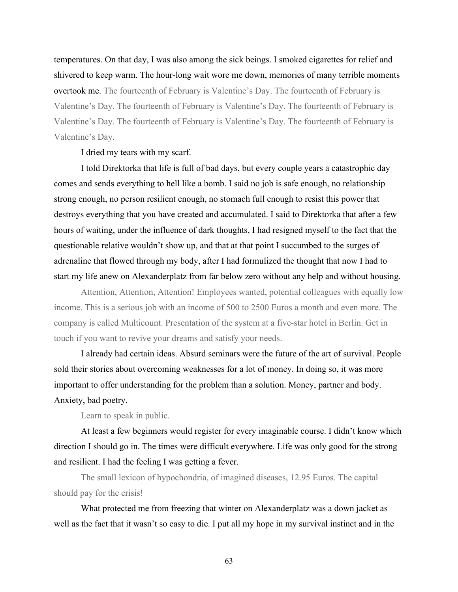temperatures. On that day, I was also among the sick beings. I smoked cigarettes for relief and shivered to keep warm. The hour-long wait wore me down, memories of many terrible moments overtook me. The fourteenth of February is Valentine's Day. The fourteenth of February is Valentine's Day. The fourteenth of February is Valentine's Day. The fourteenth of February is Valentine's Day. The fourteenth of February is Valentine's Day. The fourteenth of February is Valentine's Day.

I dried my tears with my scarf.

I told Direktorka that life is full of bad days, but every couple years a catastrophic day comes and sends everything to hell like a bomb. I said no job is safe enough, no relationship strong enough, no person resilient enough, no stomach full enough to resist this power that destroys everything that you have created and accumulated. I said to Direktorka that after a few hours of waiting, under the influence of dark thoughts, I had resigned myself to the fact that the questionable relative wouldn't show up, and that at that point I succumbed to the surges of adrenaline that flowed through my body, after I had formulized the thought that now I had to start my life anew on Alexanderplatz from far below zero without any help and without housing.

Attention, Attention, Attention! Employees wanted, potential colleagues with equally low income. This is a serious job with an income of 500 to 2500 Euros a month and even more. The company is called Multicount. Presentation of the system at a five-star hotel in Berlin. Get in touch if you want to revive your dreams and satisfy your needs.

I already had certain ideas. Absurd seminars were the future of the art of survival. People sold their stories about overcoming weaknesses for a lot of money. In doing so, it was more important to offer understanding for the problem than a solution. Money, partner and body. Anxiety, bad poetry.

Learn to speak in public.

At least a few beginners would register for every imaginable course. I didn't know which direction I should go in. The times were difficult everywhere. Life was only good for the strong and resilient. I had the feeling I was getting a fever.

The small lexicon of hypochondria, of imagined diseases, 12.95 Euros. The capital should pay for the crisis!

What protected me from freezing that winter on Alexanderplatz was a down jacket as well as the fact that it wasn't so easy to die. I put all my hope in my survival instinct and in the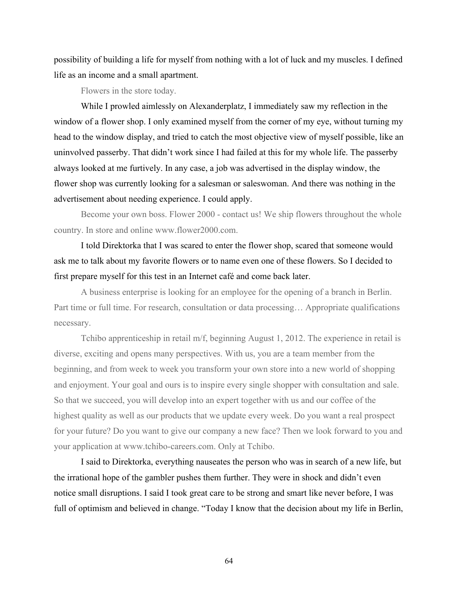possibility of building a life for myself from nothing with a lot of luck and my muscles. I defined life as an income and a small apartment.

Flowers in the store today.

While I prowled aimlessly on Alexanderplatz, I immediately saw my reflection in the window of a flower shop. I only examined myself from the corner of my eye, without turning my head to the window display, and tried to catch the most objective view of myself possible, like an uninvolved passerby. That didn't work since I had failed at this for my whole life. The passerby always looked at me furtively. In any case, a job was advertised in the display window, the flower shop was currently looking for a salesman or saleswoman. And there was nothing in the advertisement about needing experience. I could apply.

Become your own boss. Flower 2000 - contact us! We ship flowers throughout the whole country. In store and online www.flower2000.com.

I told Direktorka that I was scared to enter the flower shop, scared that someone would ask me to talk about my favorite flowers or to name even one of these flowers. So I decided to first prepare myself for this test in an Internet café and come back later.

A business enterprise is looking for an employee for the opening of a branch in Berlin. Part time or full time. For research, consultation or data processing… Appropriate qualifications necessary.

Tchibo apprenticeship in retail m/f, beginning August 1, 2012. The experience in retail is diverse, exciting and opens many perspectives. With us, you are a team member from the beginning, and from week to week you transform your own store into a new world of shopping and enjoyment. Your goal and ours is to inspire every single shopper with consultation and sale. So that we succeed, you will develop into an expert together with us and our coffee of the highest quality as well as our products that we update every week. Do you want a real prospect for your future? Do you want to give our company a new face? Then we look forward to you and your application at www.tchibo-careers.com. Only at Tchibo.

I said to Direktorka, everything nauseates the person who was in search of a new life, but the irrational hope of the gambler pushes them further. They were in shock and didn't even notice small disruptions. I said I took great care to be strong and smart like never before, I was full of optimism and believed in change. "Today I know that the decision about my life in Berlin,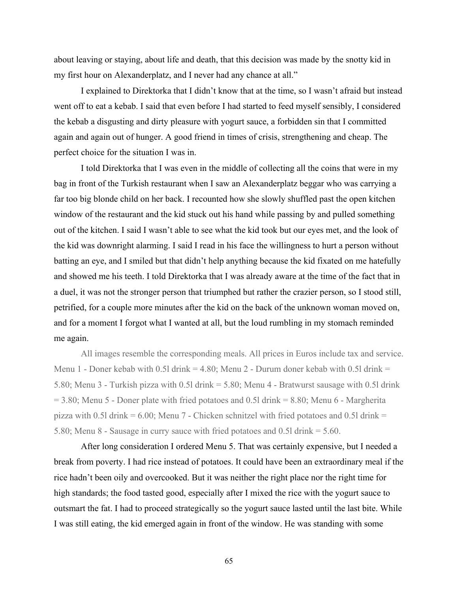about leaving or staying, about life and death, that this decision was made by the snotty kid in my first hour on Alexanderplatz, and I never had any chance at all."

I explained to Direktorka that I didn't know that at the time, so I wasn't afraid but instead went off to eat a kebab. I said that even before I had started to feed myself sensibly, I considered the kebab a disgusting and dirty pleasure with yogurt sauce, a forbidden sin that I committed again and again out of hunger. A good friend in times of crisis, strengthening and cheap. The perfect choice for the situation I was in.

I told Direktorka that I was even in the middle of collecting all the coins that were in my bag in front of the Turkish restaurant when I saw an Alexanderplatz beggar who was carrying a far too big blonde child on her back. I recounted how she slowly shuffled past the open kitchen window of the restaurant and the kid stuck out his hand while passing by and pulled something out of the kitchen. I said I wasn't able to see what the kid took but our eyes met, and the look of the kid was downright alarming. I said I read in his face the willingness to hurt a person without batting an eye, and I smiled but that didn't help anything because the kid fixated on me hatefully and showed me his teeth. I told Direktorka that I was already aware at the time of the fact that in a duel, it was not the stronger person that triumphed but rather the crazier person, so I stood still, petrified, for a couple more minutes after the kid on the back of the unknown woman moved on, and for a moment I forgot what I wanted at all, but the loud rumbling in my stomach reminded me again.

All images resemble the corresponding meals. All prices in Euros include tax and service. Menu 1 - Doner kebab with 0.51 drink = 4.80; Menu 2 - Durum doner kebab with 0.51 drink = 5.80; Menu 3 - Turkish pizza with 0.5l drink = 5.80; Menu 4 - Bratwurst sausage with 0.5l drink  $= 3.80$ ; Menu 5 - Doner plate with fried potatoes and 0.51 drink  $= 8.80$ ; Menu 6 - Margherita pizza with 0.51 drink =  $6.00$ ; Menu 7 - Chicken schnitzel with fried potatoes and 0.51 drink = 5.80; Menu 8 - Sausage in curry sauce with fried potatoes and 0.5l drink = 5.60.

After long consideration I ordered Menu 5. That was certainly expensive, but I needed a break from poverty. I had rice instead of potatoes. It could have been an extraordinary meal if the rice hadn't been oily and overcooked. But it was neither the right place nor the right time for high standards; the food tasted good, especially after I mixed the rice with the yogurt sauce to outsmart the fat. I had to proceed strategically so the yogurt sauce lasted until the last bite. While I was still eating, the kid emerged again in front of the window. He was standing with some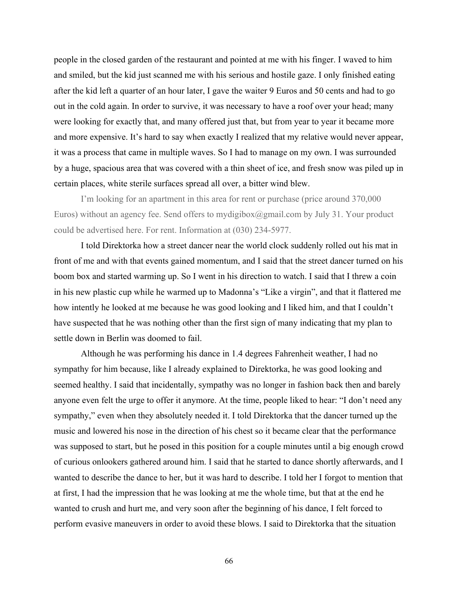people in the closed garden of the restaurant and pointed at me with his finger. I waved to him and smiled, but the kid just scanned me with his serious and hostile gaze. I only finished eating after the kid left a quarter of an hour later, I gave the waiter 9 Euros and 50 cents and had to go out in the cold again. In order to survive, it was necessary to have a roof over your head; many were looking for exactly that, and many offered just that, but from year to year it became more and more expensive. It's hard to say when exactly I realized that my relative would never appear, it was a process that came in multiple waves. So I had to manage on my own. I was surrounded by a huge, spacious area that was covered with a thin sheet of ice, and fresh snow was piled up in certain places, white sterile surfaces spread all over, a bitter wind blew.

I'm looking for an apartment in this area for rent or purchase (price around 370,000 Euros) without an agency fee. Send offers to mydigibox $(\partial \rho g$ mail.com by July 31. Your product could be advertised here. For rent. Information at (030) 234-5977.

I told Direktorka how a street dancer near the world clock suddenly rolled out his mat in front of me and with that events gained momentum, and I said that the street dancer turned on his boom box and started warming up. So I went in his direction to watch. I said that I threw a coin in his new plastic cup while he warmed up to Madonna's "Like a virgin", and that it flattered me how intently he looked at me because he was good looking and I liked him, and that I couldn't have suspected that he was nothing other than the first sign of many indicating that my plan to settle down in Berlin was doomed to fail.

Although he was performing his dance in 1.4 degrees Fahrenheit weather, I had no sympathy for him because, like I already explained to Direktorka, he was good looking and seemed healthy. I said that incidentally, sympathy was no longer in fashion back then and barely anyone even felt the urge to offer it anymore. At the time, people liked to hear: "I don't need any sympathy," even when they absolutely needed it. I told Direktorka that the dancer turned up the music and lowered his nose in the direction of his chest so it became clear that the performance was supposed to start, but he posed in this position for a couple minutes until a big enough crowd of curious onlookers gathered around him. I said that he started to dance shortly afterwards, and I wanted to describe the dance to her, but it was hard to describe. I told her I forgot to mention that at first, I had the impression that he was looking at me the whole time, but that at the end he wanted to crush and hurt me, and very soon after the beginning of his dance, I felt forced to perform evasive maneuvers in order to avoid these blows. I said to Direktorka that the situation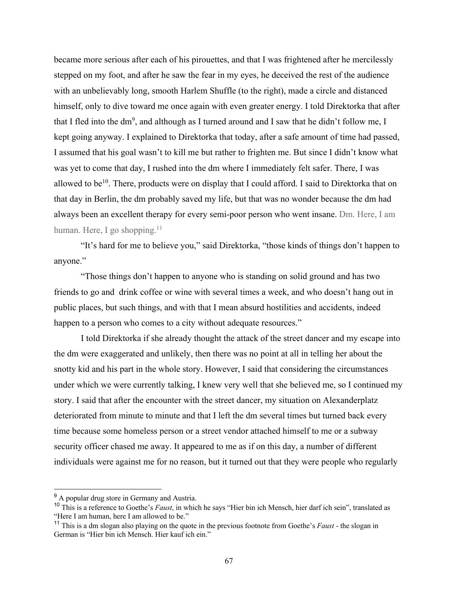became more serious after each of his pirouettes, and that I was frightened after he mercilessly stepped on my foot, and after he saw the fear in my eyes, he deceived the rest of the audience with an unbelievably long, smooth Harlem Shuffle (to the right), made a circle and distanced himself, only to dive toward me once again with even greater energy. I told Direktorka that after that I fled into the dm<sup>9</sup>, and although as I turned around and I saw that he didn't follow me, I kept going anyway. I explained to Direktorka that today, after a safe amount of time had passed, I assumed that his goal wasn't to kill me but rather to frighten me. But since I didn't know what was yet to come that day, I rushed into the dm where I immediately felt safer. There, I was allowed to be<sup>10</sup>. There, products were on display that I could afford. I said to Direktorka that on that day in Berlin, the dm probably saved my life, but that was no wonder because the dm had always been an excellent therapy for every semi-poor person who went insane. Dm. Here, I am human. Here, I go shopping. $11$ 

"It's hard for me to believe you," said Direktorka, "those kinds of things don't happen to anyone."

"Those things don't happen to anyone who is standing on solid ground and has two friends to go and drink coffee or wine with several times a week, and who doesn't hang out in public places, but such things, and with that I mean absurd hostilities and accidents, indeed happen to a person who comes to a city without adequate resources."

I told Direktorka if she already thought the attack of the street dancer and my escape into the dm were exaggerated and unlikely, then there was no point at all in telling her about the snotty kid and his part in the whole story. However, I said that considering the circumstances under which we were currently talking, I knew very well that she believed me, so I continued my story. I said that after the encounter with the street dancer, my situation on Alexanderplatz deteriorated from minute to minute and that I left the dm several times but turned back every time because some homeless person or a street vendor attached himself to me or a subway security officer chased me away. It appeared to me as if on this day, a number of different individuals were against me for no reason, but it turned out that they were people who regularly

<sup>&</sup>lt;sup>9</sup> A popular drug store in Germany and Austria.

<sup>10</sup> This is a reference to Goethe's *Faust*, in which he says "Hier bin ich Mensch, hier darf ich sein", translated as "Here I am human, here I am allowed to be."

<sup>11</sup> This is a dm slogan also playing on the quote in the previous footnote from Goethe's *Faust* - the slogan in German is "Hier bin ich Mensch. Hier kauf ich ein."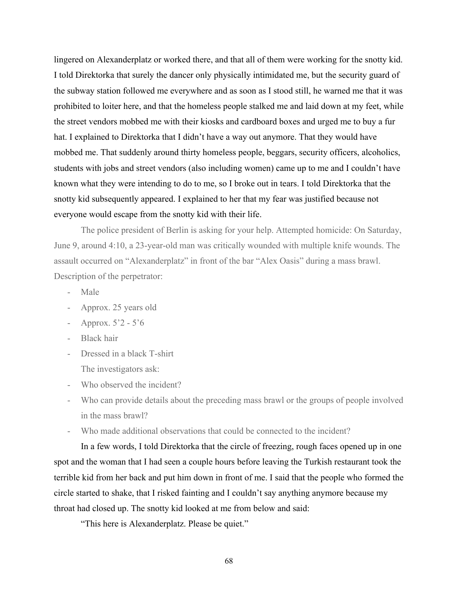lingered on Alexanderplatz or worked there, and that all of them were working for the snotty kid. I told Direktorka that surely the dancer only physically intimidated me, but the security guard of the subway station followed me everywhere and as soon as I stood still, he warned me that it was prohibited to loiter here, and that the homeless people stalked me and laid down at my feet, while the street vendors mobbed me with their kiosks and cardboard boxes and urged me to buy a fur hat. I explained to Direktorka that I didn't have a way out anymore. That they would have mobbed me. That suddenly around thirty homeless people, beggars, security officers, alcoholics, students with jobs and street vendors (also including women) came up to me and I couldn't have known what they were intending to do to me, so I broke out in tears. I told Direktorka that the snotty kid subsequently appeared. I explained to her that my fear was justified because not everyone would escape from the snotty kid with their life.

The police president of Berlin is asking for your help. Attempted homicide: On Saturday, June 9, around 4:10, a 23-year-old man was critically wounded with multiple knife wounds. The assault occurred on "Alexanderplatz" in front of the bar "Alex Oasis" during a mass brawl. Description of the perpetrator:

- Male
- Approx. 25 years old
- Approx.  $5'2 5'6$
- Black hair
- Dressed in a black T-shirt
	- The investigators ask:
- Who observed the incident?
- Who can provide details about the preceding mass brawl or the groups of people involved in the mass brawl?
- Who made additional observations that could be connected to the incident?

In a few words, I told Direktorka that the circle of freezing, rough faces opened up in one spot and the woman that I had seen a couple hours before leaving the Turkish restaurant took the terrible kid from her back and put him down in front of me. I said that the people who formed the circle started to shake, that I risked fainting and I couldn't say anything anymore because my throat had closed up. The snotty kid looked at me from below and said:

"This here is Alexanderplatz. Please be quiet."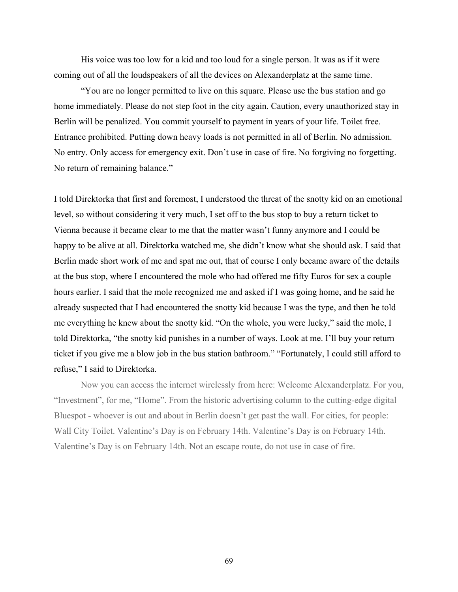His voice was too low for a kid and too loud for a single person. It was as if it were coming out of all the loudspeakers of all the devices on Alexanderplatz at the same time.

"You are no longer permitted to live on this square. Please use the bus station and go home immediately. Please do not step foot in the city again. Caution, every unauthorized stay in Berlin will be penalized. You commit yourself to payment in years of your life. Toilet free. Entrance prohibited. Putting down heavy loads is not permitted in all of Berlin. No admission. No entry. Only access for emergency exit. Don't use in case of fire. No forgiving no forgetting. No return of remaining balance."

I told Direktorka that first and foremost, I understood the threat of the snotty kid on an emotional level, so without considering it very much, I set off to the bus stop to buy a return ticket to Vienna because it became clear to me that the matter wasn't funny anymore and I could be happy to be alive at all. Direktorka watched me, she didn't know what she should ask. I said that Berlin made short work of me and spat me out, that of course I only became aware of the details at the bus stop, where I encountered the mole who had offered me fifty Euros for sex a couple hours earlier. I said that the mole recognized me and asked if I was going home, and he said he already suspected that I had encountered the snotty kid because I was the type, and then he told me everything he knew about the snotty kid. "On the whole, you were lucky," said the mole, I told Direktorka, "the snotty kid punishes in a number of ways. Look at me. I'll buy your return ticket if you give me a blow job in the bus station bathroom." "Fortunately, I could still afford to refuse," I said to Direktorka.

Now you can access the internet wirelessly from here: Welcome Alexanderplatz. For you, "Investment", for me, "Home". From the historic advertising column to the cutting-edge digital Bluespot - whoever is out and about in Berlin doesn't get past the wall. For cities, for people: Wall City Toilet. Valentine's Day is on February 14th. Valentine's Day is on February 14th. Valentine's Day is on February 14th. Not an escape route, do not use in case of fire.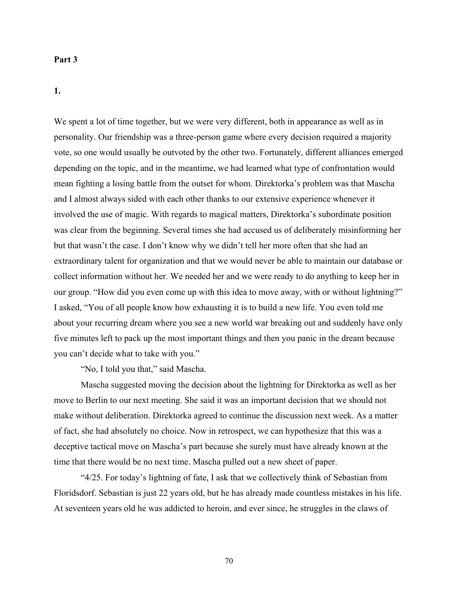#### **Part 3**

**1.**

We spent a lot of time together, but we were very different, both in appearance as well as in personality. Our friendship was a three-person game where every decision required a majority vote, so one would usually be outvoted by the other two. Fortunately, different alliances emerged depending on the topic, and in the meantime, we had learned what type of confrontation would mean fighting a losing battle from the outset for whom. Direktorka's problem was that Mascha and I almost always sided with each other thanks to our extensive experience whenever it involved the use of magic. With regards to magical matters, Direktorka's subordinate position was clear from the beginning. Several times she had accused us of deliberately misinforming her but that wasn't the case. I don't know why we didn't tell her more often that she had an extraordinary talent for organization and that we would never be able to maintain our database or collect information without her. We needed her and we were ready to do anything to keep her in our group. "How did you even come up with this idea to move away, with or without lightning?" I asked, "You of all people know how exhausting it is to build a new life. You even told me about your recurring dream where you see a new world war breaking out and suddenly have only five minutes left to pack up the most important things and then you panic in the dream because you can't decide what to take with you."

"No, I told you that," said Mascha.

Mascha suggested moving the decision about the lightning for Direktorka as well as her move to Berlin to our next meeting. She said it was an important decision that we should not make without deliberation. Direktorka agreed to continue the discussion next week. As a matter of fact, she had absolutely no choice. Now in retrospect, we can hypothesize that this was a deceptive tactical move on Mascha's part because she surely must have already known at the time that there would be no next time. Mascha pulled out a new sheet of paper.

"4/25. For today's lightning of fate, I ask that we collectively think of Sebastian from Floridsdorf. Sebastian is just 22 years old, but he has already made countless mistakes in his life. At seventeen years old he was addicted to heroin, and ever since, he struggles in the claws of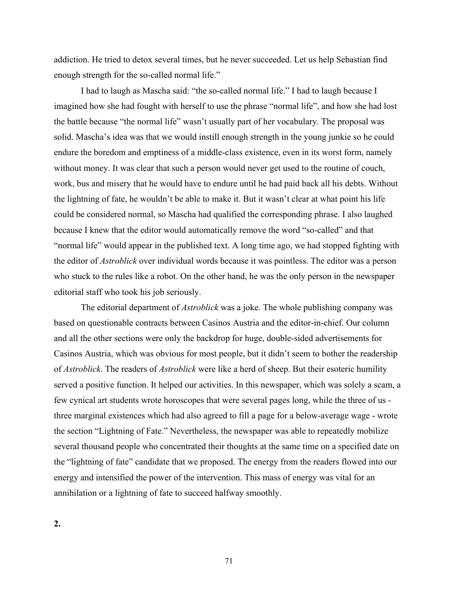addiction. He tried to detox several times, but he never succeeded. Let us help Sebastian find enough strength for the so-called normal life."

I had to laugh as Mascha said: "the so-called normal life." I had to laugh because I imagined how she had fought with herself to use the phrase "normal life", and how she had lost the battle because "the normal life" wasn't usually part of her vocabulary. The proposal was solid. Mascha's idea was that we would instill enough strength in the young junkie so he could endure the boredom and emptiness of a middle-class existence, even in its worst form, namely without money. It was clear that such a person would never get used to the routine of couch, work, bus and misery that he would have to endure until he had paid back all his debts. Without the lightning of fate, he wouldn't be able to make it. But it wasn't clear at what point his life could be considered normal, so Mascha had qualified the corresponding phrase. I also laughed because I knew that the editor would automatically remove the word "so-called" and that "normal life" would appear in the published text. A long time ago, we had stopped fighting with the editor of *Astroblick* over individual words because it was pointless. The editor was a person who stuck to the rules like a robot. On the other hand, he was the only person in the newspaper editorial staff who took his job seriously.

The editorial department of *Astroblick* was a joke. The whole publishing company was based on questionable contracts between Casinos Austria and the editor-in-chief. Our column and all the other sections were only the backdrop for huge, double-sided advertisements for Casinos Austria, which was obvious for most people, but it didn't seem to bother the readership of *Astroblick*. The readers of *Astroblick* were like a herd of sheep. But their esoteric humility served a positive function. It helped our activities. In this newspaper, which was solely a scam, a few cynical art students wrote horoscopes that were several pages long, while the three of us three marginal existences which had also agreed to fill a page for a below-average wage - wrote the section "Lightning of Fate." Nevertheless, the newspaper was able to repeatedly mobilize several thousand people who concentrated their thoughts at the same time on a specified date on the "lightning of fate" candidate that we proposed. The energy from the readers flowed into our energy and intensified the power of the intervention. This mass of energy was vital for an annihilation or a lightning of fate to succeed halfway smoothly.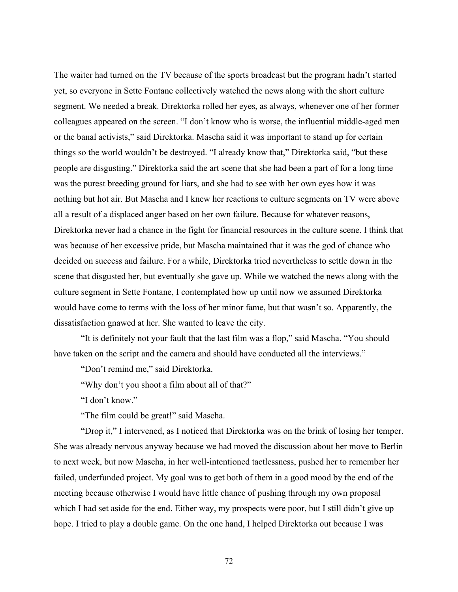The waiter had turned on the TV because of the sports broadcast but the program hadn't started yet, so everyone in Sette Fontane collectively watched the news along with the short culture segment. We needed a break. Direktorka rolled her eyes, as always, whenever one of her former colleagues appeared on the screen. "I don't know who is worse, the influential middle-aged men or the banal activists," said Direktorka. Mascha said it was important to stand up for certain things so the world wouldn't be destroyed. "I already know that," Direktorka said, "but these people are disgusting." Direktorka said the art scene that she had been a part of for a long time was the purest breeding ground for liars, and she had to see with her own eyes how it was nothing but hot air. But Mascha and I knew her reactions to culture segments on TV were above all a result of a displaced anger based on her own failure. Because for whatever reasons, Direktorka never had a chance in the fight for financial resources in the culture scene. I think that was because of her excessive pride, but Mascha maintained that it was the god of chance who decided on success and failure. For a while, Direktorka tried nevertheless to settle down in the scene that disgusted her, but eventually she gave up. While we watched the news along with the culture segment in Sette Fontane, I contemplated how up until now we assumed Direktorka would have come to terms with the loss of her minor fame, but that wasn't so. Apparently, the dissatisfaction gnawed at her. She wanted to leave the city.

"It is definitely not your fault that the last film was a flop," said Mascha. "You should have taken on the script and the camera and should have conducted all the interviews."

"Don't remind me," said Direktorka.

"Why don't you shoot a film about all of that?"

"I don't know."

"The film could be great!" said Mascha.

"Drop it," I intervened, as I noticed that Direktorka was on the brink of losing her temper. She was already nervous anyway because we had moved the discussion about her move to Berlin to next week, but now Mascha, in her well-intentioned tactlessness, pushed her to remember her failed, underfunded project. My goal was to get both of them in a good mood by the end of the meeting because otherwise I would have little chance of pushing through my own proposal which I had set aside for the end. Either way, my prospects were poor, but I still didn't give up hope. I tried to play a double game. On the one hand, I helped Direktorka out because I was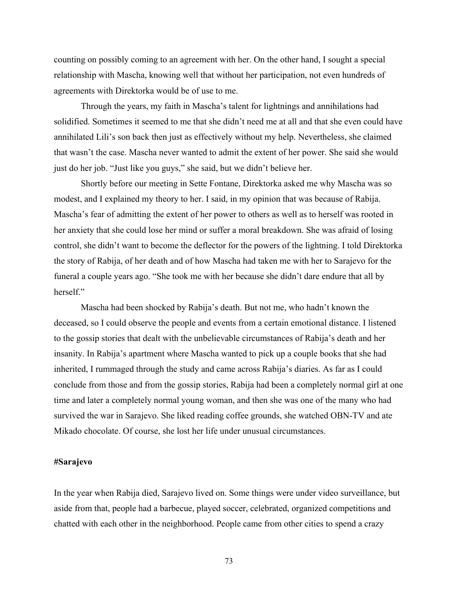counting on possibly coming to an agreement with her. On the other hand, I sought a special relationship with Mascha, knowing well that without her participation, not even hundreds of agreements with Direktorka would be of use to me.

Through the years, my faith in Mascha's talent for lightnings and annihilations had solidified. Sometimes it seemed to me that she didn't need me at all and that she even could have annihilated Lili's son back then just as effectively without my help. Nevertheless, she claimed that wasn't the case. Mascha never wanted to admit the extent of her power. She said she would just do her job. "Just like you guys," she said, but we didn't believe her.

Shortly before our meeting in Sette Fontane, Direktorka asked me why Mascha was so modest, and I explained my theory to her. I said, in my opinion that was because of Rabija. Mascha's fear of admitting the extent of her power to others as well as to herself was rooted in her anxiety that she could lose her mind or suffer a moral breakdown. She was afraid of losing control, she didn't want to become the deflector for the powers of the lightning. I told Direktorka the story of Rabija, of her death and of how Mascha had taken me with her to Sarajevo for the funeral a couple years ago. "She took me with her because she didn't dare endure that all by herself."

Mascha had been shocked by Rabija's death. But not me, who hadn't known the deceased, so I could observe the people and events from a certain emotional distance. I listened to the gossip stories that dealt with the unbelievable circumstances of Rabija's death and her insanity. In Rabija's apartment where Mascha wanted to pick up a couple books that she had inherited, I rummaged through the study and came across Rabija's diaries. As far as I could conclude from those and from the gossip stories, Rabija had been a completely normal girl at one time and later a completely normal young woman, and then she was one of the many who had survived the war in Sarajevo. She liked reading coffee grounds, she watched OBN-TV and ate Mikado chocolate. Of course, she lost her life under unusual circumstances.

## **#Sarajevo**

In the year when Rabija died, Sarajevo lived on. Some things were under video surveillance, but aside from that, people had a barbecue, played soccer, celebrated, organized competitions and chatted with each other in the neighborhood. People came from other cities to spend a crazy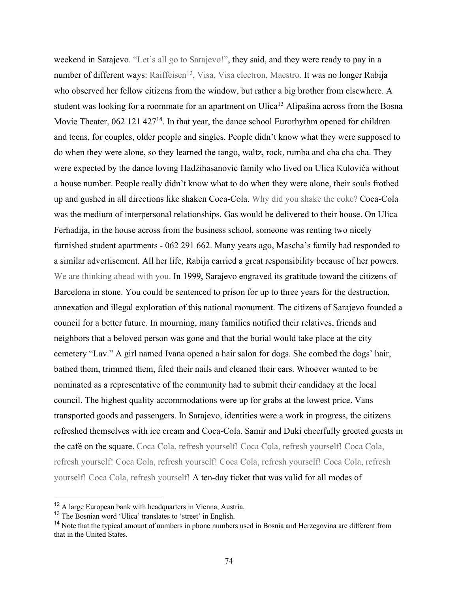weekend in Sarajevo. "Let's all go to Sarajevo!", they said, and they were ready to pay in a number of different ways: Raiffeisen<sup>12</sup>, Visa, Visa electron, Maestro. It was no longer Rabija who observed her fellow citizens from the window, but rather a big brother from elsewhere. A student was looking for a roommate for an apartment on Ulica<sup>13</sup> Alipašina across from the Bosna Movie Theater, 062 121 427<sup>14</sup>. In that year, the dance school Eurorhythm opened for children and teens, for couples, older people and singles. People didn't know what they were supposed to do when they were alone, so they learned the tango, waltz, rock, rumba and cha cha cha. They were expected by the dance loving Hadžihasanović family who lived on Ulica Kulovića without a house number. People really didn't know what to do when they were alone, their souls frothed up and gushed in all directions like shaken Coca-Cola. Why did you shake the coke? Coca-Cola was the medium of interpersonal relationships. Gas would be delivered to their house. On Ulica Ferhadija, in the house across from the business school, someone was renting two nicely furnished student apartments - 062 291 662. Many years ago, Mascha's family had responded to a similar advertisement. All her life, Rabija carried a great responsibility because of her powers. We are thinking ahead with you. In 1999, Sarajevo engraved its gratitude toward the citizens of Barcelona in stone. You could be sentenced to prison for up to three years for the destruction, annexation and illegal exploration of this national monument. The citizens of Sarajevo founded a council for a better future. In mourning, many families notified their relatives, friends and neighbors that a beloved person was gone and that the burial would take place at the city cemetery "Lav." A girl named Ivana opened a hair salon for dogs. She combed the dogs' hair, bathed them, trimmed them, filed their nails and cleaned their ears. Whoever wanted to be nominated as a representative of the community had to submit their candidacy at the local council. The highest quality accommodations were up for grabs at the lowest price. Vans transported goods and passengers. In Sarajevo, identities were a work in progress, the citizens refreshed themselves with ice cream and Coca-Cola. Samir and Duki cheerfully greeted guests in the café on the square. Coca Cola, refresh yourself! Coca Cola, refresh yourself! Coca Cola, refresh yourself! Coca Cola, refresh yourself! Coca Cola, refresh yourself! Coca Cola, refresh yourself! Coca Cola, refresh yourself! A ten-day ticket that was valid for all modes of

<sup>&</sup>lt;sup>12</sup> A large European bank with headquarters in Vienna, Austria.

<sup>13</sup> The Bosnian word 'Ulica' translates to 'street' in English.

<sup>&</sup>lt;sup>14</sup> Note that the typical amount of numbers in phone numbers used in Bosnia and Herzegovina are different from that in the United States.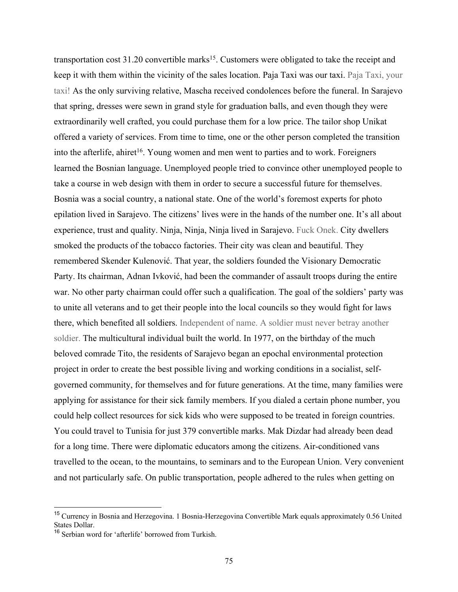transportation cost  $31.20$  convertible marks<sup>15</sup>. Customers were obligated to take the receipt and keep it with them within the vicinity of the sales location. Paja Taxi was our taxi. Paja Taxi, your taxi! As the only surviving relative, Mascha received condolences before the funeral. In Sarajevo that spring, dresses were sewn in grand style for graduation balls, and even though they were extraordinarily well crafted, you could purchase them for a low price. The tailor shop Unikat offered a variety of services. From time to time, one or the other person completed the transition into the afterlife, ahiret<sup>16</sup>. Young women and men went to parties and to work. Foreigners learned the Bosnian language. Unemployed people tried to convince other unemployed people to take a course in web design with them in order to secure a successful future for themselves. Bosnia was a social country, a national state. One of the world's foremost experts for photo epilation lived in Sarajevo. The citizens' lives were in the hands of the number one. It's all about experience, trust and quality. Ninja, Ninja, Ninja lived in Sarajevo. Fuck Onek. City dwellers smoked the products of the tobacco factories. Their city was clean and beautiful. They remembered Skender Kulenović. That year, the soldiers founded the Visionary Democratic Party. Its chairman, Adnan Ivković, had been the commander of assault troops during the entire war. No other party chairman could offer such a qualification. The goal of the soldiers' party was to unite all veterans and to get their people into the local councils so they would fight for laws there, which benefited all soldiers. Independent of name. A soldier must never betray another soldier. The multicultural individual built the world. In 1977, on the birthday of the much beloved comrade Tito, the residents of Sarajevo began an epochal environmental protection project in order to create the best possible living and working conditions in a socialist, selfgoverned community, for themselves and for future generations. At the time, many families were applying for assistance for their sick family members. If you dialed a certain phone number, you could help collect resources for sick kids who were supposed to be treated in foreign countries. You could travel to Tunisia for just 379 convertible marks. Mak Dizdar had already been dead for a long time. There were diplomatic educators among the citizens. Air-conditioned vans travelled to the ocean, to the mountains, to seminars and to the European Union. Very convenient and not particularly safe. On public transportation, people adhered to the rules when getting on

<sup>15</sup> Currency in Bosnia and Herzegovina. 1 Bosnia-Herzegovina Convertible Mark equals approximately 0.56 United States Dollar.

<sup>16</sup> Serbian word for 'afterlife' borrowed from Turkish.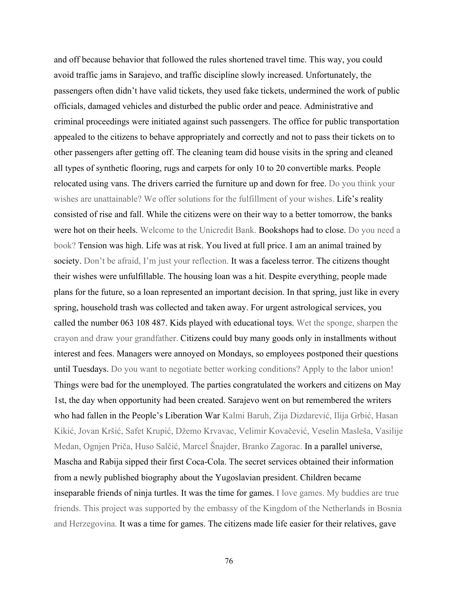and off because behavior that followed the rules shortened travel time. This way, you could avoid traffic jams in Sarajevo, and traffic discipline slowly increased. Unfortunately, the passengers often didn't have valid tickets, they used fake tickets, undermined the work of public officials, damaged vehicles and disturbed the public order and peace. Administrative and criminal proceedings were initiated against such passengers. The office for public transportation appealed to the citizens to behave appropriately and correctly and not to pass their tickets on to other passengers after getting off. The cleaning team did house visits in the spring and cleaned all types of synthetic flooring, rugs and carpets for only 10 to 20 convertible marks. People relocated using vans. The drivers carried the furniture up and down for free. Do you think your wishes are unattainable? We offer solutions for the fulfillment of your wishes. Life's reality consisted of rise and fall. While the citizens were on their way to a better tomorrow, the banks were hot on their heels. Welcome to the Unicredit Bank. Bookshops had to close. Do you need a book? Tension was high. Life was at risk. You lived at full price. I am an animal trained by society. Don't be afraid, I'm just your reflection. It was a faceless terror. The citizens thought their wishes were unfulfillable. The housing loan was a hit. Despite everything, people made plans for the future, so a loan represented an important decision. In that spring, just like in every spring, household trash was collected and taken away. For urgent astrological services, you called the number 063 108 487. Kids played with educational toys. Wet the sponge, sharpen the crayon and draw your grandfather. Citizens could buy many goods only in installments without interest and fees. Managers were annoyed on Mondays, so employees postponed their questions until Tuesdays. Do you want to negotiate better working conditions? Apply to the labor union! Things were bad for the unemployed. The parties congratulated the workers and citizens on May 1st, the day when opportunity had been created. Sarajevo went on but remembered the writers who had fallen in the People's Liberation War Kalmi Baruh, Zija Dizdarević, Ilija Grbić, Hasan Kikić, Jovan Kršić, Safet Krupić, Džemo Krvavac, Velimir Kovačević, Veselin Masleša, Vasilije Medan, Ognjen Priča, Huso Salčić, Marcel Šnajder, Branko Zagorac. In a parallel universe, Mascha and Rabija sipped their first Coca-Cola. The secret services obtained their information from a newly published biography about the Yugoslavian president. Children became inseparable friends of ninja turtles. It was the time for games. I love games. My buddies are true friends. This project was supported by the embassy of the Kingdom of the Netherlands in Bosnia and Herzegovina. It was a time for games. The citizens made life easier for their relatives, gave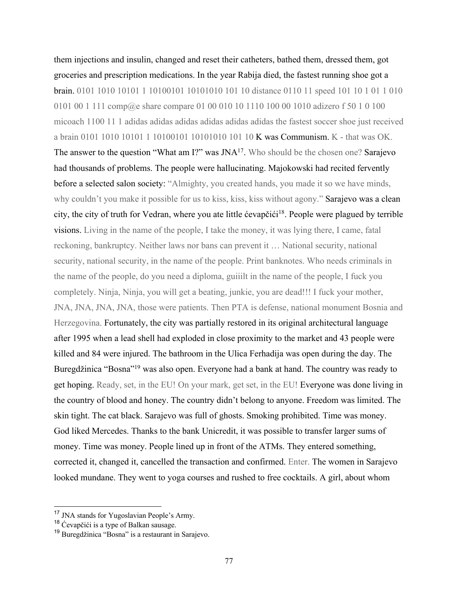them injections and insulin, changed and reset their catheters, bathed them, dressed them, got groceries and prescription medications. In the year Rabija died, the fastest running shoe got a brain. 0101 1010 10101 1 10100101 10101010 101 10 distance 0110 11 speed 101 10 1 01 1 010 0101 00 1 111 comp@e share compare 01 00 010 10 1110 100 00 1010 adizero f 50 1 0 100 micoach 1100 11 1 adidas adidas adidas adidas adidas adidas the fastest soccer shoe just received a brain 0101 1010 10101 1 10100101 10101010 101 10 K was Communism. K - that was OK. The answer to the question "What am I?" was JNA<sup>17</sup>. Who should be the chosen one? Sarajevo had thousands of problems. The people were hallucinating. Majokowski had recited fervently before a selected salon society: "Almighty, you created hands, you made it so we have minds, why couldn't you make it possible for us to kiss, kiss, kiss without agony." Sarajevo was a clean city, the city of truth for Vedran, where you ate little ćevapčići<sup>18</sup>. People were plagued by terrible visions. Living in the name of the people, I take the money, it was lying there, I came, fatal reckoning, bankruptcy. Neither laws nor bans can prevent it … National security, national security, national security, in the name of the people. Print banknotes. Who needs criminals in the name of the people, do you need a diploma, guiiilt in the name of the people, I fuck you completely. Ninja, Ninja, you will get a beating, junkie, you are dead!!! I fuck your mother, JNA, JNA, JNA, JNA, those were patients. Then PTA is defense, national monument Bosnia and Herzegovina. Fortunately, the city was partially restored in its original architectural language after 1995 when a lead shell had exploded in close proximity to the market and 43 people were killed and 84 were injured. The bathroom in the Ulica Ferhadija was open during the day. The Buregdžinica "Bosna"<sup>19</sup> was also open. Everyone had a bank at hand. The country was ready to get hoping. Ready, set, in the EU! On your mark, get set, in the EU! Everyone was done living in the country of blood and honey. The country didn't belong to anyone. Freedom was limited. The skin tight. The cat black. Sarajevo was full of ghosts. Smoking prohibited. Time was money. God liked Mercedes. Thanks to the bank Unicredit, it was possible to transfer larger sums of money. Time was money. People lined up in front of the ATMs. They entered something, corrected it, changed it, cancelled the transaction and confirmed. Enter. The women in Sarajevo looked mundane. They went to yoga courses and rushed to free cocktails. A girl, about whom

<sup>&</sup>lt;sup>17</sup> JNA stands for Yugoslavian People's Army.

 $18$  Ćevapčići is a type of Balkan sausage.

<sup>19</sup> Buregdžinica "Bosna" is a restaurant in Sarajevo.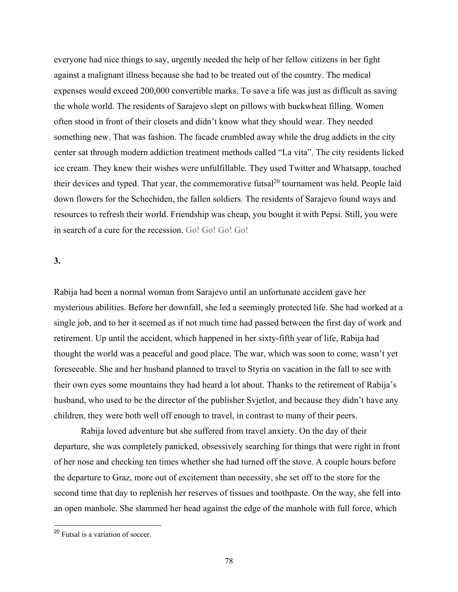everyone had nice things to say, urgently needed the help of her fellow citizens in her fight against a malignant illness because she had to be treated out of the country. The medical expenses would exceed 200,000 convertible marks. To save a life was just as difficult as saving the whole world. The residents of Sarajevo slept on pillows with buckwheat filling. Women often stood in front of their closets and didn't know what they should wear. They needed something new. That was fashion. The facade crumbled away while the drug addicts in the city center sat through modern addiction treatment methods called "La vita". The city residents licked ice cream. They knew their wishes were unfulfillable. They used Twitter and Whatsapp, touched their devices and typed. That year, the commemorative futsal<sup>20</sup> tournament was held. People laid down flowers for the Schechiden, the fallen soldiers. The residents of Sarajevo found ways and resources to refresh their world. Friendship was cheap, you bought it with Pepsi. Still, you were in search of a cure for the recession. Go! Go! Go! Go!

#### **3.**

Rabija had been a normal woman from Sarajevo until an unfortunate accident gave her mysterious abilities. Before her downfall, she led a seemingly protected life. She had worked at a single job, and to her it seemed as if not much time had passed between the first day of work and retirement. Up until the accident, which happened in her sixty-fifth year of life, Rabija had thought the world was a peaceful and good place. The war, which was soon to come, wasn't yet foreseeable. She and her husband planned to travel to Styria on vacation in the fall to see with their own eyes some mountains they had heard a lot about. Thanks to the retirement of Rabija's husband, who used to be the director of the publisher Svjetlot, and because they didn't have any children, they were both well off enough to travel, in contrast to many of their peers.

Rabija loved adventure but she suffered from travel anxiety. On the day of their departure, she was completely panicked, obsessively searching for things that were right in front of her nose and checking ten times whether she had turned off the stove. A couple hours before the departure to Graz, more out of excitement than necessity, she set off to the store for the second time that day to replenish her reserves of tissues and toothpaste. On the way, she fell into an open manhole. She slammed her head against the edge of the manhole with full force, which

<sup>20</sup> Futsal is a variation of soccer.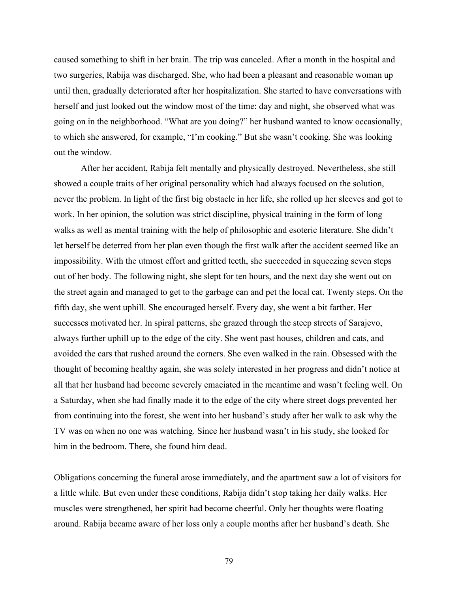caused something to shift in her brain. The trip was canceled. After a month in the hospital and two surgeries, Rabija was discharged. She, who had been a pleasant and reasonable woman up until then, gradually deteriorated after her hospitalization. She started to have conversations with herself and just looked out the window most of the time: day and night, she observed what was going on in the neighborhood. "What are you doing?" her husband wanted to know occasionally, to which she answered, for example, "I'm cooking." But she wasn't cooking. She was looking out the window.

After her accident, Rabija felt mentally and physically destroyed. Nevertheless, she still showed a couple traits of her original personality which had always focused on the solution, never the problem. In light of the first big obstacle in her life, she rolled up her sleeves and got to work. In her opinion, the solution was strict discipline, physical training in the form of long walks as well as mental training with the help of philosophic and esoteric literature. She didn't let herself be deterred from her plan even though the first walk after the accident seemed like an impossibility. With the utmost effort and gritted teeth, she succeeded in squeezing seven steps out of her body. The following night, she slept for ten hours, and the next day she went out on the street again and managed to get to the garbage can and pet the local cat. Twenty steps. On the fifth day, she went uphill. She encouraged herself. Every day, she went a bit farther. Her successes motivated her. In spiral patterns, she grazed through the steep streets of Sarajevo, always further uphill up to the edge of the city. She went past houses, children and cats, and avoided the cars that rushed around the corners. She even walked in the rain. Obsessed with the thought of becoming healthy again, she was solely interested in her progress and didn't notice at all that her husband had become severely emaciated in the meantime and wasn't feeling well. On a Saturday, when she had finally made it to the edge of the city where street dogs prevented her from continuing into the forest, she went into her husband's study after her walk to ask why the TV was on when no one was watching. Since her husband wasn't in his study, she looked for him in the bedroom. There, she found him dead.

Obligations concerning the funeral arose immediately, and the apartment saw a lot of visitors for a little while. But even under these conditions, Rabija didn't stop taking her daily walks. Her muscles were strengthened, her spirit had become cheerful. Only her thoughts were floating around. Rabija became aware of her loss only a couple months after her husband's death. She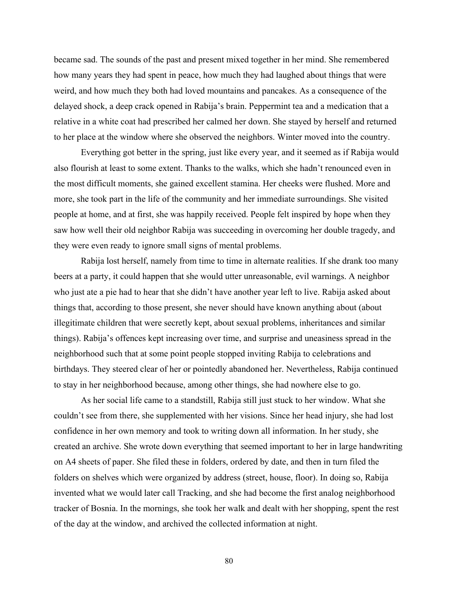became sad. The sounds of the past and present mixed together in her mind. She remembered how many years they had spent in peace, how much they had laughed about things that were weird, and how much they both had loved mountains and pancakes. As a consequence of the delayed shock, a deep crack opened in Rabija's brain. Peppermint tea and a medication that a relative in a white coat had prescribed her calmed her down. She stayed by herself and returned to her place at the window where she observed the neighbors. Winter moved into the country.

Everything got better in the spring, just like every year, and it seemed as if Rabija would also flourish at least to some extent. Thanks to the walks, which she hadn't renounced even in the most difficult moments, she gained excellent stamina. Her cheeks were flushed. More and more, she took part in the life of the community and her immediate surroundings. She visited people at home, and at first, she was happily received. People felt inspired by hope when they saw how well their old neighbor Rabija was succeeding in overcoming her double tragedy, and they were even ready to ignore small signs of mental problems.

Rabija lost herself, namely from time to time in alternate realities. If she drank too many beers at a party, it could happen that she would utter unreasonable, evil warnings. A neighbor who just ate a pie had to hear that she didn't have another year left to live. Rabija asked about things that, according to those present, she never should have known anything about (about illegitimate children that were secretly kept, about sexual problems, inheritances and similar things). Rabija's offences kept increasing over time, and surprise and uneasiness spread in the neighborhood such that at some point people stopped inviting Rabija to celebrations and birthdays. They steered clear of her or pointedly abandoned her. Nevertheless, Rabija continued to stay in her neighborhood because, among other things, she had nowhere else to go.

As her social life came to a standstill, Rabija still just stuck to her window. What she couldn't see from there, she supplemented with her visions. Since her head injury, she had lost confidence in her own memory and took to writing down all information. In her study, she created an archive. She wrote down everything that seemed important to her in large handwriting on A4 sheets of paper. She filed these in folders, ordered by date, and then in turn filed the folders on shelves which were organized by address (street, house, floor). In doing so, Rabija invented what we would later call Tracking, and she had become the first analog neighborhood tracker of Bosnia. In the mornings, she took her walk and dealt with her shopping, spent the rest of the day at the window, and archived the collected information at night.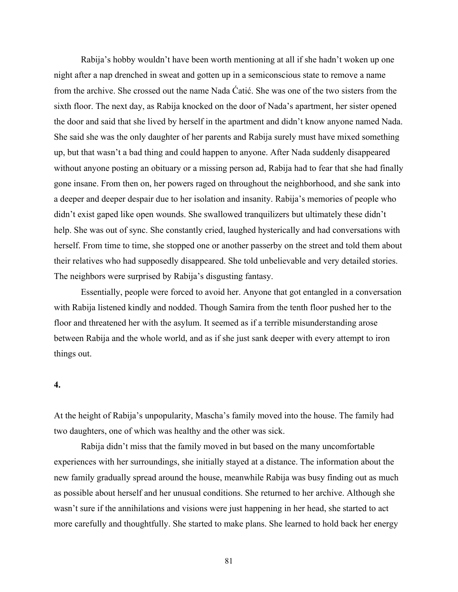Rabija's hobby wouldn't have been worth mentioning at all if she hadn't woken up one night after a nap drenched in sweat and gotten up in a semiconscious state to remove a name from the archive. She crossed out the name Nada Ćatić. She was one of the two sisters from the sixth floor. The next day, as Rabija knocked on the door of Nada's apartment, her sister opened the door and said that she lived by herself in the apartment and didn't know anyone named Nada. She said she was the only daughter of her parents and Rabija surely must have mixed something up, but that wasn't a bad thing and could happen to anyone. After Nada suddenly disappeared without anyone posting an obituary or a missing person ad, Rabija had to fear that she had finally gone insane. From then on, her powers raged on throughout the neighborhood, and she sank into a deeper and deeper despair due to her isolation and insanity. Rabija's memories of people who didn't exist gaped like open wounds. She swallowed tranquilizers but ultimately these didn't help. She was out of sync. She constantly cried, laughed hysterically and had conversations with herself. From time to time, she stopped one or another passerby on the street and told them about their relatives who had supposedly disappeared. She told unbelievable and very detailed stories. The neighbors were surprised by Rabija's disgusting fantasy.

Essentially, people were forced to avoid her. Anyone that got entangled in a conversation with Rabija listened kindly and nodded. Though Samira from the tenth floor pushed her to the floor and threatened her with the asylum. It seemed as if a terrible misunderstanding arose between Rabija and the whole world, and as if she just sank deeper with every attempt to iron things out.

#### **4.**

At the height of Rabija's unpopularity, Mascha's family moved into the house. The family had two daughters, one of which was healthy and the other was sick.

Rabija didn't miss that the family moved in but based on the many uncomfortable experiences with her surroundings, she initially stayed at a distance. The information about the new family gradually spread around the house, meanwhile Rabija was busy finding out as much as possible about herself and her unusual conditions. She returned to her archive. Although she wasn't sure if the annihilations and visions were just happening in her head, she started to act more carefully and thoughtfully. She started to make plans. She learned to hold back her energy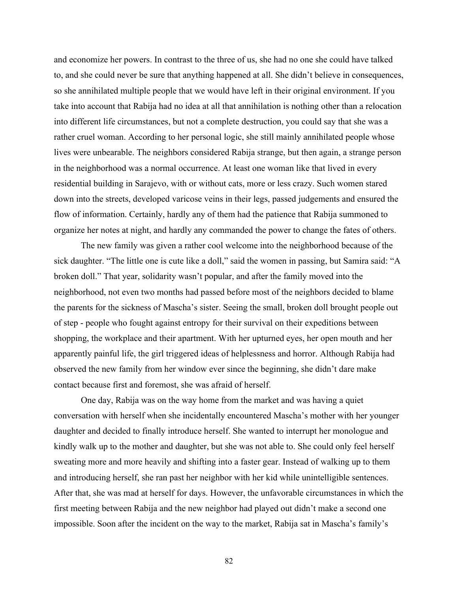and economize her powers. In contrast to the three of us, she had no one she could have talked to, and she could never be sure that anything happened at all. She didn't believe in consequences, so she annihilated multiple people that we would have left in their original environment. If you take into account that Rabija had no idea at all that annihilation is nothing other than a relocation into different life circumstances, but not a complete destruction, you could say that she was a rather cruel woman. According to her personal logic, she still mainly annihilated people whose lives were unbearable. The neighbors considered Rabija strange, but then again, a strange person in the neighborhood was a normal occurrence. At least one woman like that lived in every residential building in Sarajevo, with or without cats, more or less crazy. Such women stared down into the streets, developed varicose veins in their legs, passed judgements and ensured the flow of information. Certainly, hardly any of them had the patience that Rabija summoned to organize her notes at night, and hardly any commanded the power to change the fates of others.

The new family was given a rather cool welcome into the neighborhood because of the sick daughter. "The little one is cute like a doll," said the women in passing, but Samira said: "A broken doll." That year, solidarity wasn't popular, and after the family moved into the neighborhood, not even two months had passed before most of the neighbors decided to blame the parents for the sickness of Mascha's sister. Seeing the small, broken doll brought people out of step - people who fought against entropy for their survival on their expeditions between shopping, the workplace and their apartment. With her upturned eyes, her open mouth and her apparently painful life, the girl triggered ideas of helplessness and horror. Although Rabija had observed the new family from her window ever since the beginning, she didn't dare make contact because first and foremost, she was afraid of herself.

One day, Rabija was on the way home from the market and was having a quiet conversation with herself when she incidentally encountered Mascha's mother with her younger daughter and decided to finally introduce herself. She wanted to interrupt her monologue and kindly walk up to the mother and daughter, but she was not able to. She could only feel herself sweating more and more heavily and shifting into a faster gear. Instead of walking up to them and introducing herself, she ran past her neighbor with her kid while unintelligible sentences. After that, she was mad at herself for days. However, the unfavorable circumstances in which the first meeting between Rabija and the new neighbor had played out didn't make a second one impossible. Soon after the incident on the way to the market, Rabija sat in Mascha's family's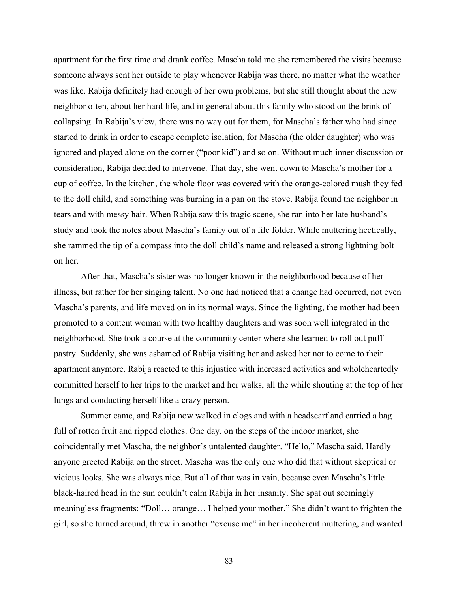apartment for the first time and drank coffee. Mascha told me she remembered the visits because someone always sent her outside to play whenever Rabija was there, no matter what the weather was like. Rabija definitely had enough of her own problems, but she still thought about the new neighbor often, about her hard life, and in general about this family who stood on the brink of collapsing. In Rabija's view, there was no way out for them, for Mascha's father who had since started to drink in order to escape complete isolation, for Mascha (the older daughter) who was ignored and played alone on the corner ("poor kid") and so on. Without much inner discussion or consideration, Rabija decided to intervene. That day, she went down to Mascha's mother for a cup of coffee. In the kitchen, the whole floor was covered with the orange-colored mush they fed to the doll child, and something was burning in a pan on the stove. Rabija found the neighbor in tears and with messy hair. When Rabija saw this tragic scene, she ran into her late husband's study and took the notes about Mascha's family out of a file folder. While muttering hectically, she rammed the tip of a compass into the doll child's name and released a strong lightning bolt on her.

After that, Mascha's sister was no longer known in the neighborhood because of her illness, but rather for her singing talent. No one had noticed that a change had occurred, not even Mascha's parents, and life moved on in its normal ways. Since the lighting, the mother had been promoted to a content woman with two healthy daughters and was soon well integrated in the neighborhood. She took a course at the community center where she learned to roll out puff pastry. Suddenly, she was ashamed of Rabija visiting her and asked her not to come to their apartment anymore. Rabija reacted to this injustice with increased activities and wholeheartedly committed herself to her trips to the market and her walks, all the while shouting at the top of her lungs and conducting herself like a crazy person.

Summer came, and Rabija now walked in clogs and with a headscarf and carried a bag full of rotten fruit and ripped clothes. One day, on the steps of the indoor market, she coincidentally met Mascha, the neighbor's untalented daughter. "Hello," Mascha said. Hardly anyone greeted Rabija on the street. Mascha was the only one who did that without skeptical or vicious looks. She was always nice. But all of that was in vain, because even Mascha's little black-haired head in the sun couldn't calm Rabija in her insanity. She spat out seemingly meaningless fragments: "Doll… orange… I helped your mother." She didn't want to frighten the girl, so she turned around, threw in another "excuse me" in her incoherent muttering, and wanted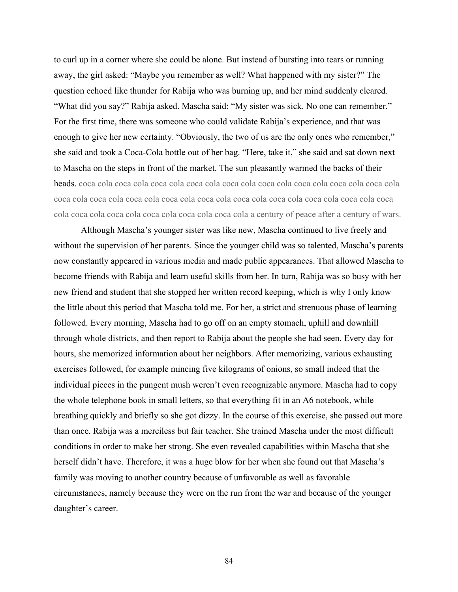to curl up in a corner where she could be alone. But instead of bursting into tears or running away, the girl asked: "Maybe you remember as well? What happened with my sister?" The question echoed like thunder for Rabija who was burning up, and her mind suddenly cleared. "What did you say?" Rabija asked. Mascha said: "My sister was sick. No one can remember." For the first time, there was someone who could validate Rabija's experience, and that was enough to give her new certainty. "Obviously, the two of us are the only ones who remember," she said and took a Coca-Cola bottle out of her bag. "Here, take it," she said and sat down next to Mascha on the steps in front of the market. The sun pleasantly warmed the backs of their heads. coca cola coca cola coca cola coca cola coca cola coca cola coca cola coca cola coca cola coca cola coca cola coca cola coca cola coca cola coca cola coca cola coca cola coca cola coca cola coca cola coca cola coca cola coca cola coca cola a century of peace after a century of wars.

Although Mascha's younger sister was like new, Mascha continued to live freely and without the supervision of her parents. Since the younger child was so talented, Mascha's parents now constantly appeared in various media and made public appearances. That allowed Mascha to become friends with Rabija and learn useful skills from her. In turn, Rabija was so busy with her new friend and student that she stopped her written record keeping, which is why I only know the little about this period that Mascha told me. For her, a strict and strenuous phase of learning followed. Every morning, Mascha had to go off on an empty stomach, uphill and downhill through whole districts, and then report to Rabija about the people she had seen. Every day for hours, she memorized information about her neighbors. After memorizing, various exhausting exercises followed, for example mincing five kilograms of onions, so small indeed that the individual pieces in the pungent mush weren't even recognizable anymore. Mascha had to copy the whole telephone book in small letters, so that everything fit in an A6 notebook, while breathing quickly and briefly so she got dizzy. In the course of this exercise, she passed out more than once. Rabija was a merciless but fair teacher. She trained Mascha under the most difficult conditions in order to make her strong. She even revealed capabilities within Mascha that she herself didn't have. Therefore, it was a huge blow for her when she found out that Mascha's family was moving to another country because of unfavorable as well as favorable circumstances, namely because they were on the run from the war and because of the younger daughter's career.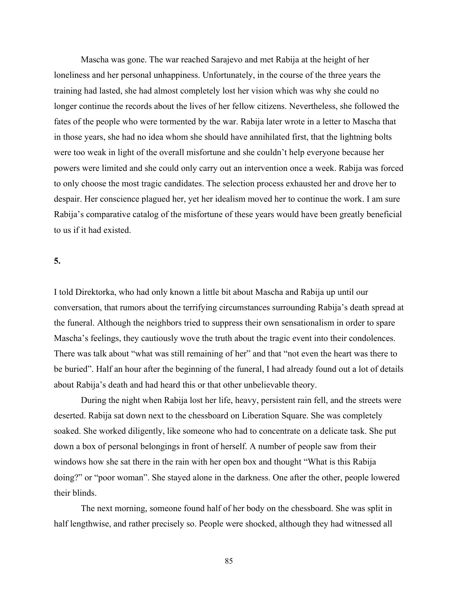Mascha was gone. The war reached Sarajevo and met Rabija at the height of her loneliness and her personal unhappiness. Unfortunately, in the course of the three years the training had lasted, she had almost completely lost her vision which was why she could no longer continue the records about the lives of her fellow citizens. Nevertheless, she followed the fates of the people who were tormented by the war. Rabija later wrote in a letter to Mascha that in those years, she had no idea whom she should have annihilated first, that the lightning bolts were too weak in light of the overall misfortune and she couldn't help everyone because her powers were limited and she could only carry out an intervention once a week. Rabija was forced to only choose the most tragic candidates. The selection process exhausted her and drove her to despair. Her conscience plagued her, yet her idealism moved her to continue the work. I am sure Rabija's comparative catalog of the misfortune of these years would have been greatly beneficial to us if it had existed.

#### **5.**

I told Direktorka, who had only known a little bit about Mascha and Rabija up until our conversation, that rumors about the terrifying circumstances surrounding Rabija's death spread at the funeral. Although the neighbors tried to suppress their own sensationalism in order to spare Mascha's feelings, they cautiously wove the truth about the tragic event into their condolences. There was talk about "what was still remaining of her" and that "not even the heart was there to be buried". Half an hour after the beginning of the funeral, I had already found out a lot of details about Rabija's death and had heard this or that other unbelievable theory.

During the night when Rabija lost her life, heavy, persistent rain fell, and the streets were deserted. Rabija sat down next to the chessboard on Liberation Square. She was completely soaked. She worked diligently, like someone who had to concentrate on a delicate task. She put down a box of personal belongings in front of herself. A number of people saw from their windows how she sat there in the rain with her open box and thought "What is this Rabija doing?" or "poor woman". She stayed alone in the darkness. One after the other, people lowered their blinds.

The next morning, someone found half of her body on the chessboard. She was split in half lengthwise, and rather precisely so. People were shocked, although they had witnessed all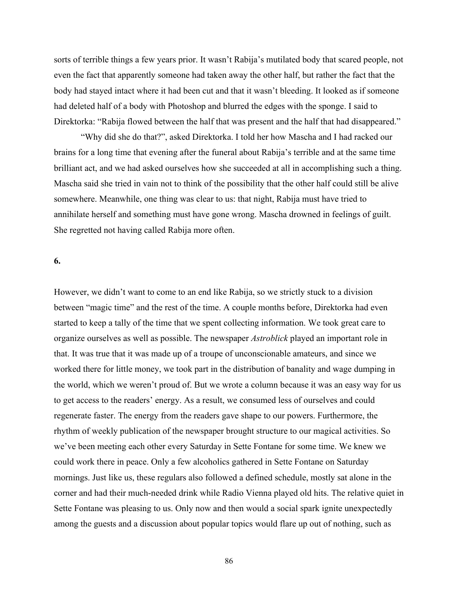sorts of terrible things a few years prior. It wasn't Rabija's mutilated body that scared people, not even the fact that apparently someone had taken away the other half, but rather the fact that the body had stayed intact where it had been cut and that it wasn't bleeding. It looked as if someone had deleted half of a body with Photoshop and blurred the edges with the sponge. I said to Direktorka: "Rabija flowed between the half that was present and the half that had disappeared."

"Why did she do that?", asked Direktorka. I told her how Mascha and I had racked our brains for a long time that evening after the funeral about Rabija's terrible and at the same time brilliant act, and we had asked ourselves how she succeeded at all in accomplishing such a thing. Mascha said she tried in vain not to think of the possibility that the other half could still be alive somewhere. Meanwhile, one thing was clear to us: that night, Rabija must have tried to annihilate herself and something must have gone wrong. Mascha drowned in feelings of guilt. She regretted not having called Rabija more often.

#### **6.**

However, we didn't want to come to an end like Rabija, so we strictly stuck to a division between "magic time" and the rest of the time. A couple months before, Direktorka had even started to keep a tally of the time that we spent collecting information. We took great care to organize ourselves as well as possible. The newspaper *Astroblick* played an important role in that. It was true that it was made up of a troupe of unconscionable amateurs, and since we worked there for little money, we took part in the distribution of banality and wage dumping in the world, which we weren't proud of. But we wrote a column because it was an easy way for us to get access to the readers' energy. As a result, we consumed less of ourselves and could regenerate faster. The energy from the readers gave shape to our powers. Furthermore, the rhythm of weekly publication of the newspaper brought structure to our magical activities. So we've been meeting each other every Saturday in Sette Fontane for some time. We knew we could work there in peace. Only a few alcoholics gathered in Sette Fontane on Saturday mornings. Just like us, these regulars also followed a defined schedule, mostly sat alone in the corner and had their much-needed drink while Radio Vienna played old hits. The relative quiet in Sette Fontane was pleasing to us. Only now and then would a social spark ignite unexpectedly among the guests and a discussion about popular topics would flare up out of nothing, such as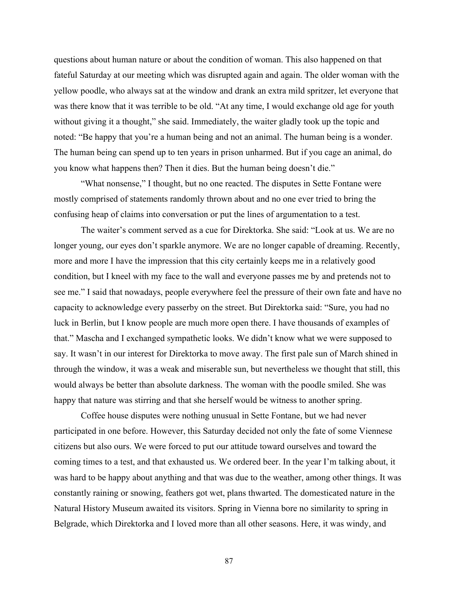questions about human nature or about the condition of woman. This also happened on that fateful Saturday at our meeting which was disrupted again and again. The older woman with the yellow poodle, who always sat at the window and drank an extra mild spritzer, let everyone that was there know that it was terrible to be old. "At any time, I would exchange old age for youth without giving it a thought," she said. Immediately, the waiter gladly took up the topic and noted: "Be happy that you're a human being and not an animal. The human being is a wonder. The human being can spend up to ten years in prison unharmed. But if you cage an animal, do you know what happens then? Then it dies. But the human being doesn't die."

"What nonsense," I thought, but no one reacted. The disputes in Sette Fontane were mostly comprised of statements randomly thrown about and no one ever tried to bring the confusing heap of claims into conversation or put the lines of argumentation to a test.

The waiter's comment served as a cue for Direktorka. She said: "Look at us. We are no longer young, our eyes don't sparkle anymore. We are no longer capable of dreaming. Recently, more and more I have the impression that this city certainly keeps me in a relatively good condition, but I kneel with my face to the wall and everyone passes me by and pretends not to see me." I said that nowadays, people everywhere feel the pressure of their own fate and have no capacity to acknowledge every passerby on the street. But Direktorka said: "Sure, you had no luck in Berlin, but I know people are much more open there. I have thousands of examples of that." Mascha and I exchanged sympathetic looks. We didn't know what we were supposed to say. It wasn't in our interest for Direktorka to move away. The first pale sun of March shined in through the window, it was a weak and miserable sun, but nevertheless we thought that still, this would always be better than absolute darkness. The woman with the poodle smiled. She was happy that nature was stirring and that she herself would be witness to another spring.

Coffee house disputes were nothing unusual in Sette Fontane, but we had never participated in one before. However, this Saturday decided not only the fate of some Viennese citizens but also ours. We were forced to put our attitude toward ourselves and toward the coming times to a test, and that exhausted us. We ordered beer. In the year I'm talking about, it was hard to be happy about anything and that was due to the weather, among other things. It was constantly raining or snowing, feathers got wet, plans thwarted. The domesticated nature in the Natural History Museum awaited its visitors. Spring in Vienna bore no similarity to spring in Belgrade, which Direktorka and I loved more than all other seasons. Here, it was windy, and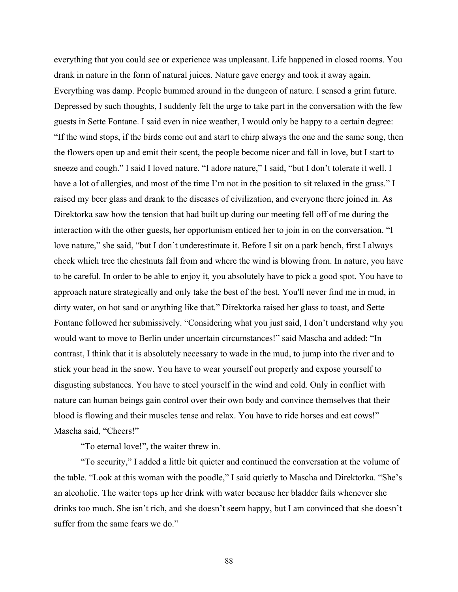everything that you could see or experience was unpleasant. Life happened in closed rooms. You drank in nature in the form of natural juices. Nature gave energy and took it away again. Everything was damp. People bummed around in the dungeon of nature. I sensed a grim future. Depressed by such thoughts, I suddenly felt the urge to take part in the conversation with the few guests in Sette Fontane. I said even in nice weather, I would only be happy to a certain degree: "If the wind stops, if the birds come out and start to chirp always the one and the same song, then the flowers open up and emit their scent, the people become nicer and fall in love, but I start to sneeze and cough." I said I loved nature. "I adore nature," I said, "but I don't tolerate it well. I have a lot of allergies, and most of the time I'm not in the position to sit relaxed in the grass." I raised my beer glass and drank to the diseases of civilization, and everyone there joined in. As Direktorka saw how the tension that had built up during our meeting fell off of me during the interaction with the other guests, her opportunism enticed her to join in on the conversation. "I love nature," she said, "but I don't underestimate it. Before I sit on a park bench, first I always check which tree the chestnuts fall from and where the wind is blowing from. In nature, you have to be careful. In order to be able to enjoy it, you absolutely have to pick a good spot. You have to approach nature strategically and only take the best of the best. You'll never find me in mud, in dirty water, on hot sand or anything like that." Direktorka raised her glass to toast, and Sette Fontane followed her submissively. "Considering what you just said, I don't understand why you would want to move to Berlin under uncertain circumstances!" said Mascha and added: "In contrast, I think that it is absolutely necessary to wade in the mud, to jump into the river and to stick your head in the snow. You have to wear yourself out properly and expose yourself to disgusting substances. You have to steel yourself in the wind and cold. Only in conflict with nature can human beings gain control over their own body and convince themselves that their blood is flowing and their muscles tense and relax. You have to ride horses and eat cows!" Mascha said, "Cheers!"

"To eternal love!", the waiter threw in.

"To security," I added a little bit quieter and continued the conversation at the volume of the table. "Look at this woman with the poodle," I said quietly to Mascha and Direktorka. "She's an alcoholic. The waiter tops up her drink with water because her bladder fails whenever she drinks too much. She isn't rich, and she doesn't seem happy, but I am convinced that she doesn't suffer from the same fears we do."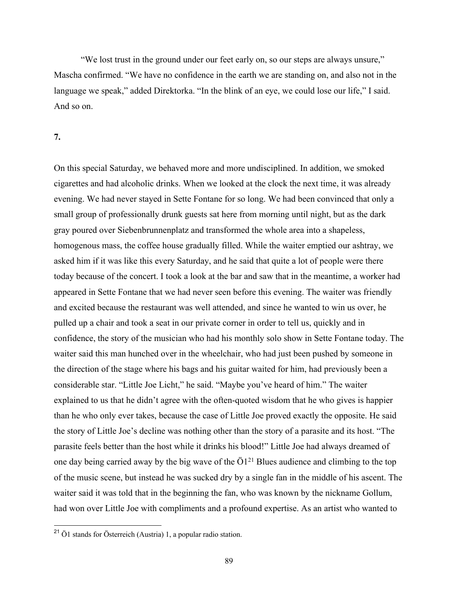"We lost trust in the ground under our feet early on, so our steps are always unsure," Mascha confirmed. "We have no confidence in the earth we are standing on, and also not in the language we speak," added Direktorka. "In the blink of an eye, we could lose our life," I said. And so on.

## **7.**

On this special Saturday, we behaved more and more undisciplined. In addition, we smoked cigarettes and had alcoholic drinks. When we looked at the clock the next time, it was already evening. We had never stayed in Sette Fontane for so long. We had been convinced that only a small group of professionally drunk guests sat here from morning until night, but as the dark gray poured over Siebenbrunnenplatz and transformed the whole area into a shapeless, homogenous mass, the coffee house gradually filled. While the waiter emptied our ashtray, we asked him if it was like this every Saturday, and he said that quite a lot of people were there today because of the concert. I took a look at the bar and saw that in the meantime, a worker had appeared in Sette Fontane that we had never seen before this evening. The waiter was friendly and excited because the restaurant was well attended, and since he wanted to win us over, he pulled up a chair and took a seat in our private corner in order to tell us, quickly and in confidence, the story of the musician who had his monthly solo show in Sette Fontane today. The waiter said this man hunched over in the wheelchair, who had just been pushed by someone in the direction of the stage where his bags and his guitar waited for him, had previously been a considerable star. "Little Joe Licht," he said. "Maybe you've heard of him." The waiter explained to us that he didn't agree with the often-quoted wisdom that he who gives is happier than he who only ever takes, because the case of Little Joe proved exactly the opposite. He said the story of Little Joe's decline was nothing other than the story of a parasite and its host. "The parasite feels better than the host while it drinks his blood!" Little Joe had always dreamed of one day being carried away by the big wave of the  $\ddot{O}1^{21}$  Blues audience and climbing to the top of the music scene, but instead he was sucked dry by a single fan in the middle of his ascent. The waiter said it was told that in the beginning the fan, who was known by the nickname Gollum, had won over Little Joe with compliments and a profound expertise. As an artist who wanted to

<sup>21</sup> Ö1 stands for Österreich (Austria) 1, a popular radio station.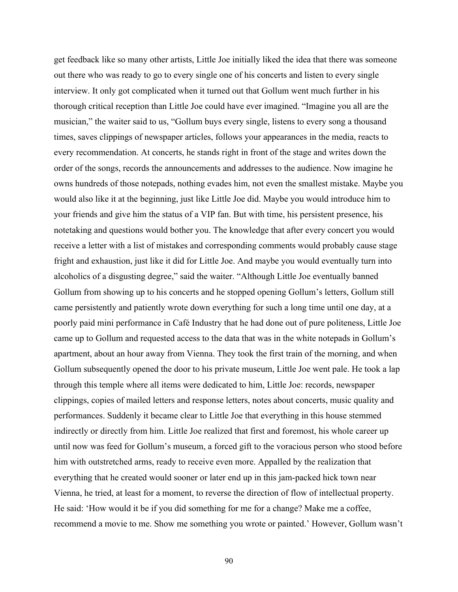get feedback like so many other artists, Little Joe initially liked the idea that there was someone out there who was ready to go to every single one of his concerts and listen to every single interview. It only got complicated when it turned out that Gollum went much further in his thorough critical reception than Little Joe could have ever imagined. "Imagine you all are the musician," the waiter said to us, "Gollum buys every single, listens to every song a thousand times, saves clippings of newspaper articles, follows your appearances in the media, reacts to every recommendation. At concerts, he stands right in front of the stage and writes down the order of the songs, records the announcements and addresses to the audience. Now imagine he owns hundreds of those notepads, nothing evades him, not even the smallest mistake. Maybe you would also like it at the beginning, just like Little Joe did. Maybe you would introduce him to your friends and give him the status of a VIP fan. But with time, his persistent presence, his notetaking and questions would bother you. The knowledge that after every concert you would receive a letter with a list of mistakes and corresponding comments would probably cause stage fright and exhaustion, just like it did for Little Joe. And maybe you would eventually turn into alcoholics of a disgusting degree," said the waiter. "Although Little Joe eventually banned Gollum from showing up to his concerts and he stopped opening Gollum's letters, Gollum still came persistently and patiently wrote down everything for such a long time until one day, at a poorly paid mini performance in Café Industry that he had done out of pure politeness, Little Joe came up to Gollum and requested access to the data that was in the white notepads in Gollum's apartment, about an hour away from Vienna. They took the first train of the morning, and when Gollum subsequently opened the door to his private museum, Little Joe went pale. He took a lap through this temple where all items were dedicated to him, Little Joe: records, newspaper clippings, copies of mailed letters and response letters, notes about concerts, music quality and performances. Suddenly it became clear to Little Joe that everything in this house stemmed indirectly or directly from him. Little Joe realized that first and foremost, his whole career up until now was feed for Gollum's museum, a forced gift to the voracious person who stood before him with outstretched arms, ready to receive even more. Appalled by the realization that everything that he created would sooner or later end up in this jam-packed hick town near Vienna, he tried, at least for a moment, to reverse the direction of flow of intellectual property. He said: 'How would it be if you did something for me for a change? Make me a coffee, recommend a movie to me. Show me something you wrote or painted.' However, Gollum wasn't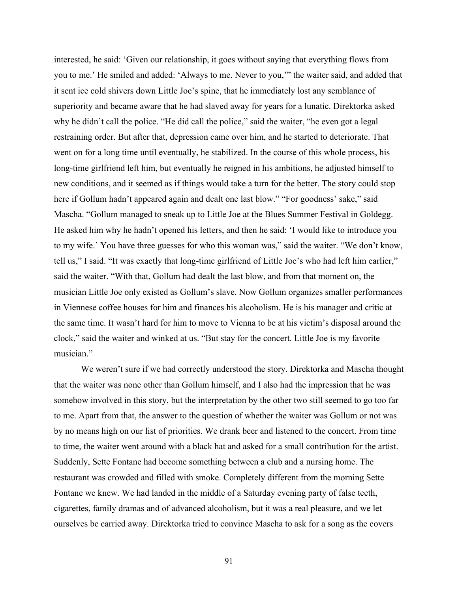interested, he said: 'Given our relationship, it goes without saying that everything flows from you to me.' He smiled and added: 'Always to me. Never to you,'" the waiter said, and added that it sent ice cold shivers down Little Joe's spine, that he immediately lost any semblance of superiority and became aware that he had slaved away for years for a lunatic. Direktorka asked why he didn't call the police. "He did call the police," said the waiter, "he even got a legal restraining order. But after that, depression came over him, and he started to deteriorate. That went on for a long time until eventually, he stabilized. In the course of this whole process, his long-time girlfriend left him, but eventually he reigned in his ambitions, he adjusted himself to new conditions, and it seemed as if things would take a turn for the better. The story could stop here if Gollum hadn't appeared again and dealt one last blow." "For goodness' sake," said Mascha. "Gollum managed to sneak up to Little Joe at the Blues Summer Festival in Goldegg. He asked him why he hadn't opened his letters, and then he said: 'I would like to introduce you to my wife.' You have three guesses for who this woman was," said the waiter. "We don't know, tell us," I said. "It was exactly that long-time girlfriend of Little Joe's who had left him earlier," said the waiter. "With that, Gollum had dealt the last blow, and from that moment on, the musician Little Joe only existed as Gollum's slave. Now Gollum organizes smaller performances in Viennese coffee houses for him and finances his alcoholism. He is his manager and critic at the same time. It wasn't hard for him to move to Vienna to be at his victim's disposal around the clock," said the waiter and winked at us. "But stay for the concert. Little Joe is my favorite musician."

We weren't sure if we had correctly understood the story. Direktorka and Mascha thought that the waiter was none other than Gollum himself, and I also had the impression that he was somehow involved in this story, but the interpretation by the other two still seemed to go too far to me. Apart from that, the answer to the question of whether the waiter was Gollum or not was by no means high on our list of priorities. We drank beer and listened to the concert. From time to time, the waiter went around with a black hat and asked for a small contribution for the artist. Suddenly, Sette Fontane had become something between a club and a nursing home. The restaurant was crowded and filled with smoke. Completely different from the morning Sette Fontane we knew. We had landed in the middle of a Saturday evening party of false teeth, cigarettes, family dramas and of advanced alcoholism, but it was a real pleasure, and we let ourselves be carried away. Direktorka tried to convince Mascha to ask for a song as the covers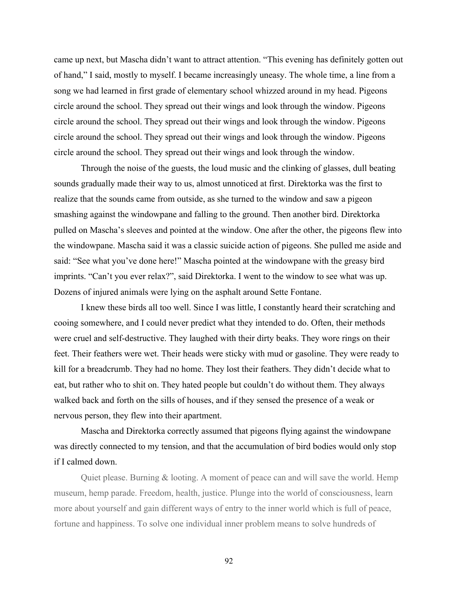came up next, but Mascha didn't want to attract attention. "This evening has definitely gotten out of hand," I said, mostly to myself. I became increasingly uneasy. The whole time, a line from a song we had learned in first grade of elementary school whizzed around in my head. Pigeons circle around the school. They spread out their wings and look through the window. Pigeons circle around the school. They spread out their wings and look through the window. Pigeons circle around the school. They spread out their wings and look through the window. Pigeons circle around the school. They spread out their wings and look through the window.

Through the noise of the guests, the loud music and the clinking of glasses, dull beating sounds gradually made their way to us, almost unnoticed at first. Direktorka was the first to realize that the sounds came from outside, as she turned to the window and saw a pigeon smashing against the windowpane and falling to the ground. Then another bird. Direktorka pulled on Mascha's sleeves and pointed at the window. One after the other, the pigeons flew into the windowpane. Mascha said it was a classic suicide action of pigeons. She pulled me aside and said: "See what you've done here!" Mascha pointed at the windowpane with the greasy bird imprints. "Can't you ever relax?", said Direktorka. I went to the window to see what was up. Dozens of injured animals were lying on the asphalt around Sette Fontane.

I knew these birds all too well. Since I was little, I constantly heard their scratching and cooing somewhere, and I could never predict what they intended to do. Often, their methods were cruel and self-destructive. They laughed with their dirty beaks. They wore rings on their feet. Their feathers were wet. Their heads were sticky with mud or gasoline. They were ready to kill for a breadcrumb. They had no home. They lost their feathers. They didn't decide what to eat, but rather who to shit on. They hated people but couldn't do without them. They always walked back and forth on the sills of houses, and if they sensed the presence of a weak or nervous person, they flew into their apartment.

Mascha and Direktorka correctly assumed that pigeons flying against the windowpane was directly connected to my tension, and that the accumulation of bird bodies would only stop if I calmed down.

Quiet please. Burning & looting. A moment of peace can and will save the world. Hemp museum, hemp parade. Freedom, health, justice. Plunge into the world of consciousness, learn more about yourself and gain different ways of entry to the inner world which is full of peace, fortune and happiness. To solve one individual inner problem means to solve hundreds of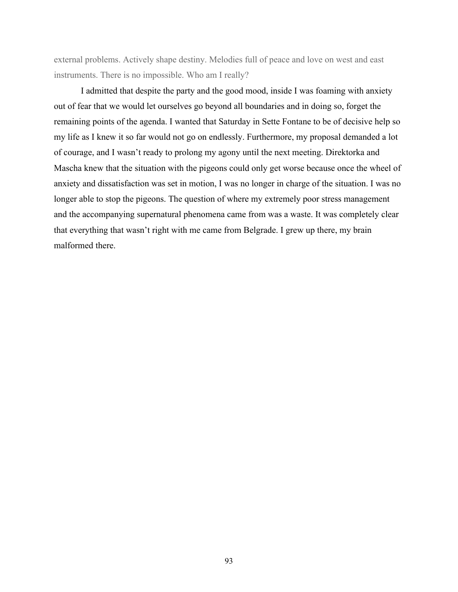external problems. Actively shape destiny. Melodies full of peace and love on west and east instruments. There is no impossible. Who am I really?

I admitted that despite the party and the good mood, inside I was foaming with anxiety out of fear that we would let ourselves go beyond all boundaries and in doing so, forget the remaining points of the agenda. I wanted that Saturday in Sette Fontane to be of decisive help so my life as I knew it so far would not go on endlessly. Furthermore, my proposal demanded a lot of courage, and I wasn't ready to prolong my agony until the next meeting. Direktorka and Mascha knew that the situation with the pigeons could only get worse because once the wheel of anxiety and dissatisfaction was set in motion, I was no longer in charge of the situation. I was no longer able to stop the pigeons. The question of where my extremely poor stress management and the accompanying supernatural phenomena came from was a waste. It was completely clear that everything that wasn't right with me came from Belgrade. I grew up there, my brain malformed there.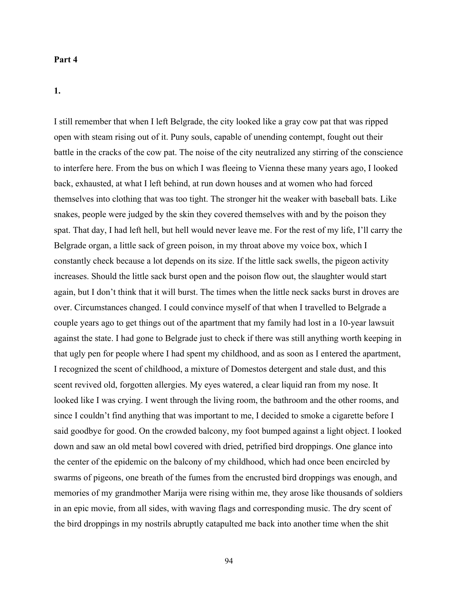#### **Part 4**

## **1.**

I still remember that when I left Belgrade, the city looked like a gray cow pat that was ripped open with steam rising out of it. Puny souls, capable of unending contempt, fought out their battle in the cracks of the cow pat. The noise of the city neutralized any stirring of the conscience to interfere here. From the bus on which I was fleeing to Vienna these many years ago, I looked back, exhausted, at what I left behind, at run down houses and at women who had forced themselves into clothing that was too tight. The stronger hit the weaker with baseball bats. Like snakes, people were judged by the skin they covered themselves with and by the poison they spat. That day, I had left hell, but hell would never leave me. For the rest of my life, I'll carry the Belgrade organ, a little sack of green poison, in my throat above my voice box, which I constantly check because a lot depends on its size. If the little sack swells, the pigeon activity increases. Should the little sack burst open and the poison flow out, the slaughter would start again, but I don't think that it will burst. The times when the little neck sacks burst in droves are over. Circumstances changed. I could convince myself of that when I travelled to Belgrade a couple years ago to get things out of the apartment that my family had lost in a 10-year lawsuit against the state. I had gone to Belgrade just to check if there was still anything worth keeping in that ugly pen for people where I had spent my childhood, and as soon as I entered the apartment, I recognized the scent of childhood, a mixture of Domestos detergent and stale dust, and this scent revived old, forgotten allergies. My eyes watered, a clear liquid ran from my nose. It looked like I was crying. I went through the living room, the bathroom and the other rooms, and since I couldn't find anything that was important to me, I decided to smoke a cigarette before I said goodbye for good. On the crowded balcony, my foot bumped against a light object. I looked down and saw an old metal bowl covered with dried, petrified bird droppings. One glance into the center of the epidemic on the balcony of my childhood, which had once been encircled by swarms of pigeons, one breath of the fumes from the encrusted bird droppings was enough, and memories of my grandmother Marija were rising within me, they arose like thousands of soldiers in an epic movie, from all sides, with waving flags and corresponding music. The dry scent of the bird droppings in my nostrils abruptly catapulted me back into another time when the shit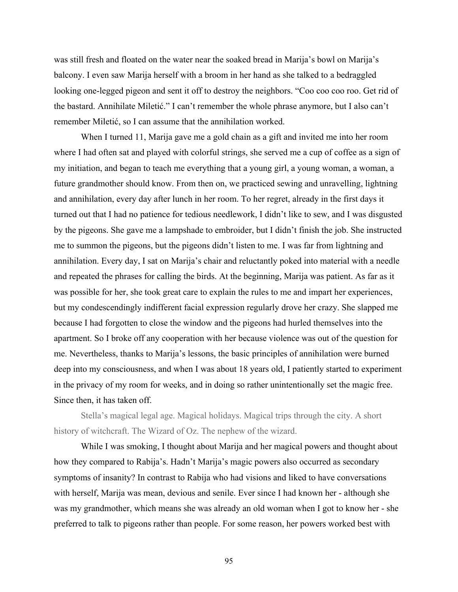was still fresh and floated on the water near the soaked bread in Marija's bowl on Marija's balcony. I even saw Marija herself with a broom in her hand as she talked to a bedraggled looking one-legged pigeon and sent it off to destroy the neighbors. "Coo coo coo roo. Get rid of the bastard. Annihilate Miletić." I can't remember the whole phrase anymore, but I also can't remember Miletić, so I can assume that the annihilation worked.

When I turned 11, Marija gave me a gold chain as a gift and invited me into her room where I had often sat and played with colorful strings, she served me a cup of coffee as a sign of my initiation, and began to teach me everything that a young girl, a young woman, a woman, a future grandmother should know. From then on, we practiced sewing and unravelling, lightning and annihilation, every day after lunch in her room. To her regret, already in the first days it turned out that I had no patience for tedious needlework, I didn't like to sew, and I was disgusted by the pigeons. She gave me a lampshade to embroider, but I didn't finish the job. She instructed me to summon the pigeons, but the pigeons didn't listen to me. I was far from lightning and annihilation. Every day, I sat on Marija's chair and reluctantly poked into material with a needle and repeated the phrases for calling the birds. At the beginning, Marija was patient. As far as it was possible for her, she took great care to explain the rules to me and impart her experiences, but my condescendingly indifferent facial expression regularly drove her crazy. She slapped me because I had forgotten to close the window and the pigeons had hurled themselves into the apartment. So I broke off any cooperation with her because violence was out of the question for me. Nevertheless, thanks to Marija's lessons, the basic principles of annihilation were burned deep into my consciousness, and when I was about 18 years old, I patiently started to experiment in the privacy of my room for weeks, and in doing so rather unintentionally set the magic free. Since then, it has taken off.

Stella's magical legal age. Magical holidays. Magical trips through the city. A short history of witchcraft. The Wizard of Oz. The nephew of the wizard.

While I was smoking, I thought about Marija and her magical powers and thought about how they compared to Rabija's. Hadn't Marija's magic powers also occurred as secondary symptoms of insanity? In contrast to Rabija who had visions and liked to have conversations with herself, Marija was mean, devious and senile. Ever since I had known her - although she was my grandmother, which means she was already an old woman when I got to know her - she preferred to talk to pigeons rather than people. For some reason, her powers worked best with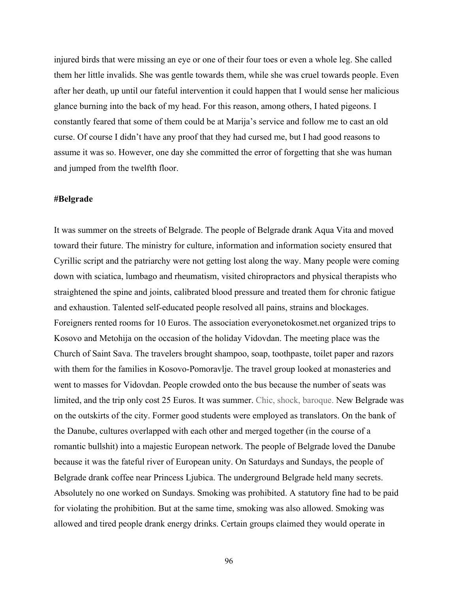injured birds that were missing an eye or one of their four toes or even a whole leg. She called them her little invalids. She was gentle towards them, while she was cruel towards people. Even after her death, up until our fateful intervention it could happen that I would sense her malicious glance burning into the back of my head. For this reason, among others, I hated pigeons. I constantly feared that some of them could be at Marija's service and follow me to cast an old curse. Of course I didn't have any proof that they had cursed me, but I had good reasons to assume it was so. However, one day she committed the error of forgetting that she was human and jumped from the twelfth floor.

#### **#Belgrade**

It was summer on the streets of Belgrade. The people of Belgrade drank Aqua Vita and moved toward their future. The ministry for culture, information and information society ensured that Cyrillic script and the patriarchy were not getting lost along the way. Many people were coming down with sciatica, lumbago and rheumatism, visited chiropractors and physical therapists who straightened the spine and joints, calibrated blood pressure and treated them for chronic fatigue and exhaustion. Talented self-educated people resolved all pains, strains and blockages. Foreigners rented rooms for 10 Euros. The association everyonetokosmet.net organized trips to Kosovo and Metohija on the occasion of the holiday Vidovdan. The meeting place was the Church of Saint Sava. The travelers brought shampoo, soap, toothpaste, toilet paper and razors with them for the families in Kosovo-Pomoravlje. The travel group looked at monasteries and went to masses for Vidovdan. People crowded onto the bus because the number of seats was limited, and the trip only cost 25 Euros. It was summer. Chic, shock, baroque. New Belgrade was on the outskirts of the city. Former good students were employed as translators. On the bank of the Danube, cultures overlapped with each other and merged together (in the course of a romantic bullshit) into a majestic European network. The people of Belgrade loved the Danube because it was the fateful river of European unity. On Saturdays and Sundays, the people of Belgrade drank coffee near Princess Ljubica. The underground Belgrade held many secrets. Absolutely no one worked on Sundays. Smoking was prohibited. A statutory fine had to be paid for violating the prohibition. But at the same time, smoking was also allowed. Smoking was allowed and tired people drank energy drinks. Certain groups claimed they would operate in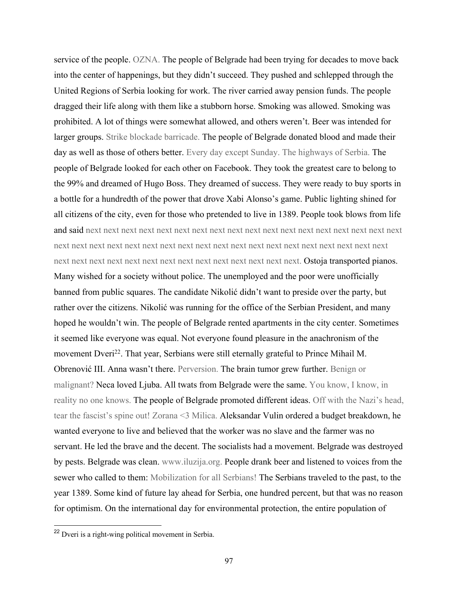service of the people. OZNA. The people of Belgrade had been trying for decades to move back into the center of happenings, but they didn't succeed. They pushed and schlepped through the United Regions of Serbia looking for work. The river carried away pension funds. The people dragged their life along with them like a stubborn horse. Smoking was allowed. Smoking was prohibited. A lot of things were somewhat allowed, and others weren't. Beer was intended for larger groups. Strike blockade barricade. The people of Belgrade donated blood and made their day as well as those of others better. Every day except Sunday. The highways of Serbia. The people of Belgrade looked for each other on Facebook. They took the greatest care to belong to the 99% and dreamed of Hugo Boss. They dreamed of success. They were ready to buy sports in a bottle for a hundredth of the power that drove Xabi Alonso's game. Public lighting shined for all citizens of the city, even for those who pretended to live in 1389. People took blows from life and said next next next next next next next next next next next next next next next next next next next next next next next next next next next next next next next next next next next next next next next next next next next next next next next next next next next. Ostoja transported pianos. Many wished for a society without police. The unemployed and the poor were unofficially banned from public squares. The candidate Nikolić didn't want to preside over the party, but rather over the citizens. Nikolić was running for the office of the Serbian President, and many hoped he wouldn't win. The people of Belgrade rented apartments in the city center. Sometimes it seemed like everyone was equal. Not everyone found pleasure in the anachronism of the movement Dveri<sup>22</sup>. That year, Serbians were still eternally grateful to Prince Mihail M. Obrenović III. Anna wasn't there. Perversion. The brain tumor grew further. Benign or malignant? Neca loved Ljuba. All twats from Belgrade were the same. You know, I know, in reality no one knows. The people of Belgrade promoted different ideas. Off with the Nazi's head, tear the fascist's spine out! Zorana <3 Milica. Aleksandar Vulin ordered a budget breakdown, he wanted everyone to live and believed that the worker was no slave and the farmer was no servant. He led the brave and the decent. The socialists had a movement. Belgrade was destroyed by pests. Belgrade was clean. www.iluzija.org. People drank beer and listened to voices from the sewer who called to them: Mobilization for all Serbians! The Serbians traveled to the past, to the year 1389. Some kind of future lay ahead for Serbia, one hundred percent, but that was no reason for optimism. On the international day for environmental protection, the entire population of

<sup>22</sup> Dveri is a right-wing political movement in Serbia.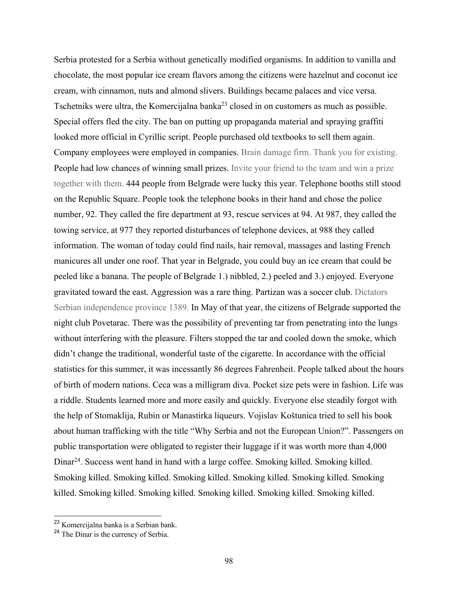Serbia protested for a Serbia without genetically modified organisms. In addition to vanilla and chocolate, the most popular ice cream flavors among the citizens were hazelnut and coconut ice cream, with cinnamon, nuts and almond slivers. Buildings became palaces and vice versa. Tschetniks were ultra, the Komercijalna banka<sup>23</sup> closed in on customers as much as possible. Special offers fled the city. The ban on putting up propaganda material and spraying graffiti looked more official in Cyrillic script. People purchased old textbooks to sell them again. Company employees were employed in companies. Brain damage firm. Thank you for existing. People had low chances of winning small prizes. Invite your friend to the team and win a prize together with them. 444 people from Belgrade were lucky this year. Telephone booths still stood on the Republic Square. People took the telephone books in their hand and chose the police number, 92. They called the fire department at 93, rescue services at 94. At 987, they called the towing service, at 977 they reported disturbances of telephone devices, at 988 they called information. The woman of today could find nails, hair removal, massages and lasting French manicures all under one roof. That year in Belgrade, you could buy an ice cream that could be peeled like a banana. The people of Belgrade 1.) nibbled, 2.) peeled and 3.) enjoyed. Everyone gravitated toward the east. Aggression was a rare thing. Partizan was a soccer club. Dictators Serbian independence province 1389. In May of that year, the citizens of Belgrade supported the night club Povetarac. There was the possibility of preventing tar from penetrating into the lungs without interfering with the pleasure. Filters stopped the tar and cooled down the smoke, which didn't change the traditional, wonderful taste of the cigarette. In accordance with the official statistics for this summer, it was incessantly 86 degrees Fahrenheit. People talked about the hours of birth of modern nations. Ceca was a milligram diva. Pocket size pets were in fashion. Life was a riddle. Students learned more and more easily and quickly. Everyone else steadily forgot with the help of Stomaklija, Rubin or Manastirka liqueurs. Vojislav Koštunica tried to sell his book about human trafficking with the title "Why Serbia and not the European Union?". Passengers on public transportation were obligated to register their luggage if it was worth more than 4,000 Dinar<sup>24</sup>. Success went hand in hand with a large coffee. Smoking killed. Smoking killed. Smoking killed. Smoking killed. Smoking killed. Smoking killed. Smoking killed. Smoking killed. Smoking killed. Smoking killed. Smoking killed. Smoking killed. Smoking killed.

<sup>23</sup> Komercijalna banka is a Serbian bank.

<sup>24</sup> The Dinar is the currency of Serbia.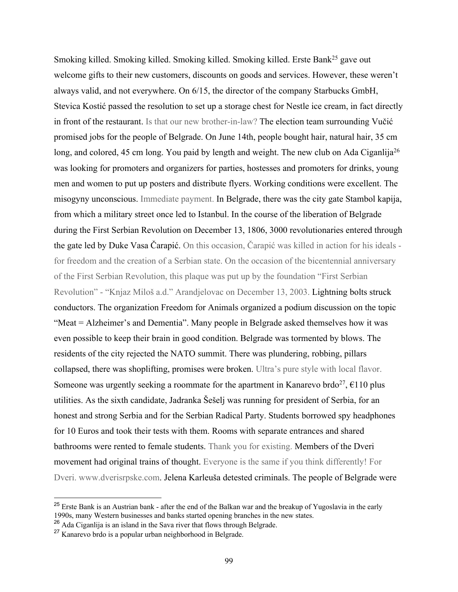Smoking killed. Smoking killed. Smoking killed. Smoking killed. Erste Bank<sup>25</sup> gave out welcome gifts to their new customers, discounts on goods and services. However, these weren't always valid, and not everywhere. On 6/15, the director of the company Starbucks GmbH, Stevica Kostić passed the resolution to set up a storage chest for Nestle ice cream, in fact directly in front of the restaurant. Is that our new brother-in-law? The election team surrounding Vučić promised jobs for the people of Belgrade. On June 14th, people bought hair, natural hair, 35 cm long, and colored, 45 cm long. You paid by length and weight. The new club on Ada Ciganlija<sup>26</sup> was looking for promoters and organizers for parties, hostesses and promoters for drinks, young men and women to put up posters and distribute flyers. Working conditions were excellent. The misogyny unconscious. Immediate payment. In Belgrade, there was the city gate Stambol kapija, from which a military street once led to Istanbul. In the course of the liberation of Belgrade during the First Serbian Revolution on December 13, 1806, 3000 revolutionaries entered through the gate led by Duke Vasa Čarapić. On this occasion, Čarapić was killed in action for his ideals for freedom and the creation of a Serbian state. On the occasion of the bicentennial anniversary of the First Serbian Revolution, this plaque was put up by the foundation "First Serbian Revolution" - "Knjaz Miloš a.d." Arandjelovac on December 13, 2003. Lightning bolts struck conductors. The organization Freedom for Animals organized a podium discussion on the topic "Meat = Alzheimer's and Dementia". Many people in Belgrade asked themselves how it was even possible to keep their brain in good condition. Belgrade was tormented by blows. The residents of the city rejected the NATO summit. There was plundering, robbing, pillars collapsed, there was shoplifting, promises were broken. Ultra's pure style with local flavor. Someone was urgently seeking a roommate for the apartment in Kanarevo brdo<sup>27</sup>,  $\epsilon$ 110 plus utilities. As the sixth candidate, Jadranka Šešelj was running for president of Serbia, for an honest and strong Serbia and for the Serbian Radical Party. Students borrowed spy headphones for 10 Euros and took their tests with them. Rooms with separate entrances and shared bathrooms were rented to female students. Thank you for existing. Members of the Dveri movement had original trains of thought. Everyone is the same if you think differently! For Dveri. www.dverisrpske.com. Jelena Karleuša detested criminals. The people of Belgrade were

<sup>&</sup>lt;sup>25</sup> Erste Bank is an Austrian bank - after the end of the Balkan war and the breakup of Yugoslavia in the early 1990s, many Western businesses and banks started opening branches in the new states.

 $26$  Ada Ciganlija is an island in the Sava river that flows through Belgrade.

<sup>27</sup> Kanarevo brdo is a popular urban neighborhood in Belgrade.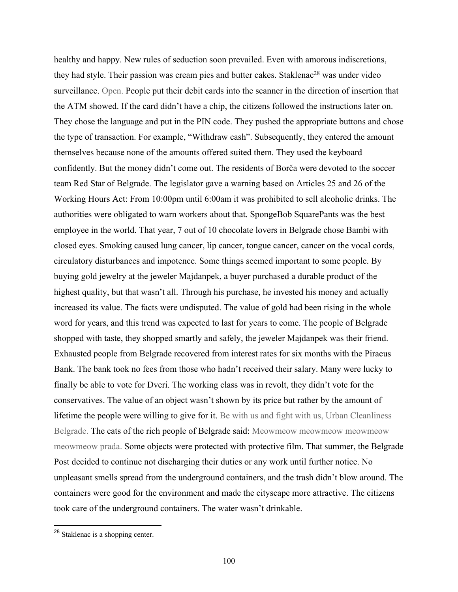healthy and happy. New rules of seduction soon prevailed. Even with amorous indiscretions, they had style. Their passion was cream pies and butter cakes. Staklenac<sup>28</sup> was under video surveillance. Open. People put their debit cards into the scanner in the direction of insertion that the ATM showed. If the card didn't have a chip, the citizens followed the instructions later on. They chose the language and put in the PIN code. They pushed the appropriate buttons and chose the type of transaction. For example, "Withdraw cash". Subsequently, they entered the amount themselves because none of the amounts offered suited them. They used the keyboard confidently. But the money didn't come out. The residents of Borča were devoted to the soccer team Red Star of Belgrade. The legislator gave a warning based on Articles 25 and 26 of the Working Hours Act: From 10:00pm until 6:00am it was prohibited to sell alcoholic drinks. The authorities were obligated to warn workers about that. SpongeBob SquarePants was the best employee in the world. That year, 7 out of 10 chocolate lovers in Belgrade chose Bambi with closed eyes. Smoking caused lung cancer, lip cancer, tongue cancer, cancer on the vocal cords, circulatory disturbances and impotence. Some things seemed important to some people. By buying gold jewelry at the jeweler Majdanpek, a buyer purchased a durable product of the highest quality, but that wasn't all. Through his purchase, he invested his money and actually increased its value. The facts were undisputed. The value of gold had been rising in the whole word for years, and this trend was expected to last for years to come. The people of Belgrade shopped with taste, they shopped smartly and safely, the jeweler Majdanpek was their friend. Exhausted people from Belgrade recovered from interest rates for six months with the Piraeus Bank. The bank took no fees from those who hadn't received their salary. Many were lucky to finally be able to vote for Dveri. The working class was in revolt, they didn't vote for the conservatives. The value of an object wasn't shown by its price but rather by the amount of lifetime the people were willing to give for it. Be with us and fight with us, Urban Cleanliness Belgrade. The cats of the rich people of Belgrade said: Meowmeow meowmeow meowmeow meowmeow prada. Some objects were protected with protective film. That summer, the Belgrade Post decided to continue not discharging their duties or any work until further notice. No unpleasant smells spread from the underground containers, and the trash didn't blow around. The containers were good for the environment and made the cityscape more attractive. The citizens took care of the underground containers. The water wasn't drinkable.

<sup>28</sup> Staklenac is a shopping center.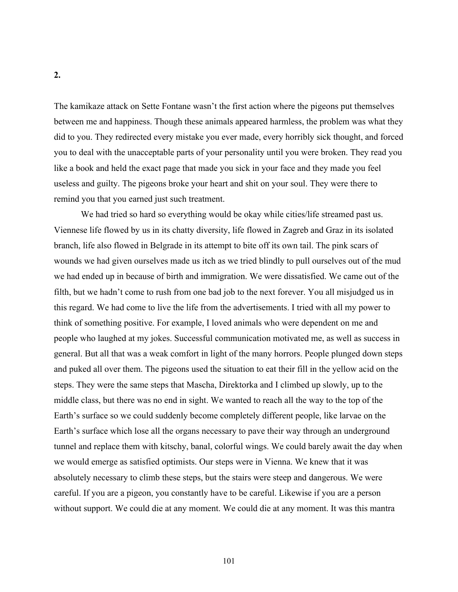The kamikaze attack on Sette Fontane wasn't the first action where the pigeons put themselves between me and happiness. Though these animals appeared harmless, the problem was what they did to you. They redirected every mistake you ever made, every horribly sick thought, and forced you to deal with the unacceptable parts of your personality until you were broken. They read you like a book and held the exact page that made you sick in your face and they made you feel useless and guilty. The pigeons broke your heart and shit on your soul. They were there to remind you that you earned just such treatment.

We had tried so hard so everything would be okay while cities/life streamed past us. Viennese life flowed by us in its chatty diversity, life flowed in Zagreb and Graz in its isolated branch, life also flowed in Belgrade in its attempt to bite off its own tail. The pink scars of wounds we had given ourselves made us itch as we tried blindly to pull ourselves out of the mud we had ended up in because of birth and immigration. We were dissatisfied. We came out of the filth, but we hadn't come to rush from one bad job to the next forever. You all misjudged us in this regard. We had come to live the life from the advertisements. I tried with all my power to think of something positive. For example, I loved animals who were dependent on me and people who laughed at my jokes. Successful communication motivated me, as well as success in general. But all that was a weak comfort in light of the many horrors. People plunged down steps and puked all over them. The pigeons used the situation to eat their fill in the yellow acid on the steps. They were the same steps that Mascha, Direktorka and I climbed up slowly, up to the middle class, but there was no end in sight. We wanted to reach all the way to the top of the Earth's surface so we could suddenly become completely different people, like larvae on the Earth's surface which lose all the organs necessary to pave their way through an underground tunnel and replace them with kitschy, banal, colorful wings. We could barely await the day when we would emerge as satisfied optimists. Our steps were in Vienna. We knew that it was absolutely necessary to climb these steps, but the stairs were steep and dangerous. We were careful. If you are a pigeon, you constantly have to be careful. Likewise if you are a person without support. We could die at any moment. We could die at any moment. It was this mantra

**2.**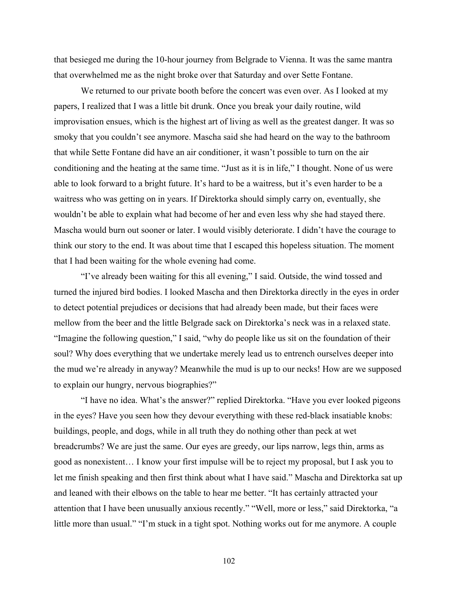that besieged me during the 10-hour journey from Belgrade to Vienna. It was the same mantra that overwhelmed me as the night broke over that Saturday and over Sette Fontane.

We returned to our private booth before the concert was even over. As I looked at my papers, I realized that I was a little bit drunk. Once you break your daily routine, wild improvisation ensues, which is the highest art of living as well as the greatest danger. It was so smoky that you couldn't see anymore. Mascha said she had heard on the way to the bathroom that while Sette Fontane did have an air conditioner, it wasn't possible to turn on the air conditioning and the heating at the same time. "Just as it is in life," I thought. None of us were able to look forward to a bright future. It's hard to be a waitress, but it's even harder to be a waitress who was getting on in years. If Direktorka should simply carry on, eventually, she wouldn't be able to explain what had become of her and even less why she had stayed there. Mascha would burn out sooner or later. I would visibly deteriorate. I didn't have the courage to think our story to the end. It was about time that I escaped this hopeless situation. The moment that I had been waiting for the whole evening had come.

"I've already been waiting for this all evening," I said. Outside, the wind tossed and turned the injured bird bodies. I looked Mascha and then Direktorka directly in the eyes in order to detect potential prejudices or decisions that had already been made, but their faces were mellow from the beer and the little Belgrade sack on Direktorka's neck was in a relaxed state. "Imagine the following question," I said, "why do people like us sit on the foundation of their soul? Why does everything that we undertake merely lead us to entrench ourselves deeper into the mud we're already in anyway? Meanwhile the mud is up to our necks! How are we supposed to explain our hungry, nervous biographies?"

"I have no idea. What's the answer?" replied Direktorka. "Have you ever looked pigeons in the eyes? Have you seen how they devour everything with these red-black insatiable knobs: buildings, people, and dogs, while in all truth they do nothing other than peck at wet breadcrumbs? We are just the same. Our eyes are greedy, our lips narrow, legs thin, arms as good as nonexistent… I know your first impulse will be to reject my proposal, but I ask you to let me finish speaking and then first think about what I have said." Mascha and Direktorka sat up and leaned with their elbows on the table to hear me better. "It has certainly attracted your attention that I have been unusually anxious recently." "Well, more or less," said Direktorka, "a little more than usual." "I'm stuck in a tight spot. Nothing works out for me anymore. A couple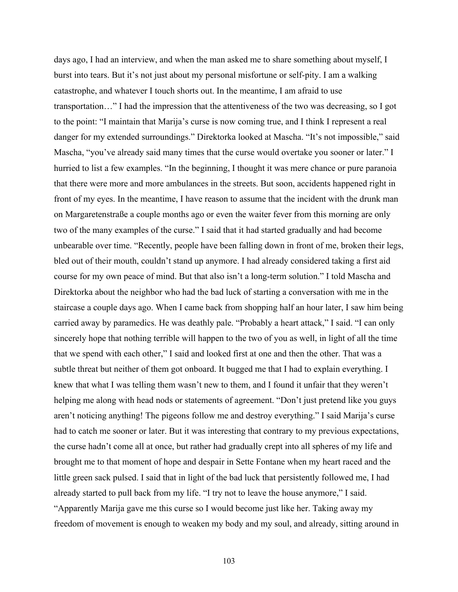days ago, I had an interview, and when the man asked me to share something about myself, I burst into tears. But it's not just about my personal misfortune or self-pity. I am a walking catastrophe, and whatever I touch shorts out. In the meantime, I am afraid to use transportation…" I had the impression that the attentiveness of the two was decreasing, so I got to the point: "I maintain that Marija's curse is now coming true, and I think I represent a real danger for my extended surroundings." Direktorka looked at Mascha. "It's not impossible," said Mascha, "you've already said many times that the curse would overtake you sooner or later." I hurried to list a few examples. "In the beginning, I thought it was mere chance or pure paranoia that there were more and more ambulances in the streets. But soon, accidents happened right in front of my eyes. In the meantime, I have reason to assume that the incident with the drunk man on Margaretenstraße a couple months ago or even the waiter fever from this morning are only two of the many examples of the curse." I said that it had started gradually and had become unbearable over time. "Recently, people have been falling down in front of me, broken their legs, bled out of their mouth, couldn't stand up anymore. I had already considered taking a first aid course for my own peace of mind. But that also isn't a long-term solution." I told Mascha and Direktorka about the neighbor who had the bad luck of starting a conversation with me in the staircase a couple days ago. When I came back from shopping half an hour later, I saw him being carried away by paramedics. He was deathly pale. "Probably a heart attack," I said. "I can only sincerely hope that nothing terrible will happen to the two of you as well, in light of all the time that we spend with each other," I said and looked first at one and then the other. That was a subtle threat but neither of them got onboard. It bugged me that I had to explain everything. I knew that what I was telling them wasn't new to them, and I found it unfair that they weren't helping me along with head nods or statements of agreement. "Don't just pretend like you guys aren't noticing anything! The pigeons follow me and destroy everything." I said Marija's curse had to catch me sooner or later. But it was interesting that contrary to my previous expectations, the curse hadn't come all at once, but rather had gradually crept into all spheres of my life and brought me to that moment of hope and despair in Sette Fontane when my heart raced and the little green sack pulsed. I said that in light of the bad luck that persistently followed me, I had already started to pull back from my life. "I try not to leave the house anymore," I said. "Apparently Marija gave me this curse so I would become just like her. Taking away my freedom of movement is enough to weaken my body and my soul, and already, sitting around in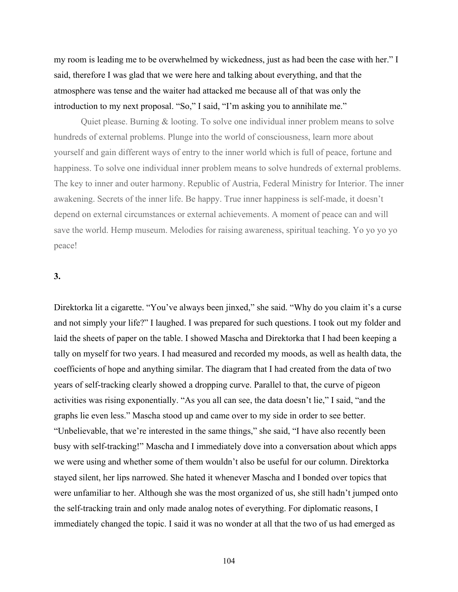my room is leading me to be overwhelmed by wickedness, just as had been the case with her." I said, therefore I was glad that we were here and talking about everything, and that the atmosphere was tense and the waiter had attacked me because all of that was only the introduction to my next proposal. "So," I said, "I'm asking you to annihilate me."

Quiet please. Burning & looting. To solve one individual inner problem means to solve hundreds of external problems. Plunge into the world of consciousness, learn more about yourself and gain different ways of entry to the inner world which is full of peace, fortune and happiness. To solve one individual inner problem means to solve hundreds of external problems. The key to inner and outer harmony. Republic of Austria, Federal Ministry for Interior. The inner awakening. Secrets of the inner life. Be happy. True inner happiness is self-made, it doesn't depend on external circumstances or external achievements. A moment of peace can and will save the world. Hemp museum. Melodies for raising awareness, spiritual teaching. Yo yo yo yo peace!

# **3.**

Direktorka lit a cigarette. "You've always been jinxed," she said. "Why do you claim it's a curse and not simply your life?" I laughed. I was prepared for such questions. I took out my folder and laid the sheets of paper on the table. I showed Mascha and Direktorka that I had been keeping a tally on myself for two years. I had measured and recorded my moods, as well as health data, the coefficients of hope and anything similar. The diagram that I had created from the data of two years of self-tracking clearly showed a dropping curve. Parallel to that, the curve of pigeon activities was rising exponentially. "As you all can see, the data doesn't lie," I said, "and the graphs lie even less." Mascha stood up and came over to my side in order to see better. "Unbelievable, that we're interested in the same things," she said, "I have also recently been busy with self-tracking!" Mascha and I immediately dove into a conversation about which apps we were using and whether some of them wouldn't also be useful for our column. Direktorka stayed silent, her lips narrowed. She hated it whenever Mascha and I bonded over topics that were unfamiliar to her. Although she was the most organized of us, she still hadn't jumped onto the self-tracking train and only made analog notes of everything. For diplomatic reasons, I immediately changed the topic. I said it was no wonder at all that the two of us had emerged as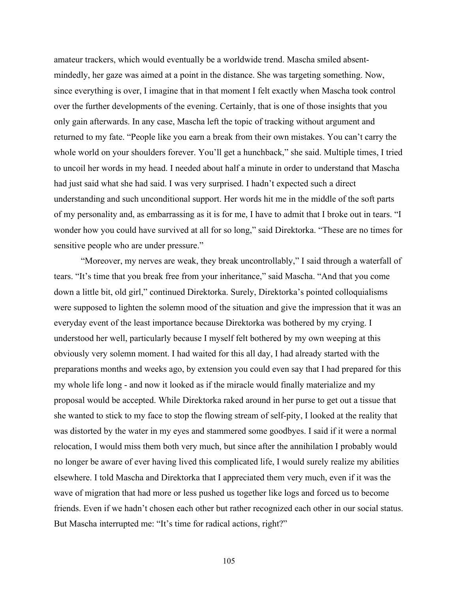amateur trackers, which would eventually be a worldwide trend. Mascha smiled absentmindedly, her gaze was aimed at a point in the distance. She was targeting something. Now, since everything is over, I imagine that in that moment I felt exactly when Mascha took control over the further developments of the evening. Certainly, that is one of those insights that you only gain afterwards. In any case, Mascha left the topic of tracking without argument and returned to my fate. "People like you earn a break from their own mistakes. You can't carry the whole world on your shoulders forever. You'll get a hunchback," she said. Multiple times, I tried to uncoil her words in my head. I needed about half a minute in order to understand that Mascha had just said what she had said. I was very surprised. I hadn't expected such a direct understanding and such unconditional support. Her words hit me in the middle of the soft parts of my personality and, as embarrassing as it is for me, I have to admit that I broke out in tears. "I wonder how you could have survived at all for so long," said Direktorka. "These are no times for sensitive people who are under pressure."

"Moreover, my nerves are weak, they break uncontrollably," I said through a waterfall of tears. "It's time that you break free from your inheritance," said Mascha. "And that you come down a little bit, old girl," continued Direktorka. Surely, Direktorka's pointed colloquialisms were supposed to lighten the solemn mood of the situation and give the impression that it was an everyday event of the least importance because Direktorka was bothered by my crying. I understood her well, particularly because I myself felt bothered by my own weeping at this obviously very solemn moment. I had waited for this all day, I had already started with the preparations months and weeks ago, by extension you could even say that I had prepared for this my whole life long - and now it looked as if the miracle would finally materialize and my proposal would be accepted. While Direktorka raked around in her purse to get out a tissue that she wanted to stick to my face to stop the flowing stream of self-pity, I looked at the reality that was distorted by the water in my eyes and stammered some goodbyes. I said if it were a normal relocation, I would miss them both very much, but since after the annihilation I probably would no longer be aware of ever having lived this complicated life, I would surely realize my abilities elsewhere. I told Mascha and Direktorka that I appreciated them very much, even if it was the wave of migration that had more or less pushed us together like logs and forced us to become friends. Even if we hadn't chosen each other but rather recognized each other in our social status. But Mascha interrupted me: "It's time for radical actions, right?"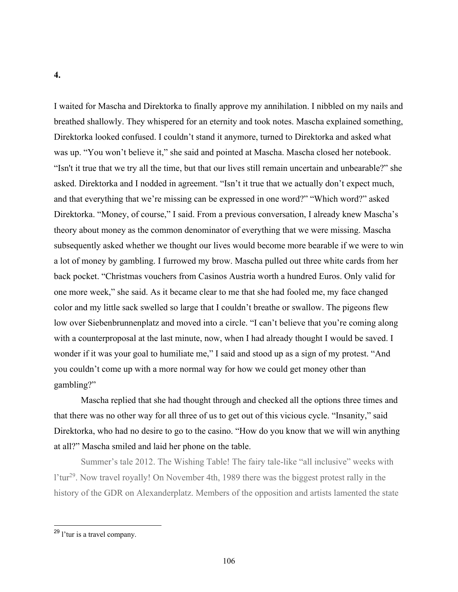I waited for Mascha and Direktorka to finally approve my annihilation. I nibbled on my nails and breathed shallowly. They whispered for an eternity and took notes. Mascha explained something, Direktorka looked confused. I couldn't stand it anymore, turned to Direktorka and asked what was up. "You won't believe it," she said and pointed at Mascha. Mascha closed her notebook. "Isn't it true that we try all the time, but that our lives still remain uncertain and unbearable?" she asked. Direktorka and I nodded in agreement. "Isn't it true that we actually don't expect much, and that everything that we're missing can be expressed in one word?" "Which word?" asked Direktorka. "Money, of course," I said. From a previous conversation, I already knew Mascha's theory about money as the common denominator of everything that we were missing. Mascha subsequently asked whether we thought our lives would become more bearable if we were to win a lot of money by gambling. I furrowed my brow. Mascha pulled out three white cards from her back pocket. "Christmas vouchers from Casinos Austria worth a hundred Euros. Only valid for one more week," she said. As it became clear to me that she had fooled me, my face changed color and my little sack swelled so large that I couldn't breathe or swallow. The pigeons flew low over Siebenbrunnenplatz and moved into a circle. "I can't believe that you're coming along with a counterproposal at the last minute, now, when I had already thought I would be saved. I wonder if it was your goal to humiliate me," I said and stood up as a sign of my protest. "And you couldn't come up with a more normal way for how we could get money other than gambling?"

Mascha replied that she had thought through and checked all the options three times and that there was no other way for all three of us to get out of this vicious cycle. "Insanity," said Direktorka, who had no desire to go to the casino. "How do you know that we will win anything at all?" Mascha smiled and laid her phone on the table.

Summer's tale 2012. The Wishing Table! The fairy tale-like "all inclusive" weeks with l'tur29. Now travel royally! On November 4th, 1989 there was the biggest protest rally in the history of the GDR on Alexanderplatz. Members of the opposition and artists lamented the state

<sup>29</sup> l'tur is a travel company.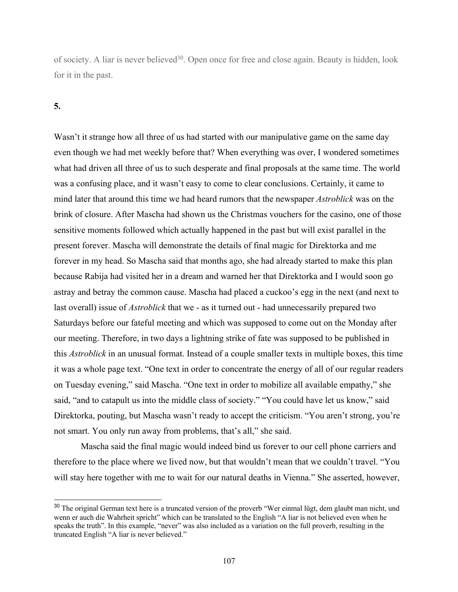of society. A liar is never believed<sup>30</sup>. Open once for free and close again. Beauty is hidden, look for it in the past.

### **5.**

Wasn't it strange how all three of us had started with our manipulative game on the same day even though we had met weekly before that? When everything was over, I wondered sometimes what had driven all three of us to such desperate and final proposals at the same time. The world was a confusing place, and it wasn't easy to come to clear conclusions. Certainly, it came to mind later that around this time we had heard rumors that the newspaper *Astroblick* was on the brink of closure. After Mascha had shown us the Christmas vouchers for the casino, one of those sensitive moments followed which actually happened in the past but will exist parallel in the present forever. Mascha will demonstrate the details of final magic for Direktorka and me forever in my head. So Mascha said that months ago, she had already started to make this plan because Rabija had visited her in a dream and warned her that Direktorka and I would soon go astray and betray the common cause. Mascha had placed a cuckoo's egg in the next (and next to last overall) issue of *Astroblick* that we - as it turned out - had unnecessarily prepared two Saturdays before our fateful meeting and which was supposed to come out on the Monday after our meeting. Therefore, in two days a lightning strike of fate was supposed to be published in this *Astroblick* in an unusual format. Instead of a couple smaller texts in multiple boxes, this time it was a whole page text. "One text in order to concentrate the energy of all of our regular readers on Tuesday evening," said Mascha. "One text in order to mobilize all available empathy," she said, "and to catapult us into the middle class of society." "You could have let us know," said Direktorka, pouting, but Mascha wasn't ready to accept the criticism. "You aren't strong, you're not smart. You only run away from problems, that's all," she said.

Mascha said the final magic would indeed bind us forever to our cell phone carriers and therefore to the place where we lived now, but that wouldn't mean that we couldn't travel. "You will stay here together with me to wait for our natural deaths in Vienna." She asserted, however,

<sup>&</sup>lt;sup>30</sup> The original German text here is a truncated version of the proverb "Wer einmal lügt, dem glaubt man nicht, und wenn er auch die Wahrheit spricht" which can be translated to the English "A liar is not believed even when he speaks the truth". In this example, "never" was also included as a variation on the full proverb, resulting in the truncated English "A liar is never believed."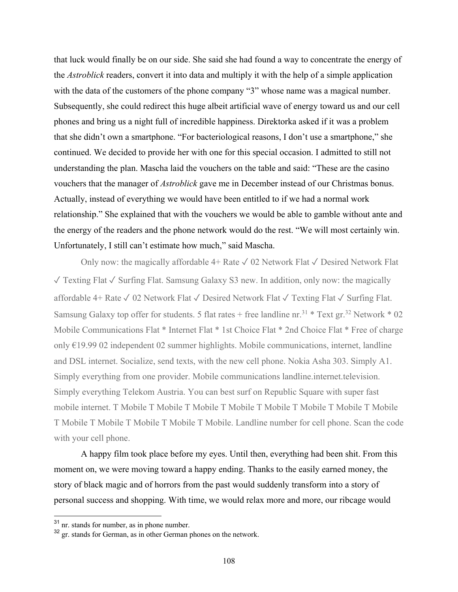that luck would finally be on our side. She said she had found a way to concentrate the energy of the *Astroblick* readers, convert it into data and multiply it with the help of a simple application with the data of the customers of the phone company "3" whose name was a magical number. Subsequently, she could redirect this huge albeit artificial wave of energy toward us and our cell phones and bring us a night full of incredible happiness. Direktorka asked if it was a problem that she didn't own a smartphone. "For bacteriological reasons, I don't use a smartphone," she continued. We decided to provide her with one for this special occasion. I admitted to still not understanding the plan. Mascha laid the vouchers on the table and said: "These are the casino vouchers that the manager of *Astroblick* gave me in December instead of our Christmas bonus. Actually, instead of everything we would have been entitled to if we had a normal work relationship." She explained that with the vouchers we would be able to gamble without ante and the energy of the readers and the phone network would do the rest. "We will most certainly win. Unfortunately, I still can't estimate how much," said Mascha.

Only now: the magically affordable  $4+$  Rate  $\sqrt{02}$  Network Flat  $\sqrt{02}$  Desired Network Flat ✓ Texting Flat ✓ Surfing Flat. Samsung Galaxy S3 new. In addition, only now: the magically affordable 4+ Rate ✓ 02 Network Flat ✓ Desired Network Flat ✓ Texting Flat ✓ Surfing Flat. Samsung Galaxy top offer for students. 5 flat rates + free landline nr.<sup>31</sup> \* Text gr.<sup>32</sup> Network \* 02 Mobile Communications Flat \* Internet Flat \* 1st Choice Flat \* 2nd Choice Flat \* Free of charge only €19.99 02 independent 02 summer highlights. Mobile communications, internet, landline and DSL internet. Socialize, send texts, with the new cell phone. Nokia Asha 303. Simply A1. Simply everything from one provider. Mobile communications landline.internet.television. Simply everything Telekom Austria. You can best surf on Republic Square with super fast mobile internet. T Mobile T Mobile T Mobile T Mobile T Mobile T Mobile T Mobile T Mobile T Mobile T Mobile T Mobile T Mobile T Mobile. Landline number for cell phone. Scan the code with your cell phone.

A happy film took place before my eyes. Until then, everything had been shit. From this moment on, we were moving toward a happy ending. Thanks to the easily earned money, the story of black magic and of horrors from the past would suddenly transform into a story of personal success and shopping. With time, we would relax more and more, our ribcage would

<sup>&</sup>lt;sup>31</sup> nr. stands for number, as in phone number.

<sup>&</sup>lt;sup>32</sup> gr. stands for German, as in other German phones on the network.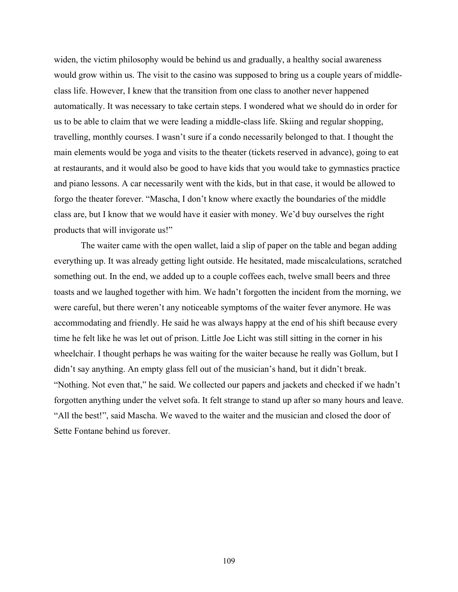widen, the victim philosophy would be behind us and gradually, a healthy social awareness would grow within us. The visit to the casino was supposed to bring us a couple years of middleclass life. However, I knew that the transition from one class to another never happened automatically. It was necessary to take certain steps. I wondered what we should do in order for us to be able to claim that we were leading a middle-class life. Skiing and regular shopping, travelling, monthly courses. I wasn't sure if a condo necessarily belonged to that. I thought the main elements would be yoga and visits to the theater (tickets reserved in advance), going to eat at restaurants, and it would also be good to have kids that you would take to gymnastics practice and piano lessons. A car necessarily went with the kids, but in that case, it would be allowed to forgo the theater forever. "Mascha, I don't know where exactly the boundaries of the middle class are, but I know that we would have it easier with money. We'd buy ourselves the right products that will invigorate us!"

The waiter came with the open wallet, laid a slip of paper on the table and began adding everything up. It was already getting light outside. He hesitated, made miscalculations, scratched something out. In the end, we added up to a couple coffees each, twelve small beers and three toasts and we laughed together with him. We hadn't forgotten the incident from the morning, we were careful, but there weren't any noticeable symptoms of the waiter fever anymore. He was accommodating and friendly. He said he was always happy at the end of his shift because every time he felt like he was let out of prison. Little Joe Licht was still sitting in the corner in his wheelchair. I thought perhaps he was waiting for the waiter because he really was Gollum, but I didn't say anything. An empty glass fell out of the musician's hand, but it didn't break. "Nothing. Not even that," he said. We collected our papers and jackets and checked if we hadn't forgotten anything under the velvet sofa. It felt strange to stand up after so many hours and leave. "All the best!", said Mascha. We waved to the waiter and the musician and closed the door of Sette Fontane behind us forever.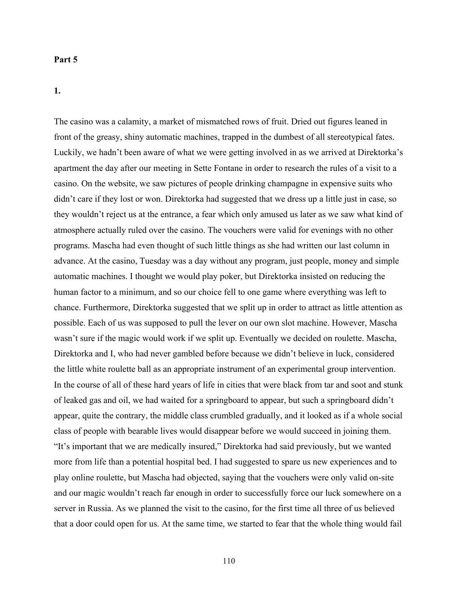#### **Part 5**

# **1.**

The casino was a calamity, a market of mismatched rows of fruit. Dried out figures leaned in front of the greasy, shiny automatic machines, trapped in the dumbest of all stereotypical fates. Luckily, we hadn't been aware of what we were getting involved in as we arrived at Direktorka's apartment the day after our meeting in Sette Fontane in order to research the rules of a visit to a casino. On the website, we saw pictures of people drinking champagne in expensive suits who didn't care if they lost or won. Direktorka had suggested that we dress up a little just in case, so they wouldn't reject us at the entrance, a fear which only amused us later as we saw what kind of atmosphere actually ruled over the casino. The vouchers were valid for evenings with no other programs. Mascha had even thought of such little things as she had written our last column in advance. At the casino, Tuesday was a day without any program, just people, money and simple automatic machines. I thought we would play poker, but Direktorka insisted on reducing the human factor to a minimum, and so our choice fell to one game where everything was left to chance. Furthermore, Direktorka suggested that we split up in order to attract as little attention as possible. Each of us was supposed to pull the lever on our own slot machine. However, Mascha wasn't sure if the magic would work if we split up. Eventually we decided on roulette. Mascha, Direktorka and I, who had never gambled before because we didn't believe in luck, considered the little white roulette ball as an appropriate instrument of an experimental group intervention. In the course of all of these hard years of life in cities that were black from tar and soot and stunk of leaked gas and oil, we had waited for a springboard to appear, but such a springboard didn't appear, quite the contrary, the middle class crumbled gradually, and it looked as if a whole social class of people with bearable lives would disappear before we would succeed in joining them. "It's important that we are medically insured," Direktorka had said previously, but we wanted more from life than a potential hospital bed. I had suggested to spare us new experiences and to play online roulette, but Mascha had objected, saying that the vouchers were only valid on-site and our magic wouldn't reach far enough in order to successfully force our luck somewhere on a server in Russia. As we planned the visit to the casino, for the first time all three of us believed that a door could open for us. At the same time, we started to fear that the whole thing would fail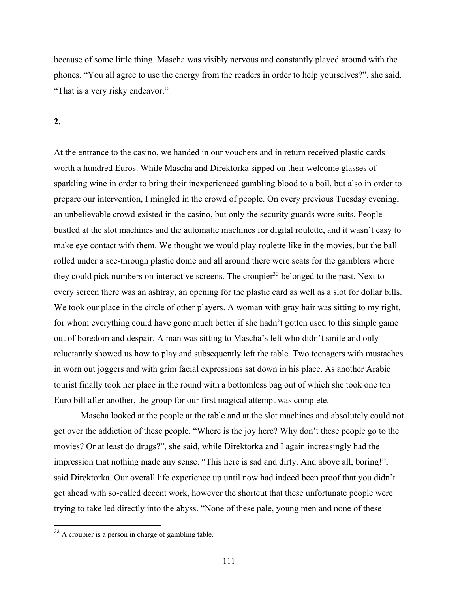because of some little thing. Mascha was visibly nervous and constantly played around with the phones. "You all agree to use the energy from the readers in order to help yourselves?", she said. "That is a very risky endeavor."

**2.**

At the entrance to the casino, we handed in our vouchers and in return received plastic cards worth a hundred Euros. While Mascha and Direktorka sipped on their welcome glasses of sparkling wine in order to bring their inexperienced gambling blood to a boil, but also in order to prepare our intervention, I mingled in the crowd of people. On every previous Tuesday evening, an unbelievable crowd existed in the casino, but only the security guards wore suits. People bustled at the slot machines and the automatic machines for digital roulette, and it wasn't easy to make eye contact with them. We thought we would play roulette like in the movies, but the ball rolled under a see-through plastic dome and all around there were seats for the gamblers where they could pick numbers on interactive screens. The croupier<sup>33</sup> belonged to the past. Next to every screen there was an ashtray, an opening for the plastic card as well as a slot for dollar bills. We took our place in the circle of other players. A woman with gray hair was sitting to my right, for whom everything could have gone much better if she hadn't gotten used to this simple game out of boredom and despair. A man was sitting to Mascha's left who didn't smile and only reluctantly showed us how to play and subsequently left the table. Two teenagers with mustaches in worn out joggers and with grim facial expressions sat down in his place. As another Arabic tourist finally took her place in the round with a bottomless bag out of which she took one ten Euro bill after another, the group for our first magical attempt was complete.

Mascha looked at the people at the table and at the slot machines and absolutely could not get over the addiction of these people. "Where is the joy here? Why don't these people go to the movies? Or at least do drugs?", she said, while Direktorka and I again increasingly had the impression that nothing made any sense. "This here is sad and dirty. And above all, boring!", said Direktorka. Our overall life experience up until now had indeed been proof that you didn't get ahead with so-called decent work, however the shortcut that these unfortunate people were trying to take led directly into the abyss. "None of these pale, young men and none of these

<sup>33</sup> A croupier is a person in charge of gambling table.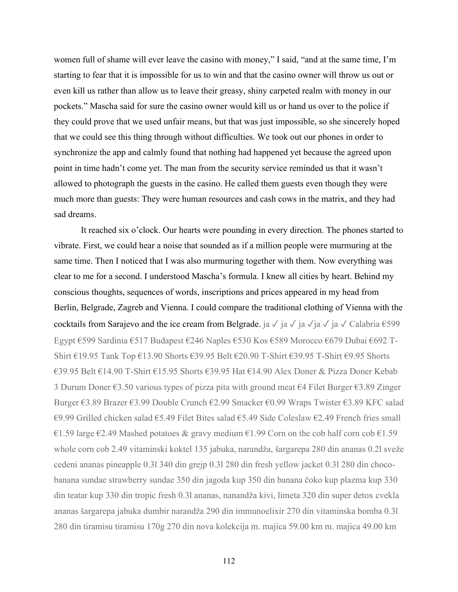women full of shame will ever leave the casino with money," I said, "and at the same time, I'm starting to fear that it is impossible for us to win and that the casino owner will throw us out or even kill us rather than allow us to leave their greasy, shiny carpeted realm with money in our pockets." Mascha said for sure the casino owner would kill us or hand us over to the police if they could prove that we used unfair means, but that was just impossible, so she sincerely hoped that we could see this thing through without difficulties. We took out our phones in order to synchronize the app and calmly found that nothing had happened yet because the agreed upon point in time hadn't come yet. The man from the security service reminded us that it wasn't allowed to photograph the guests in the casino. He called them guests even though they were much more than guests: They were human resources and cash cows in the matrix, and they had sad dreams.

It reached six o'clock. Our hearts were pounding in every direction. The phones started to vibrate. First, we could hear a noise that sounded as if a million people were murmuring at the same time. Then I noticed that I was also murmuring together with them. Now everything was clear to me for a second. I understood Mascha's formula. I knew all cities by heart. Behind my conscious thoughts, sequences of words, inscriptions and prices appeared in my head from Berlin, Belgrade, Zagreb and Vienna. I could compare the traditional clothing of Vienna with the cocktails from Sarajevo and the ice cream from Belgrade. ja  $\sqrt{a} \sqrt{a} \sqrt{a} \sqrt{a}$  ja  $\sqrt{c}$ alabria  $\epsilon$ 599 Egypt €599 Sardinia €517 Budapest €246 Naples €530 Kos €589 Morocco €679 Dubai €692 T-Shirt €19.95 Tank Top €13.90 Shorts €39.95 Belt €20.90 T-Shirt €39.95 T-Shirt €9.95 Shorts €39.95 Belt €14.90 T-Shirt €15.95 Shorts €39.95 Hat €14.90 Alex Doner & Pizza Doner Kebab 3 Durum Doner €3.50 various types of pizza pita with ground meat €4 Filet Burger €3.89 Zinger Burger €3.89 Brazer €3.99 Double Crunch €2.99 Smacker €0.99 Wraps Twister €3.89 KFC salad €9.99 Grilled chicken salad €5.49 Filet Bites salad €5.49 Side Coleslaw €2.49 French fries small €1.59 large €2.49 Mashed potatoes & gravy medium €1.99 Corn on the cob half corn cob €1.59 whole corn cob 2.49 vitaminski koktel 135 jabuka, narandža, šargarepa 280 din ananas 0.2l sveže cedeni ananas pineapple 0.3l 340 din grejp 0.3l 280 din fresh yellow jacket 0.3l 280 din chocobanana sundae strawberry sundae 350 din jagoda kup 350 din banana čoko kup plazma kup 330 din teatar kup 330 din tropic fresh 0.3l ananas, nanandža kivi, limeta 320 din super detox cvekla ananas šargarepa jabuka dumbir narandža 290 din immunoelixir 270 din vitaminska bomba 0.3l 280 din tiramisu tiramisu 170g 270 din nova kolekcija m. majica 59.00 km m. majica 49.00 km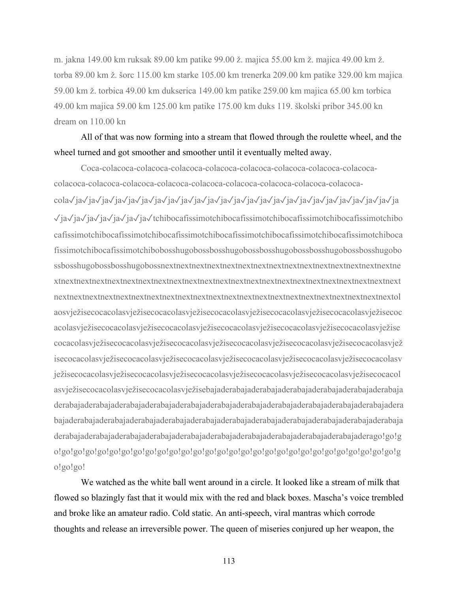m. jakna 149.00 km ruksak 89.00 km patike 99.00 ž. majica 55.00 km ž. majica 49.00 km ž. torba 89.00 km ž. šorc 115.00 km starke 105.00 km trenerka 209.00 km patike 329.00 km majica 59.00 km ž. torbica 49.00 km dukserica 149.00 km patike 259.00 km majica 65.00 km torbica 49.00 km majica 59.00 km 125.00 km patike 175.00 km duks 119. školski pribor 345.00 kn dream on 110.00 kn

# All of that was now forming into a stream that flowed through the roulette wheel, and the wheel turned and got smoother and smoother until it eventually melted away.

Coca-colacoca-colacoca-colacoca-colacoca-colacoca-colacoca-colacoca-colacocacolacoca-colacoca-colacoca-colacoca-colacoca-colacoca-colacoca-colacoca-colacocacola✓ja✓ja✓ja✓ja✓ja✓ja✓ja✓ja✓ja✓ja✓ja✓ja✓ja✓ja✓ja✓ja✓ja✓ja✓ja✓ja✓ja✓ja✓ja✓ja✓ja ✓ja✓ja✓ja✓ja✓ja✓ja✓ja✓tchibocafissimotchibocafissimotchibocafissimotchibocafissimotchibo cafissimotchibocafissimotchibocafissimotchibocafissimotchibocafissimotchibocafissimotchiboca fissimotchibocafissimotchibobosshugobossbosshugobossbosshugobossbosshugobossbosshugobo ssbosshugobossbosshugobossnextnextnextnextnextnextnextnextnextnextnextnextnextnextnextne xtnextnextnextnextnextnextnextnextnextnextnextnextnextnextnextnextnextnextnextnextnextnext nextnextnextnextnextnextnextnextnextnextnextnextnextnextnextnextnextnextnextnextnextnextol aosvježisecocacolasvježisecocacolasvježisecocacolasvježisecocacolasvježisecocacolasvježisecoc acolasvježisecocacolasvježisecocacolasvježisecocacolasvježisecocacolasvježisecocacolasvježise cocacolasvježisecocacolasvježisecocacolasvježisecocacolasvježisecocacolasvježisecocacolasvjež isecocacolasvježisecocacolasvježisecocacolasvježisecocacolasvježisecocacolasvježisecocacolasv ježisecocacolasvježisecocacolasvježisecocacolasvježisecocacolasvježisecocacolasvježisecocacol asvježisecocacolasvježisecocacolasvježisebajaderabajaderabajaderabajaderabajaderabajaderabaja derabajaderabajaderabajaderabajaderabajaderabajaderabajaderabajaderabajaderabajaderabajadera bajaderabajaderabajaderabajaderabajaderabajaderabajaderabajaderabajaderabajaderabajaderabaja derabajaderabajaderabajaderabajaderabajaderabajaderabajaderabajaderabajaderabajaderago!go!g o!go!go!go!go!go!go!go!go!go!go!go!go!go!go!go!go!go!go!go!go!go!go!go!go!go!go!go!go!g o!go!go!

We watched as the white ball went around in a circle. It looked like a stream of milk that flowed so blazingly fast that it would mix with the red and black boxes. Mascha's voice trembled and broke like an amateur radio. Cold static. An anti-speech, viral mantras which corrode thoughts and release an irreversible power. The queen of miseries conjured up her weapon, the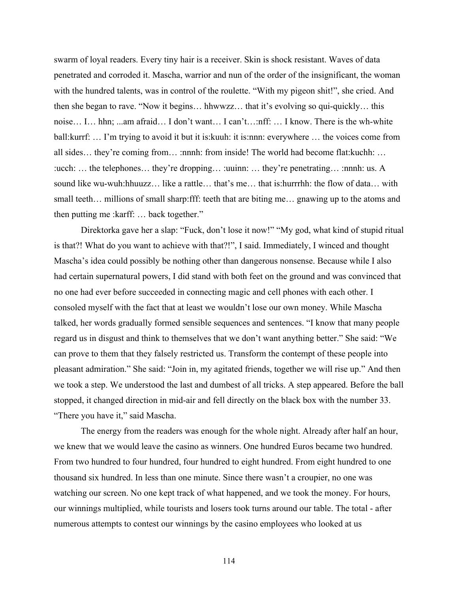swarm of loyal readers. Every tiny hair is a receiver. Skin is shock resistant. Waves of data penetrated and corroded it. Mascha, warrior and nun of the order of the insignificant, the woman with the hundred talents, was in control of the roulette. "With my pigeon shit!", she cried. And then she began to rave. "Now it begins… hhwwzz… that it's evolving so qui-quickly… this noise… I… hhn; ...am afraid… I don't want… I can't…:nff: … I know. There is the wh-white ball:kurrf: … I'm trying to avoid it but it is:kuuh: it is:nnn: everywhere … the voices come from all sides… they're coming from… :nnnh: from inside! The world had become flat:kuchh: … :ucch: … the telephones… they're dropping… :uuinn: … they're penetrating… :nnnh: us. A sound like wu-wuh:hhuuzz… like a rattle… that's me… that is:hurrrhh: the flow of data… with small teeth… millions of small sharp:fff: teeth that are biting me… gnawing up to the atoms and then putting me :karff: … back together."

Direktorka gave her a slap: "Fuck, don't lose it now!" "My god, what kind of stupid ritual is that?! What do you want to achieve with that?!", I said. Immediately, I winced and thought Mascha's idea could possibly be nothing other than dangerous nonsense. Because while I also had certain supernatural powers, I did stand with both feet on the ground and was convinced that no one had ever before succeeded in connecting magic and cell phones with each other. I consoled myself with the fact that at least we wouldn't lose our own money. While Mascha talked, her words gradually formed sensible sequences and sentences. "I know that many people regard us in disgust and think to themselves that we don't want anything better." She said: "We can prove to them that they falsely restricted us. Transform the contempt of these people into pleasant admiration." She said: "Join in, my agitated friends, together we will rise up." And then we took a step. We understood the last and dumbest of all tricks. A step appeared. Before the ball stopped, it changed direction in mid-air and fell directly on the black box with the number 33. "There you have it," said Mascha.

The energy from the readers was enough for the whole night. Already after half an hour, we knew that we would leave the casino as winners. One hundred Euros became two hundred. From two hundred to four hundred, four hundred to eight hundred. From eight hundred to one thousand six hundred. In less than one minute. Since there wasn't a croupier, no one was watching our screen. No one kept track of what happened, and we took the money. For hours, our winnings multiplied, while tourists and losers took turns around our table. The total - after numerous attempts to contest our winnings by the casino employees who looked at us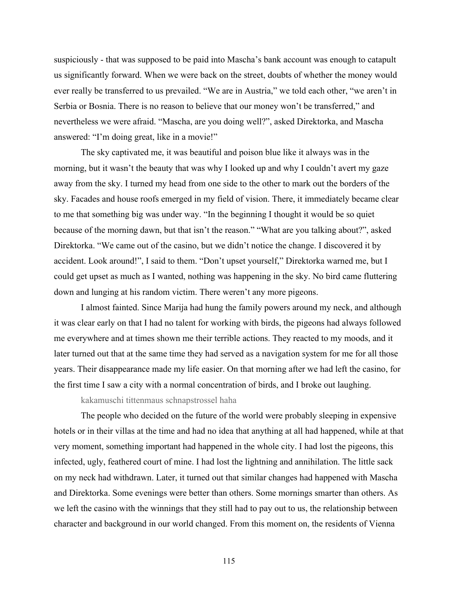suspiciously - that was supposed to be paid into Mascha's bank account was enough to catapult us significantly forward. When we were back on the street, doubts of whether the money would ever really be transferred to us prevailed. "We are in Austria," we told each other, "we aren't in Serbia or Bosnia. There is no reason to believe that our money won't be transferred," and nevertheless we were afraid. "Mascha, are you doing well?", asked Direktorka, and Mascha answered: "I'm doing great, like in a movie!"

The sky captivated me, it was beautiful and poison blue like it always was in the morning, but it wasn't the beauty that was why I looked up and why I couldn't avert my gaze away from the sky. I turned my head from one side to the other to mark out the borders of the sky. Facades and house roofs emerged in my field of vision. There, it immediately became clear to me that something big was under way. "In the beginning I thought it would be so quiet because of the morning dawn, but that isn't the reason." "What are you talking about?", asked Direktorka. "We came out of the casino, but we didn't notice the change. I discovered it by accident. Look around!", I said to them. "Don't upset yourself," Direktorka warned me, but I could get upset as much as I wanted, nothing was happening in the sky. No bird came fluttering down and lunging at his random victim. There weren't any more pigeons.

I almost fainted. Since Marija had hung the family powers around my neck, and although it was clear early on that I had no talent for working with birds, the pigeons had always followed me everywhere and at times shown me their terrible actions. They reacted to my moods, and it later turned out that at the same time they had served as a navigation system for me for all those years. Their disappearance made my life easier. On that morning after we had left the casino, for the first time I saw a city with a normal concentration of birds, and I broke out laughing.

kakamuschi tittenmaus schnapstrossel haha

The people who decided on the future of the world were probably sleeping in expensive hotels or in their villas at the time and had no idea that anything at all had happened, while at that very moment, something important had happened in the whole city. I had lost the pigeons, this infected, ugly, feathered court of mine. I had lost the lightning and annihilation. The little sack on my neck had withdrawn. Later, it turned out that similar changes had happened with Mascha and Direktorka. Some evenings were better than others. Some mornings smarter than others. As we left the casino with the winnings that they still had to pay out to us, the relationship between character and background in our world changed. From this moment on, the residents of Vienna

115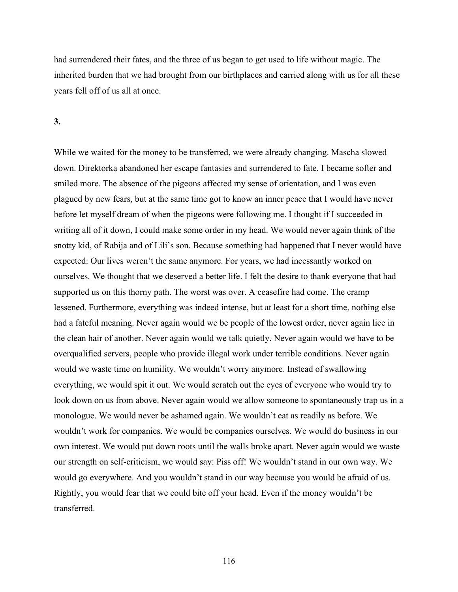had surrendered their fates, and the three of us began to get used to life without magic. The inherited burden that we had brought from our birthplaces and carried along with us for all these years fell off of us all at once.

#### **3.**

While we waited for the money to be transferred, we were already changing. Mascha slowed down. Direktorka abandoned her escape fantasies and surrendered to fate. I became softer and smiled more. The absence of the pigeons affected my sense of orientation, and I was even plagued by new fears, but at the same time got to know an inner peace that I would have never before let myself dream of when the pigeons were following me. I thought if I succeeded in writing all of it down, I could make some order in my head. We would never again think of the snotty kid, of Rabija and of Lili's son. Because something had happened that I never would have expected: Our lives weren't the same anymore. For years, we had incessantly worked on ourselves. We thought that we deserved a better life. I felt the desire to thank everyone that had supported us on this thorny path. The worst was over. A ceasefire had come. The cramp lessened. Furthermore, everything was indeed intense, but at least for a short time, nothing else had a fateful meaning. Never again would we be people of the lowest order, never again lice in the clean hair of another. Never again would we talk quietly. Never again would we have to be overqualified servers, people who provide illegal work under terrible conditions. Never again would we waste time on humility. We wouldn't worry anymore. Instead of swallowing everything, we would spit it out. We would scratch out the eyes of everyone who would try to look down on us from above. Never again would we allow someone to spontaneously trap us in a monologue. We would never be ashamed again. We wouldn't eat as readily as before. We wouldn't work for companies. We would be companies ourselves. We would do business in our own interest. We would put down roots until the walls broke apart. Never again would we waste our strength on self-criticism, we would say: Piss off! We wouldn't stand in our own way. We would go everywhere. And you wouldn't stand in our way because you would be afraid of us. Rightly, you would fear that we could bite off your head. Even if the money wouldn't be transferred.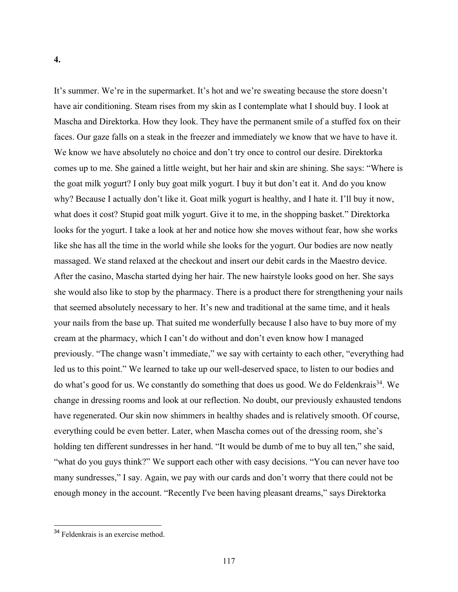### **4.**

It's summer. We're in the supermarket. It's hot and we're sweating because the store doesn't have air conditioning. Steam rises from my skin as I contemplate what I should buy. I look at Mascha and Direktorka. How they look. They have the permanent smile of a stuffed fox on their faces. Our gaze falls on a steak in the freezer and immediately we know that we have to have it. We know we have absolutely no choice and don't try once to control our desire. Direktorka comes up to me. She gained a little weight, but her hair and skin are shining. She says: "Where is the goat milk yogurt? I only buy goat milk yogurt. I buy it but don't eat it. And do you know why? Because I actually don't like it. Goat milk yogurt is healthy, and I hate it. I'll buy it now, what does it cost? Stupid goat milk yogurt. Give it to me, in the shopping basket." Direktorka looks for the yogurt. I take a look at her and notice how she moves without fear, how she works like she has all the time in the world while she looks for the yogurt. Our bodies are now neatly massaged. We stand relaxed at the checkout and insert our debit cards in the Maestro device. After the casino, Mascha started dying her hair. The new hairstyle looks good on her. She says she would also like to stop by the pharmacy. There is a product there for strengthening your nails that seemed absolutely necessary to her. It's new and traditional at the same time, and it heals your nails from the base up. That suited me wonderfully because I also have to buy more of my cream at the pharmacy, which I can't do without and don't even know how I managed previously. "The change wasn't immediate," we say with certainty to each other, "everything had led us to this point." We learned to take up our well-deserved space, to listen to our bodies and do what's good for us. We constantly do something that does us good. We do Feldenkrais<sup>34</sup>. We change in dressing rooms and look at our reflection. No doubt, our previously exhausted tendons have regenerated. Our skin now shimmers in healthy shades and is relatively smooth. Of course, everything could be even better. Later, when Mascha comes out of the dressing room, she's holding ten different sundresses in her hand. "It would be dumb of me to buy all ten," she said, "what do you guys think?" We support each other with easy decisions. "You can never have too many sundresses," I say. Again, we pay with our cards and don't worry that there could not be enough money in the account. "Recently I've been having pleasant dreams," says Direktorka

<sup>34</sup> Feldenkrais is an exercise method.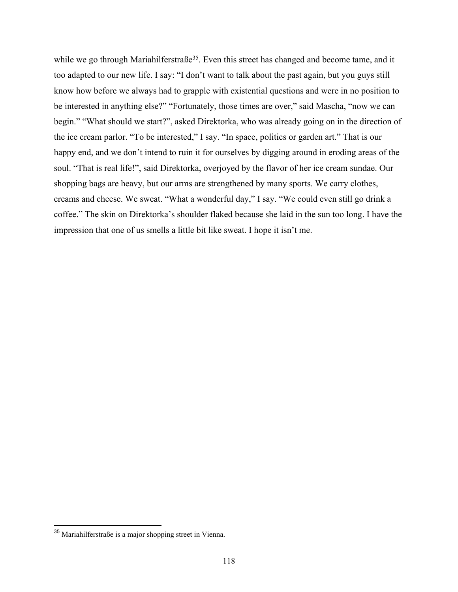while we go through Mariahilferstraße<sup>35</sup>. Even this street has changed and become tame, and it too adapted to our new life. I say: "I don't want to talk about the past again, but you guys still know how before we always had to grapple with existential questions and were in no position to be interested in anything else?" "Fortunately, those times are over," said Mascha, "now we can begin." "What should we start?", asked Direktorka, who was already going on in the direction of the ice cream parlor. "To be interested," I say. "In space, politics or garden art." That is our happy end, and we don't intend to ruin it for ourselves by digging around in eroding areas of the soul. "That is real life!", said Direktorka, overjoyed by the flavor of her ice cream sundae. Our shopping bags are heavy, but our arms are strengthened by many sports. We carry clothes, creams and cheese. We sweat. "What a wonderful day," I say. "We could even still go drink a coffee." The skin on Direktorka's shoulder flaked because she laid in the sun too long. I have the impression that one of us smells a little bit like sweat. I hope it isn't me.

<sup>35</sup> Mariahilferstraße is a major shopping street in Vienna.